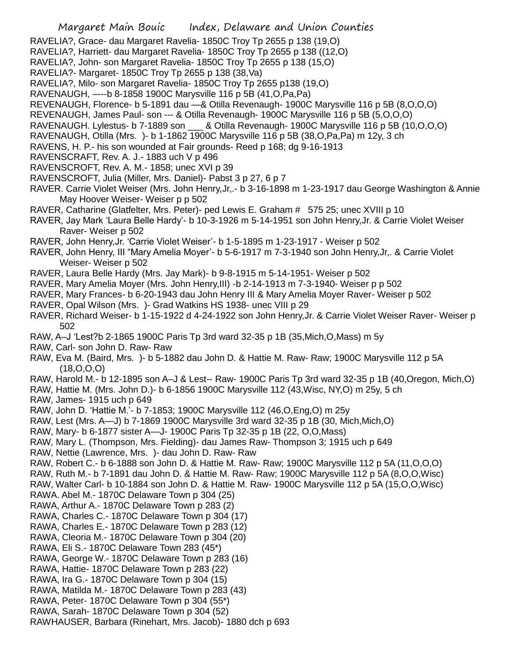- RAVELIA?, Grace- dau Margaret Ravelia- 1850C Troy Tp 2655 p 138 (19,O)
- RAVELIA?, Harriett- dau Margaret Ravelia- 1850C Troy Tp 2655 p 138 ((12,O)
- RAVELIA?, John- son Margaret Ravelia- 1850C Troy Tp 2655 p 138 (15,O)
- RAVELIA?- Margaret- 1850C Troy Tp 2655 p 138 (38,Va)
- RAVELIA?, Milo- son Margaret Ravelia- 1850C Troy Tp 2655 p138 (19,O)
- RAVENAUGH, –---b 8-1858 1900C Marysville 116 p 5B (41,O,Pa,Pa)
- REVENAUGH, Florence- b 5-1891 dau —& Otilla Revenaugh- 1900C Marysville 116 p 5B (8,O,O,O)
- REVENAUGH, James Paul- son --- & Otilla Revenaugh- 1900C Marysville 116 p 5B (5,O,O,O)
- RAVENAUGH. Lylestus- b 7-1889 son \_\_\_ & Otilla Revenaugh- 1900C Marysville 116 p 5B (10,O,O,O)
- RAVENAUGH, Otilla (Mrs. )- b 1-1862 1900C Marysville 116 p 5B (38,O,Pa,Pa) m 12y, 3 ch
- RAVENS, H. P.- his son wounded at Fair grounds- Reed p 168; dg 9-16-1913
- RAVENSCRAFT, Rev. A. J.- 1883 uch V p 496
- RAVENSCROFT, Rev. A. M.- 1858; unec XVI p 39
- RAVENSCROFT, Julia (Miller, Mrs. Daniel)- Pabst 3 p 27, 6 p 7
- RAVER. Carrie Violet Weiser (Mrs. John Henry,Jr,.- b 3-16-1898 m 1-23-1917 dau George Washington & Annie May Hoover Weiser- Weiser p p 502
- RAVER, Catharine (Glatfelter, Mrs. Peter)- ped Lewis E. Graham # 575 25; unec XVIII p 10
- RAVER, Jay Mark 'Laura Belle Hardy'- b 10-3-1926 m 5-14-1951 son John Henry,Jr. & Carrie Violet Weiser Raver- Weiser p 502
- RAVER, John Henry,Jr. 'Carrie Violet Weiser'- b 1-5-1895 m 1-23-1917 Weiser p 502
- RAVER, John Henry, III "Mary Amelia Moyer'- b 5-6-1917 m 7-3-1940 son John Henry,Jr,. & Carrie Violet Weiser- Weiser p 502
- RAVER, Laura Belle Hardy (Mrs. Jay Mark)- b 9-8-1915 m 5-14-1951- Weiser p 502
- RAVER, Mary Amelia Moyer (Mrs. John Henry,III) -b 2-14-1913 m 7-3-1940- Weiser p p 502
- RAVER, Mary Frances- b 6-20-1943 dau John Henry III & Mary Amelia Moyer Raver- Weiser p 502
- RAVER, Opal Wilson (Mrs. )- Grad Watkins HS 1938- unec VIII p 29
- RAVER, Richard Weiser- b 1-15-1922 d 4-24-1922 son John Henry,Jr. & Carrie Violet Weiser Raver- Weiser p 502
- RAW, A–J 'Lest?b 2-1865 1900C Paris Tp 3rd ward 32-35 p 1B (35,Mich,O,Mass) m 5y
- RAW, Carl- son John D. Raw- Raw
- RAW, Eva M. (Baird, Mrs. )- b 5-1882 dau John D. & Hattie M. Raw- Raw; 1900C Marysville 112 p 5A (18,O,O,O)
- RAW, Harold M.- b 12-1895 son A–J & Lest-- Raw- 1900C Paris Tp 3rd ward 32-35 p 1B (40,Oregon, Mich,O)
- RAW, Hattie M. (Mrs. John D.)- b 6-1856 1900C Marysville 112 (43,Wisc, NY,O) m 25y, 5 ch
- RAW, James- 1915 uch p 649
- RAW, John D. 'Hattie M.'- b 7-1853; 1900C Marysville 112 (46,O,Eng,O) m 25y
- RAW, Lest (Mrs. A—J) b 7-1869 1900C Marysville 3rd ward 32-35 p 1B (30, Mich,Mich,O)
- RAW, Mary- b 6-1877 sister A—J- 1900C Paris Tp 32-35 p 1B (22, O,O,Mass)
- RAW, Mary L. (Thompson, Mrs. Fielding)- dau James Raw- Thompson 3; 1915 uch p 649
- RAW, Nettie (Lawrence, Mrs. )- dau John D. Raw- Raw
- RAW, Robert C.- b 6-1888 son John D. & Hattie M. Raw- Raw; 1900C Marysville 112 p 5A (11,O,O,O)
- RAW, Ruth M.- b 7-1891 dau John D. & Hattie M. Raw- Raw; 1900C Marysville 112 p 5A (8,O,O,Wisc)
- RAW, Walter Carl- b 10-1884 son John D. & Hattie M. Raw- 1900C Marysville 112 p 5A (15,O,O,Wisc) RAWA. Abel M.- 1870C Delaware Town p 304 (25)
- 
- RAWA, Arthur A.- 1870C Delaware Town p 283 (2)
- RAWA, Charles C.- 1870C Delaware Town p 304 (17)
- RAWA, Charles E.- 1870C Delaware Town p 283 (12)
- RAWA, Cleoria M.- 1870C Delaware Town p 304 (20)
- RAWA, Eli S.- 1870C Delaware Town 283 (45\*)
- RAWA, George W.- 1870C Delaware Town p 283 (16)
- RAWA, Hattie- 1870C Delaware Town p 283 (22)
- RAWA, Ira G.- 1870C Delaware Town p 304 (15)
- RAWA, Matilda M.- 1870C Delaware Town p 283 (43)
- RAWA, Peter- 1870C Delaware Town p 304 (55\*)
- RAWA, Sarah- 1870C Delaware Town p 304 (52)
- RAWHAUSER, Barbara (Rinehart, Mrs. Jacob)- 1880 dch p 693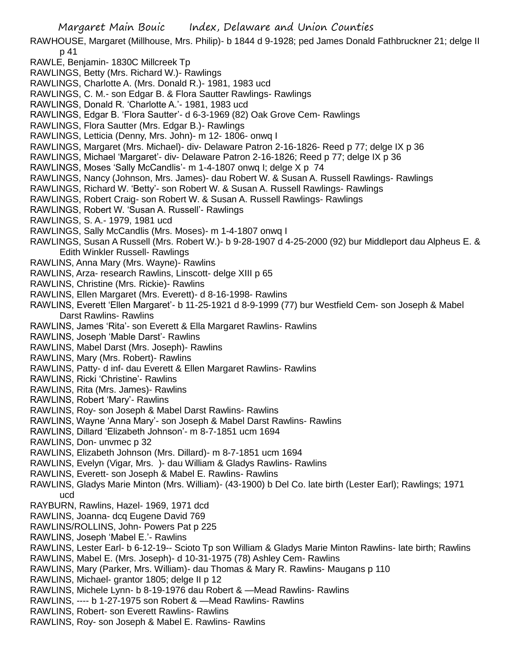RAWHOUSE, Margaret (Millhouse, Mrs. Philip)- b 1844 d 9-1928; ped James Donald Fathbruckner 21; delge II p 41

- RAWLE, Benjamin- 1830C Millcreek Tp
- RAWLINGS, Betty (Mrs. Richard W.)- Rawlings
- RAWLINGS, Charlotte A. (Mrs. Donald R.)- 1981, 1983 ucd
- RAWLINGS, C. M.- son Edgar B. & Flora Sautter Rawlings- Rawlings
- RAWLINGS, Donald R. 'Charlotte A.'- 1981, 1983 ucd
- RAWLINGS, Edgar B. 'Flora Sautter'- d 6-3-1969 (82) Oak Grove Cem- Rawlings
- RAWLINGS, Flora Sautter (Mrs. Edgar B.)- Rawlings
- RAWLINGS, Letticia (Denny, Mrs. John)- m 12- 1806- onwq I
- RAWLINGS, Margaret (Mrs. Michael)- div- Delaware Patron 2-16-1826- Reed p 77; delge IX p 36
- RAWLINGS, Michael 'Margaret'- div- Delaware Patron 2-16-1826; Reed p 77; delge IX p 36
- RAWLINGS, Moses 'Sally McCandlis'- m 1-4-1807 onwq I; delge X p 74
- RAWLINGS, Nancy (Johnson, Mrs. James)- dau Robert W. & Susan A. Russell Rawlings- Rawlings
- RAWLINGS, Richard W. 'Betty'- son Robert W. & Susan A. Russell Rawlings- Rawlings
- RAWLINGS, Robert Craig- son Robert W. & Susan A. Russell Rawlings- Rawlings
- RAWLINGS, Robert W. 'Susan A. Russell'- Rawlings
- RAWLINGS, S. A.- 1979, 1981 ucd
- RAWLINGS, Sally McCandlis (Mrs. Moses)- m 1-4-1807 onwq I
- RAWLINGS, Susan A Russell (Mrs. Robert W.)- b 9-28-1907 d 4-25-2000 (92) bur Middleport dau Alpheus E. & Edith Winkler Russell- Rawlings
- RAWLINS, Anna Mary (Mrs. Wayne)- Rawlins
- RAWLINS, Arza- research Rawlins, Linscott- delge XIII p 65
- RAWLINS, Christine (Mrs. Rickie)- Rawlins
- RAWLINS, Ellen Margaret (Mrs. Everett)- d 8-16-1998- Rawlins
- RAWLINS, Everett 'Ellen Margaret'- b 11-25-1921 d 8-9-1999 (77) bur Westfield Cem- son Joseph & Mabel Darst Rawlins- Rawlins
- RAWLINS, James 'Rita'- son Everett & Ella Margaret Rawlins- Rawlins
- RAWLINS, Joseph 'Mable Darst'- Rawlins
- RAWLINS, Mabel Darst (Mrs. Joseph)- Rawlins
- RAWLINS, Mary (Mrs. Robert)- Rawlins
- RAWLINS, Patty- d inf- dau Everett & Ellen Margaret Rawlins- Rawlins
- RAWLINS, Ricki 'Christine'- Rawlins
- RAWLINS, Rita (Mrs. James)- Rawlins
- RAWLINS, Robert 'Mary'- Rawlins
- RAWLINS, Roy- son Joseph & Mabel Darst Rawlins- Rawlins
- RAWLINS, Wayne 'Anna Mary'- son Joseph & Mabel Darst Rawlins- Rawlins
- RAWLINS, Dillard 'Elizabeth Johnson'- m 8-7-1851 ucm 1694
- RAWLINS, Don- unvmec p 32
- RAWLINS, Elizabeth Johnson (Mrs. Dillard)- m 8-7-1851 ucm 1694
- RAWLINS, Evelyn (Vigar, Mrs. )- dau William & Gladys Rawlins- Rawlins
- RAWLINS, Everett- son Joseph & Mabel E. Rawlins- Rawlins
- RAWLINS, Gladys Marie Minton (Mrs. William)- (43-1900) b Del Co. late birth (Lester Earl); Rawlings; 1971 ucd
- RAYBURN, Rawlins, Hazel- 1969, 1971 dcd
- RAWLINS, Joanna- dcq Eugene David 769
- RAWLINS/ROLLINS, John- Powers Pat p 225
- RAWLINS, Joseph 'Mabel E.'- Rawlins
- RAWLINS, Lester Earl- b 6-12-19-- Scioto Tp son William & Gladys Marie Minton Rawlins- late birth; Rawlins
- RAWLINS, Mabel E. (Mrs. Joseph)- d 10-31-1975 (78) Ashley Cem- Rawlins
- RAWLINS, Mary (Parker, Mrs. William)- dau Thomas & Mary R. Rawlins- Maugans p 110
- RAWLINS, Michael- grantor 1805; delge II p 12
- RAWLINS, Michele Lynn- b 8-19-1976 dau Robert & —Mead Rawlins- Rawlins
- RAWLINS, ---- b 1-27-1975 son Robert & —Mead Rawlins- Rawlins
- RAWLINS, Robert- son Everett Rawlins- Rawlins
- RAWLINS, Roy- son Joseph & Mabel E. Rawlins- Rawlins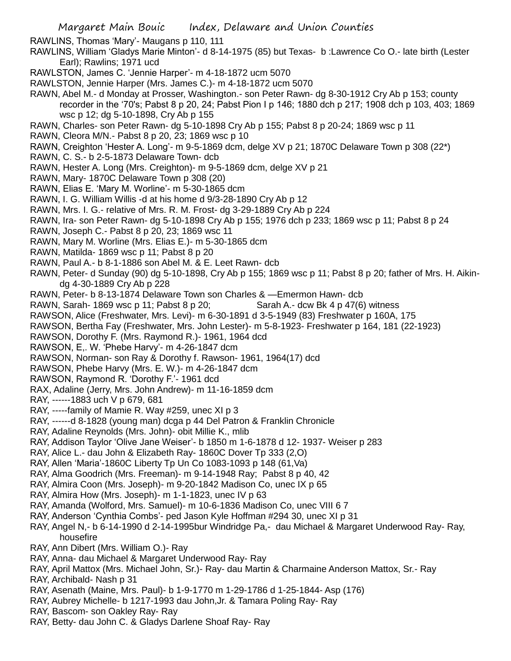RAWLINS, Thomas 'Mary'- Maugans p 110, 111

- RAWLINS, William 'Gladys Marie Minton'- d 8-14-1975 (85) but Texas- b :Lawrence Co O.- late birth (Lester Earl); Rawlins; 1971 ucd
- RAWLSTON, James C. 'Jennie Harper'- m 4-18-1872 ucm 5070
- RAWLSTON, Jennie Harper (Mrs. James C.)- m 4-18-1872 ucm 5070

RAWN, Abel M.- d Monday at Prosser, Washington.- son Peter Rawn- dg 8-30-1912 Cry Ab p 153; county recorder in the '70's; Pabst 8 p 20, 24; Pabst Pion I p 146; 1880 dch p 217; 1908 dch p 103, 403; 1869 wsc p 12; dg 5-10-1898, Cry Ab p 155

RAWN, Charles- son Peter Rawn- dg 5-10-1898 Cry Ab p 155; Pabst 8 p 20-24; 1869 wsc p 11

RAWN, Cleora M/N.- Pabst 8 p 20, 23; 1869 wsc p 10

RAWN, Creighton 'Hester A. Long'- m 9-5-1869 dcm, delge XV p 21; 1870C Delaware Town p 308 (22\*)

- RAWN, C. S.- b 2-5-1873 Delaware Town- dcb
- RAWN, Hester A. Long (Mrs. Creighton)- m 9-5-1869 dcm, delge XV p 21
- RAWN, Mary- 1870C Delaware Town p 308 (20)
- RAWN, Elias E. 'Mary M. Worline'- m 5-30-1865 dcm
- RAWN, I. G. William Willis -d at his home d 9/3-28-1890 Cry Ab p 12
- RAWN, Mrs. I. G.- relative of Mrs. R. M. Frost- dg 3-29-1889 Cry Ab p 224
- RAWN, Ira- son Peter Rawn- dg 5-10-1898 Cry Ab p 155; 1976 dch p 233; 1869 wsc p 11; Pabst 8 p 24
- RAWN, Joseph C.- Pabst 8 p 20, 23; 1869 wsc 11
- RAWN, Mary M. Worline (Mrs. Elias E.)- m 5-30-1865 dcm
- RAWN, Matilda- 1869 wsc p 11; Pabst 8 p 20
- RAWN, Paul A.- b 8-1-1886 son Abel M. & E. Leet Rawn- dcb
- RAWN, Peter- d Sunday (90) dg 5-10-1898, Cry Ab p 155; 1869 wsc p 11; Pabst 8 p 20; father of Mrs. H. Aikindg 4-30-1889 Cry Ab p 228
- RAWN, Peter- b 8-13-1874 Delaware Town son Charles & —Emermon Hawn- dcb
- RAWN, Sarah- 1869 wsc p 11; Pabst 8 p 20; Sarah A.- dcw Bk 4 p  $47(6)$  witness
- RAWSON, Alice (Freshwater, Mrs. Levi)- m 6-30-1891 d 3-5-1949 (83) Freshwater p 160A, 175
- RAWSON, Bertha Fay (Freshwater, Mrs. John Lester)- m 5-8-1923- Freshwater p 164, 181 (22-1923)
- RAWSON, Dorothy F. (Mrs. Raymond R.)- 1961, 1964 dcd
- RAWSON, E,. W. 'Phebe Harvy'- m 4-26-1847 dcm
- RAWSON, Norman- son Ray & Dorothy f. Rawson- 1961, 1964(17) dcd
- RAWSON, Phebe Harvy (Mrs. E. W.)- m 4-26-1847 dcm
- RAWSON, Raymond R. 'Dorothy F.'- 1961 dcd
- RAX, Adaline (Jerry, Mrs. John Andrew)- m 11-16-1859 dcm
- RAY, ------1883 uch V p 679, 681
- RAY, -----family of Mamie R. Way #259, unec XI p 3
- RAY, ------d 8-1828 (young man) dcga p 44 Del Patron & Franklin Chronicle
- RAY, Adaline Reynolds (Mrs. John)- obit Millie K., mlib
- RAY, Addison Taylor 'Olive Jane Weiser'- b 1850 m 1-6-1878 d 12- 1937- Weiser p 283
- RAY, Alice L.- dau John & Elizabeth Ray- 1860C Dover Tp 333 (2,O)
- RAY, Allen 'Maria'-1860C Liberty Tp Un Co 1083-1093 p 148 (61,Va)
- RAY, Alma Goodrich (Mrs. Freeman)- m 9-14-1948 Ray; Pabst 8 p 40, 42
- RAY, Almira Coon (Mrs. Joseph)- m 9-20-1842 Madison Co, unec IX p 65
- RAY, Almira How (Mrs. Joseph)- m 1-1-1823, unec IV p 63
- RAY, Amanda (Wolford, Mrs. Samuel)- m 10-6-1836 Madison Co, unec VIII 6 7
- RAY, Anderson 'Cynthia Combs'- ped Jason Kyle Hoffman #294 30, unec XI p 31
- RAY, Angel N,- b 6-14-1990 d 2-14-1995bur Windridge Pa,- dau Michael & Margaret Underwood Ray- Ray, housefire
- RAY, Ann Dibert (Mrs. William O.)- Ray
- RAY, Anna- dau Michael & Margaret Underwood Ray- Ray
- RAY, April Mattox (Mrs. Michael John, Sr.)- Ray- dau Martin & Charmaine Anderson Mattox, Sr.- Ray
- RAY, Archibald- Nash p 31
- RAY, Asenath (Maine, Mrs. Paul)- b 1-9-1770 m 1-29-1786 d 1-25-1844- Asp (176)
- RAY, Aubrey Michelle- b 1217-1993 dau John,Jr. & Tamara Poling Ray- Ray
- RAY, Bascom- son Oakley Ray- Ray
- RAY, Betty- dau John C. & Gladys Darlene Shoaf Ray- Ray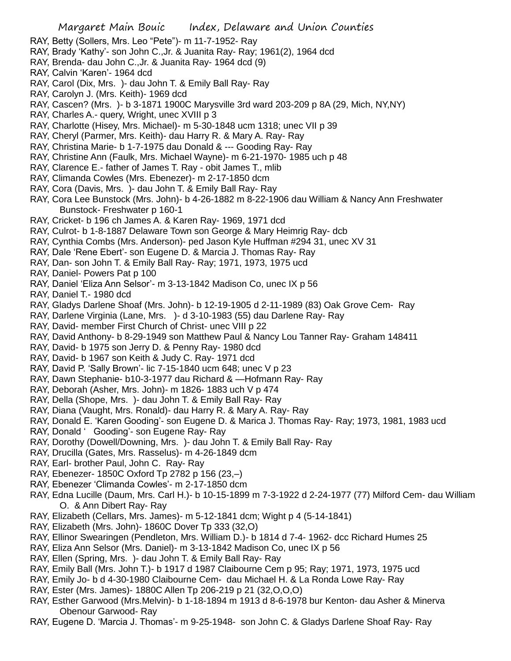- RAY, Betty (Sollers, Mrs. Leo "Pete")- m 11-7-1952- Ray
- RAY, Brady 'Kathy'- son John C.,Jr. & Juanita Ray- Ray; 1961(2), 1964 dcd
- RAY, Brenda- dau John C.,Jr. & Juanita Ray- 1964 dcd (9)
- RAY, Calvin 'Karen'- 1964 dcd
- RAY, Carol (Dix, Mrs. )- dau John T. & Emily Ball Ray- Ray
- RAY, Carolyn J. (Mrs. Keith)- 1969 dcd
- RAY, Cascen? (Mrs. )- b 3-1871 1900C Marysville 3rd ward 203-209 p 8A (29, Mich, NY,NY)
- RAY, Charles A.- query, Wright, unec XVIII p 3
- RAY, Charlotte (Hisey, Mrs. Michael)- m 5-30-1848 ucm 1318; unec VII p 39
- RAY, Cheryl (Parmer, Mrs. Keith)- dau Harry R. & Mary A. Ray- Ray
- RAY, Christina Marie- b 1-7-1975 dau Donald & --- Gooding Ray- Ray
- RAY, Christine Ann (Faulk, Mrs. Michael Wayne)- m 6-21-1970- 1985 uch p 48
- RAY, Clarence E.- father of James T. Ray obit James T., mlib
- RAY, Climanda Cowles (Mrs. Ebenezer)- m 2-17-1850 dcm
- RAY, Cora (Davis, Mrs. )- dau John T. & Emily Ball Ray- Ray
- RAY, Cora Lee Bunstock (Mrs. John)- b 4-26-1882 m 8-22-1906 dau William & Nancy Ann Freshwater Bunstock- Freshwater p 160-1
- RAY, Cricket- b 196 ch James A. & Karen Ray- 1969, 1971 dcd
- RAY, Culrot- b 1-8-1887 Delaware Town son George & Mary Heimrig Ray- dcb
- RAY, Cynthia Combs (Mrs. Anderson)- ped Jason Kyle Huffman #294 31, unec XV 31
- RAY, Dale 'Rene Ebert'- son Eugene D. & Marcia J. Thomas Ray- Ray
- RAY, Dan- son John T. & Emily Ball Ray- Ray; 1971, 1973, 1975 ucd
- RAY, Daniel- Powers Pat p 100
- RAY, Daniel 'Eliza Ann Selsor'- m 3-13-1842 Madison Co, unec IX p 56
- RAY, Daniel T.- 1980 dcd
- RAY, Gladys Darlene Shoaf (Mrs. John)- b 12-19-1905 d 2-11-1989 (83) Oak Grove Cem- Ray
- RAY, Darlene Virginia (Lane, Mrs. )- d 3-10-1983 (55) dau Darlene Ray- Ray
- RAY, David- member First Church of Christ- unec VIII p 22
- RAY, David Anthony- b 8-29-1949 son Matthew Paul & Nancy Lou Tanner Ray- Graham 148411
- RAY, David- b 1975 son Jerry D. & Penny Ray- 1980 dcd
- RAY, David- b 1967 son Keith & Judy C. Ray- 1971 dcd
- RAY, David P. 'Sally Brown'- lic 7-15-1840 ucm 648; unec V p 23
- RAY, Dawn Stephanie- b10-3-1977 dau Richard & —Hofmann Ray- Ray
- RAY, Deborah (Asher, Mrs. John)- m 1826- 1883 uch V p 474
- RAY, Della (Shope, Mrs. )- dau John T. & Emily Ball Ray- Ray
- RAY, Diana (Vaught, Mrs. Ronald)- dau Harry R. & Mary A. Ray- Ray
- RAY, Donald E. 'Karen Gooding'- son Eugene D. & Marica J. Thomas Ray- Ray; 1973, 1981, 1983 ucd
- RAY, Donald ' Gooding'- son Eugene Ray- Ray
- RAY, Dorothy (Dowell/Downing, Mrs. )- dau John T. & Emily Ball Ray- Ray
- RAY, Drucilla (Gates, Mrs. Rasselus)- m 4-26-1849 dcm
- RAY, Earl- brother Paul, John C. Ray- Ray
- RAY, Ebenezer- 1850C Oxford Tp 2782 p 156 (23,–)
- RAY, Ebenezer 'Climanda Cowles'- m 2-17-1850 dcm
- RAY, Edna Lucille (Daum, Mrs. Carl H.)- b 10-15-1899 m 7-3-1922 d 2-24-1977 (77) Milford Cem- dau William O. & Ann Dibert Ray- Ray
- RAY, Elizabeth (Cellars, Mrs. James)- m 5-12-1841 dcm; Wight p 4 (5-14-1841)
- RAY, Elizabeth (Mrs. John)- 1860C Dover Tp 333 (32,O)
- RAY, Ellinor Swearingen (Pendleton, Mrs. William D.)- b 1814 d 7-4- 1962- dcc Richard Humes 25
- RAY, Eliza Ann Selsor (Mrs. Daniel)- m 3-13-1842 Madison Co, unec IX p 56
- RAY, Ellen (Spring, Mrs. )- dau John T. & Emily Ball Ray- Ray
- RAY, Emily Ball (Mrs. John T.)- b 1917 d 1987 Claibourne Cem p 95; Ray; 1971, 1973, 1975 ucd
- RAY, Emily Jo- b d 4-30-1980 Claibourne Cem- dau Michael H. & La Ronda Lowe Ray- Ray
- RAY, Ester (Mrs. James)- 1880C Allen Tp 206-219 p 21 (32,O,O,O)
- RAY, Esther Garwood (Mrs.Melvin)- b 1-18-1894 m 1913 d 8-6-1978 bur Kenton- dau Asher & Minerva Obenour Garwood- Ray
- RAY, Eugene D. 'Marcia J. Thomas'- m 9-25-1948- son John C. & Gladys Darlene Shoaf Ray- Ray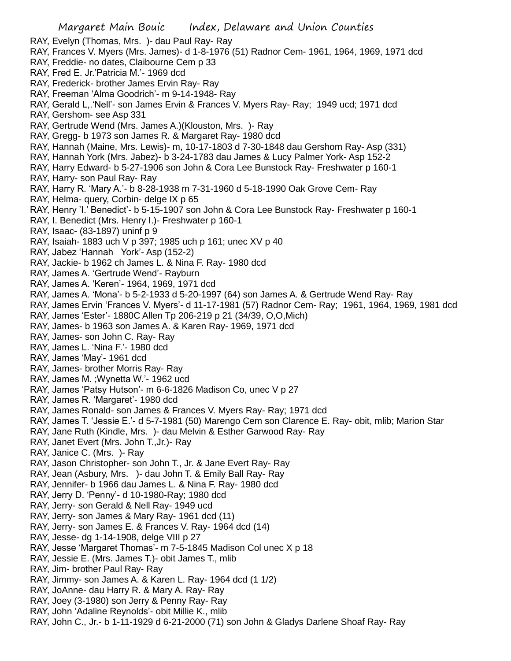- RAY, Evelyn (Thomas, Mrs. )- dau Paul Ray- Ray
- RAY, Frances V. Myers (Mrs. James)- d 1-8-1976 (51) Radnor Cem- 1961, 1964, 1969, 1971 dcd
- RAY, Freddie- no dates, Claibourne Cem p 33
- RAY, Fred E. Jr.'Patricia M.'- 1969 dcd
- RAY, Frederick- brother James Ervin Ray- Ray
- RAY, Freeman 'Alma Goodrich'- m 9-14-1948- Ray
- RAY, Gerald L,.'Nell'- son James Ervin & Frances V. Myers Ray- Ray; 1949 ucd; 1971 dcd
- RAY, Gershom- see Asp 331
- RAY, Gertrude Wend (Mrs. James A.)(Klouston, Mrs. )- Ray
- RAY, Gregg- b 1973 son James R. & Margaret Ray- 1980 dcd
- RAY, Hannah (Maine, Mrs. Lewis)- m, 10-17-1803 d 7-30-1848 dau Gershom Ray- Asp (331)
- RAY, Hannah York (Mrs. Jabez)- b 3-24-1783 dau James & Lucy Palmer York- Asp 152-2
- RAY, Harry Edward- b 5-27-1906 son John & Cora Lee Bunstock Ray- Freshwater p 160-1
- RAY, Harry- son Paul Ray- Ray
- RAY, Harry R. 'Mary A.'- b 8-28-1938 m 7-31-1960 d 5-18-1990 Oak Grove Cem- Ray
- RAY, Helma- query, Corbin- delge IX p 65
- RAY, Henry 'I.' Benedict'- b 5-15-1907 son John & Cora Lee Bunstock Ray- Freshwater p 160-1
- RAY, I. Benedict (Mrs. Henry I.)- Freshwater p 160-1
- RAY, Isaac- (83-1897) uninf p 9
- RAY, Isaiah- 1883 uch V p 397; 1985 uch p 161; unec XV p 40
- RAY, Jabez 'Hannah York'- Asp (152-2)
- RAY, Jackie- b 1962 ch James L. & Nina F. Ray- 1980 dcd
- RAY, James A. 'Gertrude Wend'- Rayburn
- RAY, James A. 'Keren'- 1964, 1969, 1971 dcd
- RAY, James A. 'Mona'- b 5-2-1933 d 5-20-1997 (64) son James A. & Gertrude Wend Ray- Ray
- RAY, James Ervin 'Frances V. Myers'- d 11-17-1981 (57) Radnor Cem- Ray; 1961, 1964, 1969, 1981 dcd
- RAY, James 'Ester'- 1880C Allen Tp 206-219 p 21 (34/39, O,O,Mich)
- RAY, James- b 1963 son James A. & Karen Ray- 1969, 1971 dcd
- RAY, James- son John C. Ray- Ray
- RAY, James L. 'Nina F.'- 1980 dcd
- RAY, James 'May'- 1961 dcd
- RAY, James- brother Morris Ray- Ray
- RAY, James M. ;Wynetta W.'- 1962 ucd
- RAY, James 'Patsy Hutson'- m 6-6-1826 Madison Co, unec V p 27
- RAY, James R. 'Margaret'- 1980 dcd
- RAY, James Ronald- son James & Frances V. Myers Ray- Ray; 1971 dcd
- RAY, James T. 'Jessie E.'- d 5-7-1981 (50) Marengo Cem son Clarence E. Ray- obit, mlib; Marion Star
- RAY, Jane Ruth (Kindle, Mrs. )- dau Melvin & Esther Garwood Ray- Ray
- RAY, Janet Evert (Mrs. John T.,Jr.)- Ray
- RAY, Janice C. (Mrs. )- Ray
- RAY, Jason Christopher- son John T., Jr. & Jane Evert Ray- Ray
- RAY, Jean (Asbury, Mrs. )- dau John T. & Emily Ball Ray- Ray
- RAY, Jennifer- b 1966 dau James L. & Nina F. Ray- 1980 dcd
- RAY, Jerry D. 'Penny'- d 10-1980-Ray; 1980 dcd
- RAY, Jerry- son Gerald & Nell Ray- 1949 ucd
- RAY, Jerry- son James & Mary Ray- 1961 dcd (11)
- RAY, Jerry- son James E. & Frances V. Ray- 1964 dcd (14)
- RAY, Jesse- dg 1-14-1908, delge VIII p 27
- RAY, Jesse 'Margaret Thomas'- m 7-5-1845 Madison Col unec X p 18
- RAY, Jessie E. (Mrs. James T.)- obit James T., mlib
- RAY, Jim- brother Paul Ray- Ray
- RAY, Jimmy- son James A. & Karen L. Ray- 1964 dcd (1 1/2)
- RAY, JoAnne- dau Harry R. & Mary A. Ray- Ray
- RAY, Joey (3-1980) son Jerry & Penny Ray- Ray
- RAY, John 'Adaline Reynolds'- obit Millie K., mlib
- RAY, John C., Jr.- b 1-11-1929 d 6-21-2000 (71) son John & Gladys Darlene Shoaf Ray- Ray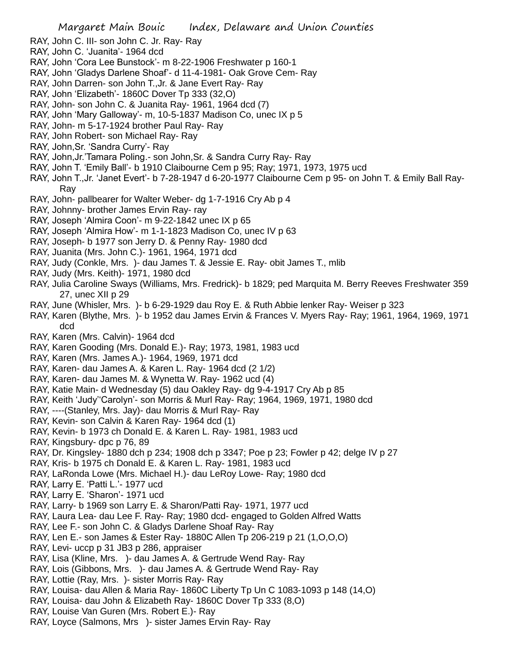- RAY, John C. III- son John C. Jr. Ray- Ray
- RAY, John C. 'Juanita'- 1964 dcd
- RAY, John 'Cora Lee Bunstock'- m 8-22-1906 Freshwater p 160-1
- RAY, John 'Gladys Darlene Shoaf'- d 11-4-1981- Oak Grove Cem- Ray
- RAY, John Darren- son John T.,Jr. & Jane Evert Ray- Ray
- RAY, John 'Elizabeth'- 1860C Dover Tp 333 (32,O)
- RAY, John- son John C. & Juanita Ray- 1961, 1964 dcd (7)
- RAY, John 'Mary Galloway'- m, 10-5-1837 Madison Co, unec IX p 5
- RAY, John- m 5-17-1924 brother Paul Ray- Ray
- RAY, John Robert- son Michael Ray- Ray
- RAY, John,Sr. 'Sandra Curry'- Ray
- RAY, John,Jr.'Tamara Poling.- son John,Sr. & Sandra Curry Ray- Ray
- RAY, John T. 'Emily Ball'- b 1910 Claibourne Cem p 95; Ray; 1971, 1973, 1975 ucd
- RAY, John T.,Jr. 'Janet Evert'- b 7-28-1947 d 6-20-1977 Claibourne Cem p 95- on John T. & Emily Ball Ray-Ray
- RAY, John- pallbearer for Walter Weber- dg 1-7-1916 Cry Ab p 4
- RAY, Johnny- brother James Ervin Ray- ray
- RAY, Joseph 'Almira Coon'- m 9-22-1842 unec IX p 65
- RAY, Joseph 'Almira How'- m 1-1-1823 Madison Co, unec IV p 63
- RAY, Joseph- b 1977 son Jerry D. & Penny Ray- 1980 dcd
- RAY, Juanita (Mrs. John C.)- 1961, 1964, 1971 dcd
- RAY, Judy (Conkle, Mrs. )- dau James T. & Jessie E. Ray- obit James T., mlib
- RAY, Judy (Mrs. Keith)- 1971, 1980 dcd
- RAY, Julia Caroline Sways (Williams, Mrs. Fredrick)- b 1829; ped Marquita M. Berry Reeves Freshwater 359 27, unec XII p 29
- RAY, June (Whisler, Mrs. )- b 6-29-1929 dau Roy E. & Ruth Abbie lenker Ray- Weiser p 323
- RAY, Karen (Blythe, Mrs. )- b 1952 dau James Ervin & Frances V. Myers Ray- Ray; 1961, 1964, 1969, 1971 dcd
- RAY, Karen (Mrs. Calvin)- 1964 dcd
- RAY, Karen Gooding (Mrs. Donald E.)- Ray; 1973, 1981, 1983 ucd
- RAY, Karen (Mrs. James A.)- 1964, 1969, 1971 dcd
- RAY, Karen- dau James A. & Karen L. Ray- 1964 dcd (2 1/2)
- RAY, Karen- dau James M. & Wynetta W. Ray- 1962 ucd (4)
- RAY, Katie Main- d Wednesday (5) dau Oakley Ray- dg 9-4-1917 Cry Ab p 85
- RAY, Keith 'Judy''Carolyn'- son Morris & Murl Ray- Ray; 1964, 1969, 1971, 1980 dcd
- RAY, ----(Stanley, Mrs. Jay)- dau Morris & Murl Ray- Ray
- RAY, Kevin- son Calvin & Karen Ray- 1964 dcd (1)
- RAY, Kevin- b 1973 ch Donald E. & Karen L. Ray- 1981, 1983 ucd
- RAY, Kingsbury- dpc p 76, 89
- RAY, Dr. Kingsley- 1880 dch p 234; 1908 dch p 3347; Poe p 23; Fowler p 42; delge IV p 27
- RAY, Kris- b 1975 ch Donald E. & Karen L. Ray- 1981, 1983 ucd
- RAY, LaRonda Lowe (Mrs. Michael H.)- dau LeRoy Lowe- Ray; 1980 dcd
- RAY, Larry E. 'Patti L.'- 1977 ucd
- RAY, Larry E. 'Sharon'- 1971 ucd
- RAY, Larry- b 1969 son Larry E. & Sharon/Patti Ray- 1971, 1977 ucd
- RAY, Laura Lea- dau Lee F. Ray- Ray; 1980 dcd- engaged to Golden Alfred Watts
- RAY, Lee F.- son John C. & Gladys Darlene Shoaf Ray- Ray
- RAY, Len E.- son James & Ester Ray- 1880C Allen Tp 206-219 p 21 (1,O,O,O)
- RAY, Levi- uccp p 31 JB3 p 286, appraiser
- RAY, Lisa (Kline, Mrs. )- dau James A. & Gertrude Wend Ray- Ray
- RAY, Lois (Gibbons, Mrs. )- dau James A. & Gertrude Wend Ray- Ray
- RAY, Lottie (Ray, Mrs. )- sister Morris Ray- Ray
- RAY, Louisa- dau Allen & Maria Ray- 1860C Liberty Tp Un C 1083-1093 p 148 (14,O)
- RAY, Louisa- dau John & Elizabeth Ray- 1860C Dover Tp 333 (8,O)
- RAY, Louise Van Guren (Mrs. Robert E.)- Ray
- RAY, Loyce (Salmons, Mrs )- sister James Ervin Ray- Ray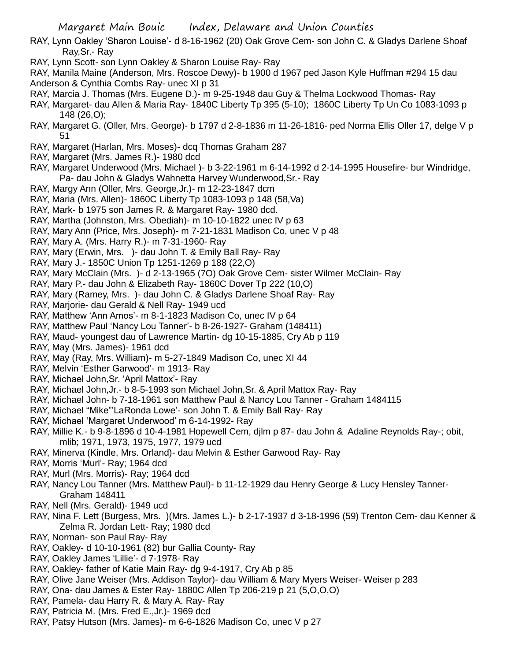- RAY, Lynn Oakley 'Sharon Louise'- d 8-16-1962 (20) Oak Grove Cem- son John C. & Gladys Darlene Shoaf Ray,Sr.- Ray
- RAY, Lynn Scott- son Lynn Oakley & Sharon Louise Ray- Ray
- RAY, Manila Maine (Anderson, Mrs. Roscoe Dewy)- b 1900 d 1967 ped Jason Kyle Huffman #294 15 dau Anderson & Cynthia Combs Ray- unec XI p 31
- RAY, Marcia J. Thomas (Mrs. Eugene D.)- m 9-25-1948 dau Guy & Thelma Lockwood Thomas- Ray
- RAY, Margaret- dau Allen & Maria Ray- 1840C Liberty Tp 395 (5-10); 1860C Liberty Tp Un Co 1083-1093 p 148 (26,O);
- RAY, Margaret G. (Oller, Mrs. George)- b 1797 d 2-8-1836 m 11-26-1816- ped Norma Ellis Oller 17, delge V p 51
- RAY, Margaret (Harlan, Mrs. Moses)- dcq Thomas Graham 287
- RAY, Margaret (Mrs. James R.)- 1980 dcd
- RAY, Margaret Underwood (Mrs. Michael )- b 3-22-1961 m 6-14-1992 d 2-14-1995 Housefire- bur Windridge, Pa- dau John & Gladys Wahnetta Harvey Wunderwood,Sr.- Ray
- RAY, Margy Ann (Oller, Mrs. George,Jr.)- m 12-23-1847 dcm
- RAY, Maria (Mrs. Allen)- 1860C Liberty Tp 1083-1093 p 148 (58,Va)
- RAY, Mark- b 1975 son James R. & Margaret Ray- 1980 dcd.
- RAY, Martha (Johnston, Mrs. Obediah)- m 10-10-1822 unec IV p 63
- RAY, Mary Ann (Price, Mrs. Joseph)- m 7-21-1831 Madison Co, unec V p 48
- RAY, Mary A. (Mrs. Harry R.)- m 7-31-1960- Ray
- RAY, Mary (Erwin, Mrs. )- dau John T. & Emily Ball Ray- Ray
- RAY, Mary J.- 1850C Union Tp 1251-1269 p 188 (22,O)
- RAY, Mary McClain (Mrs. )- d 2-13-1965 (7O) Oak Grove Cem- sister Wilmer McClain- Ray
- RAY, Mary P.- dau John & Elizabeth Ray- 1860C Dover Tp 222 (10,O)
- RAY, Mary (Ramey, Mrs. )- dau John C. & Gladys Darlene Shoaf Ray- Ray
- RAY, Marjorie- dau Gerald & Nell Ray- 1949 ucd
- RAY, Matthew 'Ann Amos'- m 8-1-1823 Madison Co, unec IV p 64
- RAY, Matthew Paul 'Nancy Lou Tanner'- b 8-26-1927- Graham (148411)
- RAY, Maud- youngest dau of Lawrence Martin- dg 10-15-1885, Cry Ab p 119
- RAY, May (Mrs. James)- 1961 dcd
- RAY, May (Ray, Mrs. William)- m 5-27-1849 Madison Co, unec XI 44
- RAY, Melvin 'Esther Garwood'- m 1913- Ray
- RAY, Michael John,Sr. 'April Mattox'- Ray
- RAY, Michael John,Jr.- b 8-5-1993 son Michael John,Sr. & April Mattox Ray- Ray
- RAY, Michael John- b 7-18-1961 son Matthew Paul & Nancy Lou Tanner Graham 1484115
- RAY, Michael "Mike"'LaRonda Lowe'- son John T. & Emily Ball Ray- Ray
- RAY, Michael 'Margaret Underwood' m 6-14-1992- Ray
- RAY, Millie K.- b 9-8-1896 d 10-4-1981 Hopewell Cem, djlm p 87- dau John & Adaline Reynolds Ray-; obit, mlib; 1971, 1973, 1975, 1977, 1979 ucd
- RAY, Minerva (Kindle, Mrs. Orland)- dau Melvin & Esther Garwood Ray- Ray
- RAY, Morris 'Murl'- Ray; 1964 dcd
- RAY, Murl (Mrs. Morris)- Ray; 1964 dcd
- RAY, Nancy Lou Tanner (Mrs. Matthew Paul)- b 11-12-1929 dau Henry George & Lucy Hensley Tanner-Graham 148411
- RAY, Nell (Mrs. Gerald)- 1949 ucd
- RAY, Nina F. Lett (Burgess, Mrs. )(Mrs. James L.)- b 2-17-1937 d 3-18-1996 (59) Trenton Cem- dau Kenner & Zelma R. Jordan Lett- Ray; 1980 dcd
- RAY, Norman- son Paul Ray- Ray
- RAY, Oakley- d 10-10-1961 (82) bur Gallia County- Ray
- RAY, Oakley James 'Lillie'- d 7-1978- Ray
- RAY, Oakley- father of Katie Main Ray- dg 9-4-1917, Cry Ab p 85
- RAY, Olive Jane Weiser (Mrs. Addison Taylor)- dau William & Mary Myers Weiser- Weiser p 283
- RAY, Ona- dau James & Ester Ray- 1880C Allen Tp 206-219 p 21 (5,O,O,O)
- RAY, Pamela- dau Harry R. & Mary A. Ray- Ray
- RAY, Patricia M. (Mrs. Fred E.,Jr.)- 1969 dcd
- RAY, Patsy Hutson (Mrs. James)- m 6-6-1826 Madison Co, unec V p 27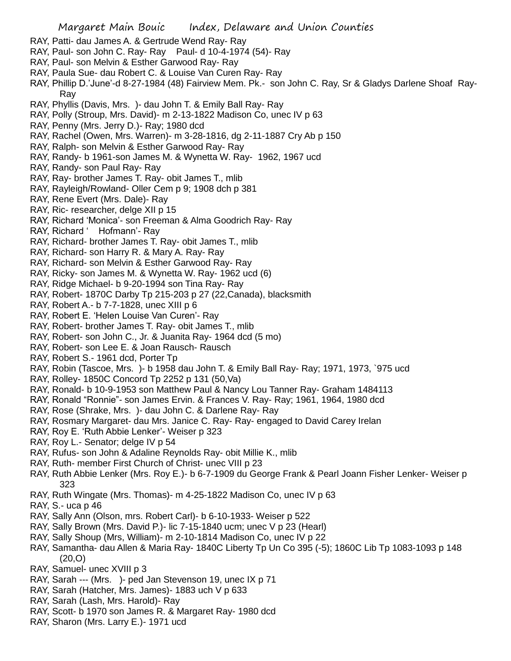- RAY, Patti- dau James A. & Gertrude Wend Ray- Ray
- RAY, Paul- son John C. Ray- Ray Paul- d 10-4-1974 (54)- Ray
- RAY, Paul- son Melvin & Esther Garwood Ray- Ray
- RAY, Paula Sue- dau Robert C. & Louise Van Curen Ray- Ray
- RAY, Phillip D.'June'-d 8-27-1984 (48) Fairview Mem. Pk.- son John C. Ray, Sr & Gladys Darlene Shoaf Ray-Ray
- RAY, Phyllis (Davis, Mrs. )- dau John T. & Emily Ball Ray- Ray
- RAY, Polly (Stroup, Mrs. David)- m 2-13-1822 Madison Co, unec IV p 63
- RAY, Penny (Mrs. Jerry D.)- Ray; 1980 dcd
- RAY, Rachel (Owen, Mrs. Warren)- m 3-28-1816, dg 2-11-1887 Cry Ab p 150
- RAY, Ralph- son Melvin & Esther Garwood Ray- Ray
- RAY, Randy- b 1961-son James M. & Wynetta W. Ray- 1962, 1967 ucd
- RAY, Randy- son Paul Ray- Ray
- RAY, Ray- brother James T. Ray- obit James T., mlib
- RAY, Rayleigh/Rowland- Oller Cem p 9; 1908 dch p 381
- RAY, Rene Evert (Mrs. Dale)- Ray
- RAY, Ric- researcher, delge XII p 15
- RAY, Richard 'Monica'- son Freeman & Alma Goodrich Ray- Ray
- RAY, Richard ' Hofmann'- Ray
- RAY, Richard- brother James T. Ray- obit James T., mlib
- RAY, Richard- son Harry R. & Mary A. Ray- Ray
- RAY, Richard- son Melvin & Esther Garwood Ray- Ray
- RAY, Ricky- son James M. & Wynetta W. Ray- 1962 ucd (6)
- RAY, Ridge Michael- b 9-20-1994 son Tina Ray- Ray
- RAY, Robert- 1870C Darby Tp 215-203 p 27 (22,Canada), blacksmith
- RAY, Robert A.- b 7-7-1828, unec XIII p 6
- RAY, Robert E. 'Helen Louise Van Curen'- Ray
- RAY, Robert- brother James T. Ray- obit James T., mlib
- RAY, Robert- son John C., Jr. & Juanita Ray- 1964 dcd (5 mo)
- RAY, Robert- son Lee E. & Joan Rausch- Rausch
- RAY, Robert S.- 1961 dcd, Porter Tp
- RAY, Robin (Tascoe, Mrs. )- b 1958 dau John T. & Emily Ball Ray- Ray; 1971, 1973, `975 ucd
- RAY, Rolley- 1850C Concord Tp 2252 p 131 (50,Va)
- RAY, Ronald- b 10-9-1953 son Matthew Paul & Nancy Lou Tanner Ray- Graham 1484113
- RAY, Ronald "Ronnie"- son James Ervin. & Frances V. Ray- Ray; 1961, 1964, 1980 dcd
- RAY, Rose (Shrake, Mrs. )- dau John C. & Darlene Ray- Ray
- RAY, Rosmary Margaret- dau Mrs. Janice C. Ray- Ray- engaged to David Carey Irelan
- RAY, Roy E. 'Ruth Abbie Lenker'- Weiser p 323
- RAY, Roy L.- Senator; delge IV p 54
- RAY, Rufus- son John & Adaline Reynolds Ray- obit Millie K., mlib
- RAY, Ruth- member First Church of Christ- unec VIII p 23
- RAY, Ruth Abbie Lenker (Mrs. Roy E.)- b 6-7-1909 du George Frank & Pearl Joann Fisher Lenker- Weiser p 323
- RAY, Ruth Wingate (Mrs. Thomas)- m 4-25-1822 Madison Co, unec IV p 63
- RAY, S.- uca p 46
- RAY, Sally Ann (Olson, mrs. Robert Carl)- b 6-10-1933- Weiser p 522
- RAY, Sally Brown (Mrs. David P.)- lic 7-15-1840 ucm; unec V p 23 (Hearl)
- RAY, Sally Shoup (Mrs, William)- m 2-10-1814 Madison Co, unec IV p 22
- RAY, Samantha- dau Allen & Maria Ray- 1840C Liberty Tp Un Co 395 (-5); 1860C Lib Tp 1083-1093 p 148 (20,O)
- RAY, Samuel- unec XVIII p 3
- RAY, Sarah --- (Mrs. )- ped Jan Stevenson 19, unec IX p 71
- RAY, Sarah (Hatcher, Mrs. James)- 1883 uch V p 633
- RAY, Sarah (Lash, Mrs. Harold)- Ray
- RAY, Scott- b 1970 son James R. & Margaret Ray- 1980 dcd
- RAY, Sharon (Mrs. Larry E.)- 1971 ucd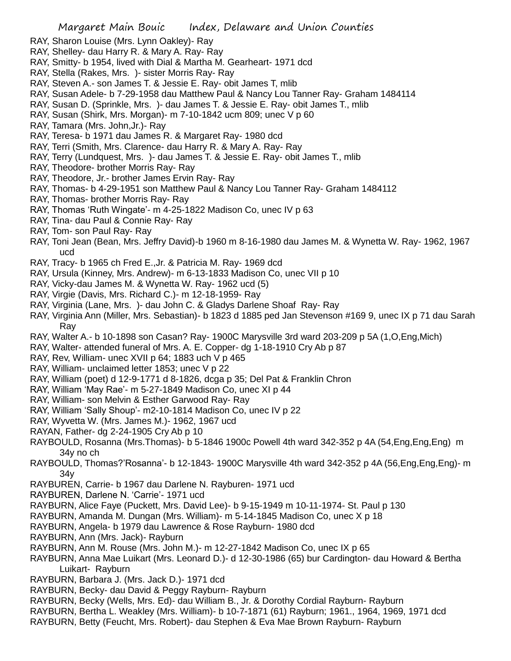- RAY, Sharon Louise (Mrs. Lynn Oakley)- Ray
- RAY, Shelley- dau Harry R. & Mary A. Ray- Ray
- RAY, Smitty- b 1954, lived with Dial & Martha M. Gearheart- 1971 dcd
- RAY, Stella (Rakes, Mrs. )- sister Morris Ray- Ray
- RAY, Steven A.- son James T. & Jessie E. Ray- obit James T, mlib
- RAY, Susan Adele- b 7-29-1958 dau Matthew Paul & Nancy Lou Tanner Ray- Graham 1484114
- RAY, Susan D. (Sprinkle, Mrs. )- dau James T. & Jessie E. Ray- obit James T., mlib
- RAY, Susan (Shirk, Mrs. Morgan)- m 7-10-1842 ucm 809; unec V p 60
- RAY, Tamara (Mrs. John,Jr.)- Ray
- RAY, Teresa- b 1971 dau James R. & Margaret Ray- 1980 dcd
- RAY, Terri (Smith, Mrs. Clarence- dau Harry R. & Mary A. Ray- Ray
- RAY, Terry (Lundquest, Mrs. )- dau James T. & Jessie E. Ray- obit James T., mlib
- RAY, Theodore- brother Morris Ray- Ray
- RAY, Theodore, Jr.- brother James Ervin Ray- Ray
- RAY, Thomas- b 4-29-1951 son Matthew Paul & Nancy Lou Tanner Ray- Graham 1484112
- RAY, Thomas- brother Morris Ray- Ray
- RAY, Thomas 'Ruth Wingate'- m 4-25-1822 Madison Co, unec IV p 63
- RAY, Tina- dau Paul & Connie Ray- Ray
- RAY, Tom- son Paul Ray- Ray
- RAY, Toni Jean (Bean, Mrs. Jeffry David)-b 1960 m 8-16-1980 dau James M. & Wynetta W. Ray- 1962, 1967 ucd
- RAY, Tracy- b 1965 ch Fred E.,Jr. & Patricia M. Ray- 1969 dcd
- RAY, Ursula (Kinney, Mrs. Andrew)- m 6-13-1833 Madison Co, unec VII p 10
- RAY, Vicky-dau James M. & Wynetta W. Ray- 1962 ucd (5)
- RAY, Virgie (Davis, Mrs. Richard C.)- m 12-18-1959- Ray
- RAY, Virginia (Lane, Mrs. )- dau John C. & Gladys Darlene Shoaf Ray- Ray
- RAY, Virginia Ann (Miller, Mrs. Sebastian)- b 1823 d 1885 ped Jan Stevenson #169 9, unec IX p 71 dau Sarah Ray
- RAY, Walter A.- b 10-1898 son Casan? Ray- 1900C Marysville 3rd ward 203-209 p 5A (1,O,Eng,Mich)
- RAY, Walter- attended funeral of Mrs. A. E. Copper- dg 1-18-1910 Cry Ab p 87
- RAY, Rev, William- unec XVII p 64; 1883 uch V p 465
- RAY, William- unclaimed letter 1853; unec V p 22
- RAY, William (poet) d 12-9-1771 d 8-1826, dcga p 35; Del Pat & Franklin Chron
- RAY, William 'May Rae'- m 5-27-1849 Madison Co, unec XI p 44
- RAY, William- son Melvin & Esther Garwood Ray- Ray
- RAY, William 'Sally Shoup'- m2-10-1814 Madison Co, unec IV p 22
- RAY, Wyvetta W. (Mrs. James M.)- 1962, 1967 ucd
- RAYAN, Father- dg 2-24-1905 Cry Ab p 10
- RAYBOULD, Rosanna (Mrs.Thomas)- b 5-1846 1900c Powell 4th ward 342-352 p 4A (54, Eng, Eng, Eng) m 34y no ch
- RAYBOULD, Thomas?'Rosanna'- b 12-1843- 1900C Marysville 4th ward 342-352 p 4A (56,Eng,Eng,Eng)- m 34y
- RAYBUREN, Carrie- b 1967 dau Darlene N. Rayburen- 1971 ucd
- RAYBUREN, Darlene N. 'Carrie'- 1971 ucd
- RAYBURN, Alice Faye (Puckett, Mrs. David Lee)- b 9-15-1949 m 10-11-1974- St. Paul p 130
- RAYBURN, Amanda M. Dungan (Mrs. William)- m 5-14-1845 Madison Co, unec X p 18
- RAYBURN, Angela- b 1979 dau Lawrence & Rose Rayburn- 1980 dcd
- RAYBURN, Ann (Mrs. Jack)- Rayburn
- RAYBURN, Ann M. Rouse (Mrs. John M.)- m 12-27-1842 Madison Co, unec IX p 65
- RAYBURN, Anna Mae Luikart (Mrs. Leonard D.)- d 12-30-1986 (65) bur Cardington- dau Howard & Bertha Luikart- Rayburn
- RAYBURN, Barbara J. (Mrs. Jack D.)- 1971 dcd
- RAYBURN, Becky- dau David & Peggy Rayburn- Rayburn
- RAYBURN, Becky (Wells, Mrs. Ed)- dau William B., Jr. & Dorothy Cordial Rayburn- Rayburn
- RAYBURN, Bertha L. Weakley (Mrs. William)- b 10-7-1871 (61) Rayburn; 1961., 1964, 1969, 1971 dcd
- RAYBURN, Betty (Feucht, Mrs. Robert)- dau Stephen & Eva Mae Brown Rayburn- Rayburn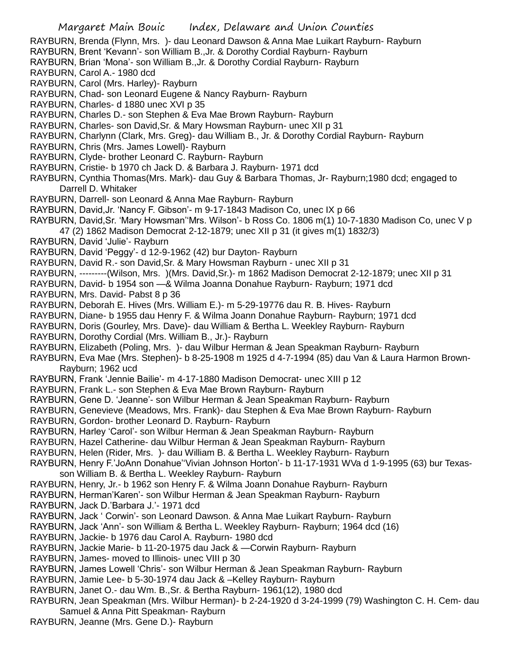RAYBURN, Brenda (Flynn, Mrs. )- dau Leonard Dawson & Anna Mae Luikart Rayburn- Rayburn

- RAYBURN, Brent 'Kevann'- son William B.,Jr. & Dorothy Cordial Rayburn- Rayburn
- RAYBURN, Brian 'Mona'- son William B.,Jr. & Dorothy Cordial Rayburn- Rayburn
- RAYBURN, Carol A.- 1980 dcd
- RAYBURN, Carol (Mrs. Harley)- Rayburn
- RAYBURN, Chad- son Leonard Eugene & Nancy Rayburn- Rayburn
- RAYBURN, Charles- d 1880 unec XVI p 35
- RAYBURN, Charles D.- son Stephen & Eva Mae Brown Rayburn- Rayburn
- RAYBURN, Charles- son David,Sr. & Mary Howsman Rayburn- unec XII p 31
- RAYBURN, Charlynn (Clark, Mrs. Greg)- dau William B., Jr. & Dorothy Cordial Rayburn- Rayburn
- RAYBURN, Chris (Mrs. James Lowell)- Rayburn
- RAYBURN, Clyde- brother Leonard C. Rayburn- Rayburn
- RAYBURN, Cristie- b 1970 ch Jack D. & Barbara J. Rayburn- 1971 dcd
- RAYBURN, Cynthia Thomas(Mrs. Mark)- dau Guy & Barbara Thomas, Jr- Rayburn;1980 dcd; engaged to Darrell D. Whitaker
- RAYBURN, Darrell- son Leonard & Anna Mae Rayburn- Rayburn
- RAYBURN, David,Jr. 'Nancy F. Gibson'- m 9-17-1843 Madison Co, unec IX p 66
- RAYBURN, David,Sr. 'Mary Howsman''Mrs. Wilson'- b Ross Co. 1806 m(1) 10-7-1830 Madison Co, unec V p 47 (2) 1862 Madison Democrat 2-12-1879; unec XII p 31 (it gives m(1) 1832/3)
- RAYBURN, David 'Julie'- Rayburn
- RAYBURN, David 'Peggy'- d 12-9-1962 (42) bur Dayton- Rayburn
- RAYBURN, David R.- son David,Sr. & Mary Howsman Rayburn unec XII p 31
- RAYBURN, ---------(Wilson, Mrs. )(Mrs. David,Sr.)- m 1862 Madison Democrat 2-12-1879; unec XII p 31
- RAYBURN, David- b 1954 son —& Wilma Joanna Donahue Rayburn- Rayburn; 1971 dcd
- RAYBURN, Mrs. David- Pabst 8 p 36
- RAYBURN, Deborah E. Hives (Mrs. William E.)- m 5-29-19776 dau R. B. Hives- Rayburn
- RAYBURN, Diane- b 1955 dau Henry F. & Wilma Joann Donahue Rayburn- Rayburn; 1971 dcd
- RAYBURN, Doris (Gourley, Mrs. Dave)- dau William & Bertha L. Weekley Rayburn- Rayburn
- RAYBURN, Dorothy Cordial (Mrs. William B., Jr.)- Rayburn
- RAYBURN, Elizabeth (Poling, Mrs. )- dau Wilbur Herman & Jean Speakman Rayburn- Rayburn
- RAYBURN, Eva Mae (Mrs. Stephen)- b 8-25-1908 m 1925 d 4-7-1994 (85) dau Van & Laura Harmon Brown-Rayburn; 1962 ucd
- RAYBURN, Frank 'Jennie Bailie'- m 4-17-1880 Madison Democrat- unec XIII p 12
- RAYBURN, Frank L.- son Stephen & Eva Mae Brown Rayburn- Rayburn
- RAYBURN, Gene D. 'Jeanne'- son Wilbur Herman & Jean Speakman Rayburn- Rayburn
- RAYBURN, Genevieve (Meadows, Mrs. Frank)- dau Stephen & Eva Mae Brown Rayburn- Rayburn
- RAYBURN, Gordon- brother Leonard D. Rayburn- Rayburn
- RAYBURN, Harley 'Carol'- son Wilbur Herman & Jean Speakman Rayburn- Rayburn
- RAYBURN, Hazel Catherine- dau Wilbur Herman & Jean Speakman Rayburn- Rayburn
- RAYBURN, Helen (Rider, Mrs. )- dau William B. & Bertha L. Weekley Rayburn- Rayburn
- RAYBURN, Henry F.'JoAnn Donahue''Vivian Johnson Horton'- b 11-17-1931 WVa d 1-9-1995 (63) bur Texasson William B. & Bertha L. Weekley Rayburn- Rayburn
- RAYBURN, Henry, Jr.- b 1962 son Henry F. & Wilma Joann Donahue Rayburn- Rayburn
- RAYBURN, Herman'Karen'- son Wilbur Herman & Jean Speakman Rayburn- Rayburn
- RAYBURN, Jack D.'Barbara J.'- 1971 dcd
- RAYBURN, Jack ' Corwin'- son Leonard Dawson. & Anna Mae Luikart Rayburn- Rayburn
- RAYBURN, Jack 'Ann'- son William & Bertha L. Weekley Rayburn- Rayburn; 1964 dcd (16)
- RAYBURN, Jackie- b 1976 dau Carol A. Rayburn- 1980 dcd
- RAYBURN, Jackie Marie- b 11-20-1975 dau Jack & —Corwin Rayburn- Rayburn
- RAYBURN, James- moved to Illinois- unec VIII p 30
- RAYBURN, James Lowell 'Chris'- son Wilbur Herman & Jean Speakman Rayburn- Rayburn
- RAYBURN, Jamie Lee- b 5-30-1974 dau Jack & –Kelley Rayburn- Rayburn
- RAYBURN, Janet O.- dau Wm. B.,Sr. & Bertha Rayburn- 1961(12), 1980 dcd
- RAYBURN, Jean Speakman (Mrs. Wilbur Herman)- b 2-24-1920 d 3-24-1999 (79) Washington C. H. Cem- dau Samuel & Anna Pitt Speakman- Rayburn
- RAYBURN, Jeanne (Mrs. Gene D.)- Rayburn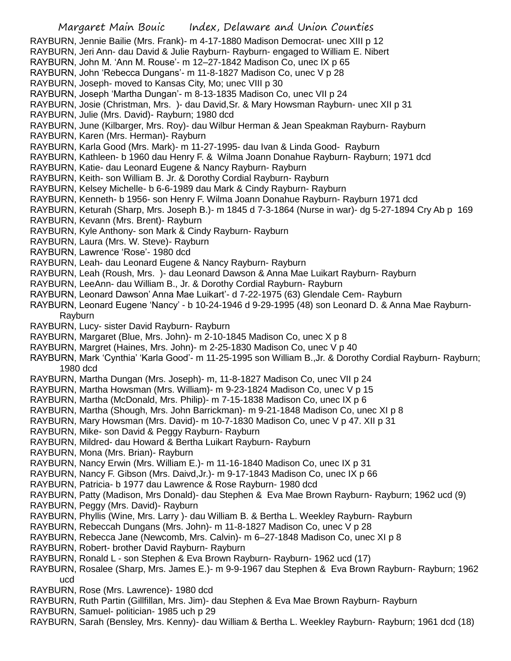RAYBURN, Jennie Bailie (Mrs. Frank)- m 4-17-1880 Madison Democrat- unec XIII p 12

- RAYBURN, Jeri Ann- dau David & Julie Rayburn- Rayburn- engaged to William E. Nibert
- RAYBURN, John M. 'Ann M. Rouse'- m 12–27-1842 Madison Co, unec IX p 65
- RAYBURN, John 'Rebecca Dungans'- m 11-8-1827 Madison Co, unec V p 28
- RAYBURN, Joseph- moved to Kansas City, Mo; unec VIII p 30
- RAYBURN, Joseph 'Martha Dungan'- m 8-13-1835 Madison Co, unec VII p 24

RAYBURN, Josie (Christman, Mrs. )- dau David,Sr. & Mary Howsman Rayburn- unec XII p 31

RAYBURN, Julie (Mrs. David)- Rayburn; 1980 dcd

RAYBURN, June (Kilbarger, Mrs. Roy)- dau Wilbur Herman & Jean Speakman Rayburn- Rayburn

RAYBURN, Karen (Mrs. Herman)- Rayburn

RAYBURN, Karla Good (Mrs. Mark)- m 11-27-1995- dau Ivan & Linda Good- Rayburn

- RAYBURN, Kathleen- b 1960 dau Henry F. & Wilma Joann Donahue Rayburn- Rayburn; 1971 dcd
- RAYBURN, Katie- dau Leonard Eugene & Nancy Rayburn- Rayburn
- RAYBURN, Keith- son William B. Jr. & Dorothy Cordial Rayburn- Rayburn
- RAYBURN, Kelsey Michelle- b 6-6-1989 dau Mark & Cindy Rayburn- Rayburn
- RAYBURN, Kenneth- b 1956- son Henry F. Wilma Joann Donahue Rayburn- Rayburn 1971 dcd
- RAYBURN, Keturah (Sharp, Mrs. Joseph B.)- m 1845 d 7-3-1864 (Nurse in war)- dg 5-27-1894 Cry Ab p 169
- RAYBURN, Kevann (Mrs. Brent)- Rayburn
- RAYBURN, Kyle Anthony- son Mark & Cindy Rayburn- Rayburn
- RAYBURN, Laura (Mrs. W. Steve)- Rayburn
- RAYBURN, Lawrence 'Rose'- 1980 dcd
- RAYBURN, Leah- dau Leonard Eugene & Nancy Rayburn- Rayburn
- RAYBURN, Leah (Roush, Mrs. )- dau Leonard Dawson & Anna Mae Luikart Rayburn- Rayburn
- RAYBURN, LeeAnn- dau William B., Jr. & Dorothy Cordial Rayburn- Rayburn
- RAYBURN, Leonard Dawson' Anna Mae Luikart'- d 7-22-1975 (63) Glendale Cem- Rayburn
- RAYBURN, Leonard Eugene 'Nancy' b 10-24-1946 d 9-29-1995 (48) son Leonard D. & Anna Mae Rayburn-Rayburn
- RAYBURN, Lucy- sister David Rayburn- Rayburn
- RAYBURN, Margaret (Blue, Mrs. John)- m 2-10-1845 Madison Co, unec X p 8
- RAYBURN, Margret (Haines, Mrs. John)- m 2-25-1830 Madison Co, unec V p 40
- RAYBURN, Mark 'Cynthia' 'Karla Good'- m 11-25-1995 son William B.,Jr. & Dorothy Cordial Rayburn- Rayburn; 1980 dcd
- RAYBURN, Martha Dungan (Mrs. Joseph)- m, 11-8-1827 Madison Co, unec VII p 24
- RAYBURN, Martha Howsman (Mrs. William)- m 9-23-1824 Madison Co, unec V p 15
- RAYBURN, Martha (McDonald, Mrs. Philip)- m 7-15-1838 Madison Co, unec IX p 6
- RAYBURN, Martha (Shough, Mrs. John Barrickman)- m 9-21-1848 Madison Co, unec XI p 8
- RAYBURN, Mary Howsman (Mrs. David)- m 10-7-1830 Madison Co, unec V p 47. XII p 31
- RAYBURN, Mike- son David & Peggy Rayburn- Rayburn
- RAYBURN, Mildred- dau Howard & Bertha Luikart Rayburn- Rayburn
- RAYBURN, Mona (Mrs. Brian)- Rayburn
- RAYBURN, Nancy Erwin (Mrs. William E.)- m 11-16-1840 Madison Co, unec IX p 31
- RAYBURN, Nancy F. Gibson (Mrs. Daivd,Jr.)- m 9-17-1843 Madison Co, unec IX p 66
- RAYBURN, Patricia- b 1977 dau Lawrence & Rose Rayburn- 1980 dcd
- RAYBURN, Patty (Madison, Mrs Donald)- dau Stephen & Eva Mae Brown Rayburn- Rayburn; 1962 ucd (9)
- RAYBURN, Peggy (Mrs. David)- Rayburn
- RAYBURN, Phyllis (Wine, Mrs. Larry )- dau William B. & Bertha L. Weekley Rayburn- Rayburn
- RAYBURN, Rebeccah Dungans (Mrs. John)- m 11-8-1827 Madison Co, unec V p 28
- RAYBURN, Rebecca Jane (Newcomb, Mrs. Calvin)- m 6–27-1848 Madison Co, unec XI p 8
- RAYBURN, Robert- brother David Rayburn- Rayburn
- RAYBURN, Ronald L son Stephen & Eva Brown Rayburn- Rayburn- 1962 ucd (17)
- RAYBURN, Rosalee (Sharp, Mrs. James E.)- m 9-9-1967 dau Stephen & Eva Brown Rayburn- Rayburn; 1962 ucd
- RAYBURN, Rose (Mrs. Lawrence)- 1980 dcd
- RAYBURN, Ruth Partin (Gillfillan, Mrs. Jim)- dau Stephen & Eva Mae Brown Rayburn- Rayburn
- RAYBURN, Samuel- politician- 1985 uch p 29
- RAYBURN, Sarah (Bensley, Mrs. Kenny)- dau William & Bertha L. Weekley Rayburn- Rayburn; 1961 dcd (18)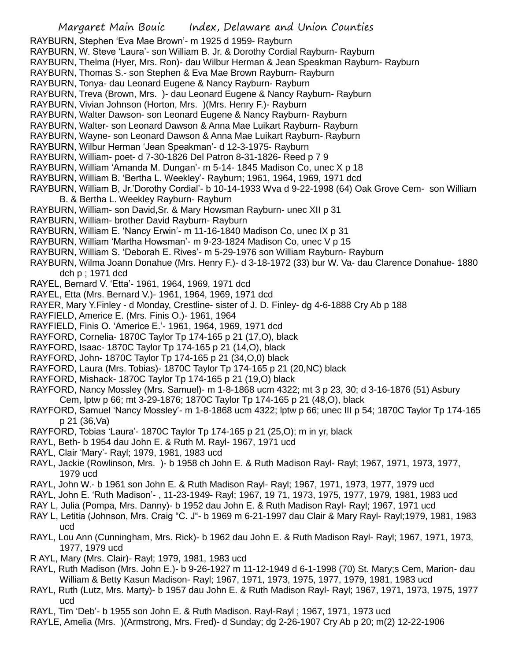- RAYBURN, Stephen 'Eva Mae Brown'- m 1925 d 1959- Rayburn
- RAYBURN, W. Steve 'Laura'- son William B. Jr. & Dorothy Cordial Rayburn- Rayburn
- RAYBURN, Thelma (Hyer, Mrs. Ron)- dau Wilbur Herman & Jean Speakman Rayburn- Rayburn
- RAYBURN, Thomas S.- son Stephen & Eva Mae Brown Rayburn- Rayburn
- RAYBURN, Tonya- dau Leonard Eugene & Nancy Rayburn- Rayburn
- RAYBURN, Treva (Brown, Mrs. )- dau Leonard Eugene & Nancy Rayburn- Rayburn
- RAYBURN, Vivian Johnson (Horton, Mrs. )(Mrs. Henry F.)- Rayburn
- RAYBURN, Walter Dawson- son Leonard Eugene & Nancy Rayburn- Rayburn
- RAYBURN, Walter- son Leonard Dawson & Anna Mae Luikart Rayburn- Rayburn
- RAYBURN, Wayne- son Leonard Dawson & Anna Mae Luikart Rayburn- Rayburn
- RAYBURN, Wilbur Herman 'Jean Speakman'- d 12-3-1975- Rayburn
- RAYBURN, William- poet- d 7-30-1826 Del Patron 8-31-1826- Reed p 7 9
- RAYBURN, William 'Amanda M. Dungan'- m 5-14- 1845 Madison Co, unec X p 18
- RAYBURN, William B. 'Bertha L. Weekley'- Rayburn; 1961, 1964, 1969, 1971 dcd
- RAYBURN, William B, Jr.'Dorothy Cordial'- b 10-14-1933 Wva d 9-22-1998 (64) Oak Grove Cem- son William B. & Bertha L. Weekley Rayburn- Rayburn
- RAYBURN, William- son David,Sr. & Mary Howsman Rayburn- unec XII p 31
- RAYBURN, William- brother David Rayburn- Rayburn
- RAYBURN, William E. 'Nancy Erwin'- m 11-16-1840 Madison Co, unec IX p 31
- RAYBURN, William 'Martha Howsman'- m 9-23-1824 Madison Co, unec V p 15
- RAYBURN, William S. 'Deborah E. Rives'- m 5-29-1976 son William Rayburn- Rayburn
- RAYBURN, Wilma Joann Donahue (Mrs. Henry F.)- d 3-18-1972 (33) bur W. Va- dau Clarence Donahue- 1880 dch p ; 1971 dcd
- RAYEL, Bernard V. 'Etta'- 1961, 1964, 1969, 1971 dcd
- RAYEL, Etta (Mrs. Bernard V.)- 1961, 1964, 1969, 1971 dcd
- RAYER, Mary Y.Finley d Monday, Crestline- sister of J. D. Finley- dg 4-6-1888 Cry Ab p 188
- RAYFIELD, Americe E. (Mrs. Finis O.)- 1961, 1964
- RAYFIELD, Finis O. 'Americe E.'- 1961, 1964, 1969, 1971 dcd
- RAYFORD, Cornelia- 1870C Taylor Tp 174-165 p 21 (17,O), black
- RAYFORD, Isaac- 1870C Taylor Tp 174-165 p 21 (14,O), black
- RAYFORD, John- 1870C Taylor Tp 174-165 p 21 (34,O,0) black
- RAYFORD, Laura (Mrs. Tobias)- 1870C Taylor Tp 174-165 p 21 (20,NC) black
- RAYFORD, Mishack- 1870C Taylor Tp 174-165 p 21 (19,O) black
- RAYFORD, Nancy Mossley (Mrs. Samuel)- m 1-8-1868 ucm 4322; mt 3 p 23, 30; d 3-16-1876 (51) Asbury Cem, lptw p 66; mt 3-29-1876; 1870C Taylor Tp 174-165 p 21 (48,O), black
- RAYFORD, Samuel 'Nancy Mossley'- m 1-8-1868 ucm 4322; lptw p 66; unec III p 54; 1870C Taylor Tp 174-165 p 21 (36,Va)
- RAYFORD, Tobias 'Laura'- 1870C Taylor Tp 174-165 p 21 (25,O); m in yr, black
- RAYL, Beth- b 1954 dau John E. & Ruth M. Rayl- 1967, 1971 ucd
- RAYL, Clair 'Mary'- Rayl; 1979, 1981, 1983 ucd
- RAYL, Jackie (Rowlinson, Mrs. )- b 1958 ch John E. & Ruth Madison Rayl- Rayl; 1967, 1971, 1973, 1977, 1979 ucd
- RAYL, John W.- b 1961 son John E. & Ruth Madison Rayl- Rayl; 1967, 1971, 1973, 1977, 1979 ucd
- RAYL, John E. 'Ruth Madison'- , 11-23-1949- Rayl; 1967, 19 71, 1973, 1975, 1977, 1979, 1981, 1983 ucd
- RAY L, Julia (Pompa, Mrs. Danny)- b 1952 dau John E. & Ruth Madison Rayl- Rayl; 1967, 1971 ucd
- RAY L, Letitia (Johnson, Mrs. Craig "C. J"- b 1969 m 6-21-1997 dau Clair & Mary Rayl- Rayl;1979, 1981, 1983 ucd
- RAYL, Lou Ann (Cunningham, Mrs. Rick)- b 1962 dau John E. & Ruth Madison Rayl- Rayl; 1967, 1971, 1973, 1977, 1979 ucd
- R AYL, Mary (Mrs. Clair)- Rayl; 1979, 1981, 1983 ucd
- RAYL, Ruth Madison (Mrs. John E.)- b 9-26-1927 m 11-12-1949 d 6-1-1998 (70) St. Mary;s Cem, Marion- dau William & Betty Kasun Madison- Rayl; 1967, 1971, 1973, 1975, 1977, 1979, 1981, 1983 ucd
- RAYL, Ruth (Lutz, Mrs. Marty)- b 1957 dau John E. & Ruth Madison Rayl- Rayl; 1967, 1971, 1973, 1975, 1977 ucd
- RAYL, Tim 'Deb'- b 1955 son John E. & Ruth Madison. Rayl-Rayl ; 1967, 1971, 1973 ucd
- RAYLE, Amelia (Mrs. )(Armstrong, Mrs. Fred)- d Sunday; dg 2-26-1907 Cry Ab p 20; m(2) 12-22-1906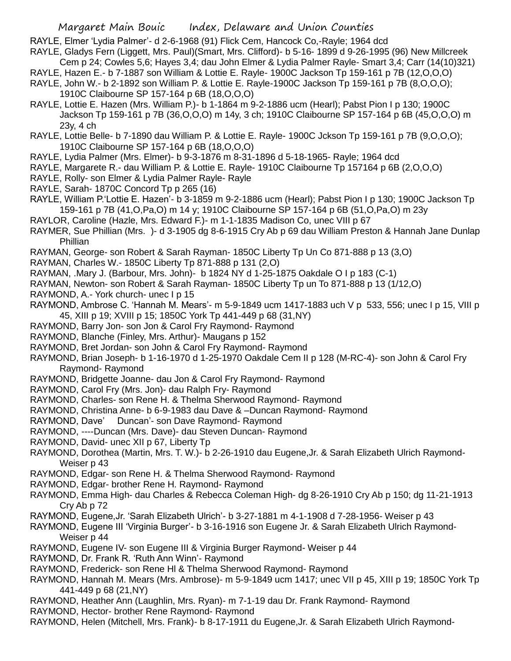RAYLE, Elmer 'Lydia Palmer'- d 2-6-1968 (91) Flick Cem, Hancock Co,-Rayle; 1964 dcd

- RAYLE, Gladys Fern (Liggett, Mrs. Paul)(Smart, Mrs. Clifford)- b 5-16- 1899 d 9-26-1995 (96) New Millcreek
- Cem p 24; Cowles 5,6; Hayes 3,4; dau John Elmer & Lydia Palmer Rayle- Smart 3,4; Carr (14(10)321)
- RAYLE, Hazen E.- b 7-1887 son William & Lottie E. Rayle- 1900C Jackson Tp 159-161 p 7B (12,O,O,O) RAYLE, John W.- b 2-1892 son William P. & Lottie E. Rayle-1900C Jackson Tp 159-161 p 7B (8,O,O,O); 1910C Claibourne SP 157-164 p 6B (18,O,O,O)
- RAYLE, Lottie E. Hazen (Mrs. William P.)- b 1-1864 m 9-2-1886 ucm (Hearl); Pabst Pion I p 130; 1900C Jackson Tp 159-161 p 7B (36,O,O,O) m 14y, 3 ch; 1910C Claibourne SP 157-164 p 6B (45,O,O,O) m 23y, 4 ch
- RAYLE, Lottie Belle- b 7-1890 dau William P. & Lottie E. Rayle- 1900C Jckson Tp 159-161 p 7B (9,O,O,O); 1910C Claibourne SP 157-164 p 6B (18,O,O,O)
- RAYLE, Lydia Palmer (Mrs. Elmer)- b 9-3-1876 m 8-31-1896 d 5-18-1965- Rayle; 1964 dcd
- RAYLE, Margarete R.- dau William P. & Lottie E. Rayle- 1910C Claibourne Tp 157164 p 6B (2,O,O,O)
- RAYLE, Rolly- son Elmer & Lydia Palmer Rayle- Rayle
- RAYLE, Sarah- 1870C Concord Tp p 265 (16)
- RAYLE, William P.'Lottie E. Hazen'- b 3-1859 m 9-2-1886 ucm (Hearl); Pabst Pion I p 130; 1900C Jackson Tp 159-161 p 7B (41,O,Pa,O) m 14 y; 1910C Claibourne SP 157-164 p 6B (51,O,Pa,O) m 23y
- RAYLOR, Caroline (Hazle, Mrs. Edward F.)- m 1-1-1835 Madison Co, unec VIII p 67
- RAYMER, Sue Phillian (Mrs. )- d 3-1905 dg 8-6-1915 Cry Ab p 69 dau William Preston & Hannah Jane Dunlap Phillian
- RAYMAN, George- son Robert & Sarah Rayman- 1850C Liberty Tp Un Co 871-888 p 13 (3,O)
- RAYMAN, Charles W.- 1850C Liberty Tp 871-888 p 131 (2,O)
- RAYMAN, .Mary J. (Barbour, Mrs. John)- b 1824 NY d 1-25-1875 Oakdale O I p 183 (C-1)
- RAYMAN, Newton- son Robert & Sarah Rayman- 1850C Liberty Tp un To 871-888 p 13 (1/12,O)
- RAYMOND, A.- York church- unec I p 15
- RAYMOND, Ambrose C. 'Hannah M. Mears'- m 5-9-1849 ucm 1417-1883 uch V p 533, 556; unec I p 15, VIII p 45, XIII p 19; XVIII p 15; 1850C York Tp 441-449 p 68 (31,NY)
- RAYMOND, Barry Jon- son Jon & Carol Fry Raymond- Raymond
- RAYMOND, Blanche (Finley, Mrs. Arthur)- Maugans p 152
- RAYMOND, Bret Jordan- son John & Carol Fry Raymond- Raymond
- RAYMOND, Brian Joseph- b 1-16-1970 d 1-25-1970 Oakdale Cem II p 128 (M-RC-4)- son John & Carol Fry Raymond- Raymond
- RAYMOND, Bridgette Joanne- dau Jon & Carol Fry Raymond- Raymond
- RAYMOND, Carol Fry (Mrs. Jon)- dau Ralph Fry- Raymond
- RAYMOND, Charles- son Rene H. & Thelma Sherwood Raymond- Raymond
- RAYMOND, Christina Anne- b 6-9-1983 dau Dave & –Duncan Raymond- Raymond
- RAYMOND, Dave' Duncan'- son Dave Raymond- Raymond
- RAYMOND, ----Duncan (Mrs. Dave)- dau Steven Duncan- Raymond
- RAYMOND, David- unec XII p 67, Liberty Tp
- RAYMOND, Dorothea (Martin, Mrs. T. W.)- b 2-26-1910 dau Eugene,Jr. & Sarah Elizabeth Ulrich Raymond-Weiser p 43
- RAYMOND, Edgar- son Rene H. & Thelma Sherwood Raymond- Raymond
- RAYMOND, Edgar- brother Rene H. Raymond- Raymond
- RAYMOND, Emma High- dau Charles & Rebecca Coleman High- dg 8-26-1910 Cry Ab p 150; dg 11-21-1913 Cry Ab p 72
- RAYMOND, Eugene,Jr. 'Sarah Elizabeth Ulrich'- b 3-27-1881 m 4-1-1908 d 7-28-1956- Weiser p 43
- RAYMOND, Eugene III 'Virginia Burger'- b 3-16-1916 son Eugene Jr. & Sarah Elizabeth Ulrich Raymond-Weiser p 44
- RAYMOND, Eugene IV- son Eugene III & Virginia Burger Raymond- Weiser p 44
- RAYMOND, Dr. Frank R. 'Ruth Ann Winn'- Raymond
- RAYMOND, Frederick- son Rene Hl & Thelma Sherwood Raymond- Raymond
- RAYMOND, Hannah M. Mears (Mrs. Ambrose)- m 5-9-1849 ucm 1417; unec VII p 45, XIII p 19; 1850C York Tp 441-449 p 68 (21,NY)
- RAYMOND, Heather Ann (Laughlin, Mrs. Ryan)- m 7-1-19 dau Dr. Frank Raymond- Raymond
- RAYMOND, Hector- brother Rene Raymond- Raymond
- RAYMOND, Helen (Mitchell, Mrs. Frank)- b 8-17-1911 du Eugene,Jr. & Sarah Elizabeth Ulrich Raymond-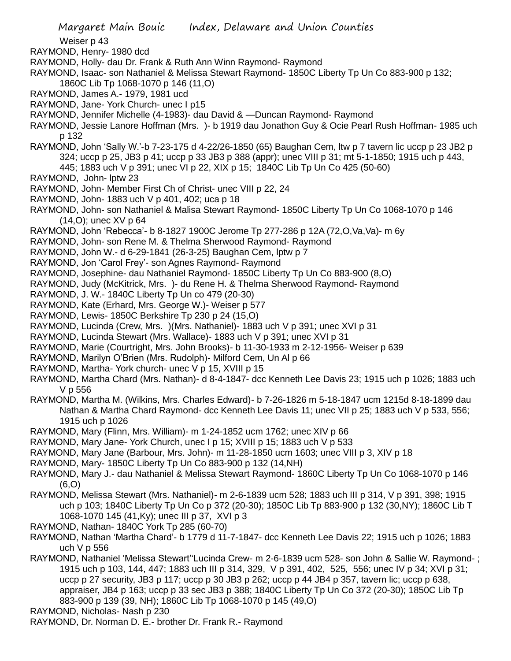Weiser p 43

RAYMOND, Henry- 1980 dcd

- RAYMOND, Holly- dau Dr. Frank & Ruth Ann Winn Raymond- Raymond
- RAYMOND, Isaac- son Nathaniel & Melissa Stewart Raymond- 1850C Liberty Tp Un Co 883-900 p 132; 1860C Lib Tp 1068-1070 p 146 (11,O)
- RAYMOND, James A.- 1979, 1981 ucd
- RAYMOND, Jane- York Church- unec I p15
- RAYMOND, Jennifer Michelle (4-1983)- dau David & —Duncan Raymond- Raymond
- RAYMOND, Jessie Lanore Hoffman (Mrs. )- b 1919 dau Jonathon Guy & Ocie Pearl Rush Hoffman- 1985 uch p 132
- RAYMOND, John 'Sally W.'-b 7-23-175 d 4-22/26-1850 (65) Baughan Cem, ltw p 7 tavern lic uccp p 23 JB2 p 324; uccp p 25, JB3 p 41; uccp p 33 JB3 p 388 (appr); unec VIII p 31; mt 5-1-1850; 1915 uch p 443, 445; 1883 uch V p 391; unec VI p 22, XIX p 15; 1840C Lib Tp Un Co 425 (50-60)
- RAYMOND, John- lptw 23
- RAYMOND, John- Member First Ch of Christ- unec VIII p 22, 24
- RAYMOND, John- 1883 uch V p 401, 402; uca p 18
- RAYMOND, John- son Nathaniel & Malisa Stewart Raymond- 1850C Liberty Tp Un Co 1068-1070 p 146 (14,O); unec XV p 64
- RAYMOND, John 'Rebecca'- b 8-1827 1900C Jerome Tp 277-286 p 12A (72,O,Va,Va)- m 6y
- RAYMOND, John- son Rene M. & Thelma Sherwood Raymond- Raymond
- RAYMOND, John W.- d 6-29-1841 (26-3-25) Baughan Cem, lptw p 7
- RAYMOND, Jon 'Carol Frey'- son Agnes Raymond- Raymond
- RAYMOND, Josephine- dau Nathaniel Raymond- 1850C Liberty Tp Un Co 883-900 (8,O)
- RAYMOND, Judy (McKitrick, Mrs. )- du Rene H. & Thelma Sherwood Raymond- Raymond
- RAYMOND, J. W.- 1840C Liberty Tp Un co 479 (20-30)
- RAYMOND, Kate (Erhard, Mrs. George W.)- Weiser p 577
- RAYMOND, Lewis- 1850C Berkshire Tp 230 p 24 (15,O)
- RAYMOND, Lucinda (Crew, Mrs. )(Mrs. Nathaniel)- 1883 uch V p 391; unec XVI p 31
- RAYMOND, Lucinda Stewart (Mrs. Wallace)- 1883 uch V p 391; unec XVI p 31
- RAYMOND, Marie (Courtright, Mrs. John Brooks)- b 11-30-1933 m 2-12-1956- Weiser p 639
- RAYMOND, Marilyn O'Brien (Mrs. Rudolph)- Milford Cem, Un Al p 66
- RAYMOND, Martha- York church- unec V p 15, XVIII p 15
- RAYMOND, Martha Chard (Mrs. Nathan)- d 8-4-1847- dcc Kenneth Lee Davis 23; 1915 uch p 1026; 1883 uch V p 556
- RAYMOND, Martha M. (Wilkins, Mrs. Charles Edward)- b 7-26-1826 m 5-18-1847 ucm 1215d 8-18-1899 dau Nathan & Martha Chard Raymond- dcc Kenneth Lee Davis 11; unec VII p 25; 1883 uch V p 533, 556; 1915 uch p 1026
- RAYMOND, Mary (Flinn, Mrs. William)- m 1-24-1852 ucm 1762; unec XIV p 66
- RAYMOND, Mary Jane- York Church, unec I p 15; XVIII p 15; 1883 uch V p 533
- RAYMOND, Mary Jane (Barbour, Mrs. John)- m 11-28-1850 ucm 1603; unec VIII p 3, XIV p 18
- RAYMOND, Mary- 1850C Liberty Tp Un Co 883-900 p 132 (14,NH)
- RAYMOND, Mary J.- dau Nathaniel & Melissa Stewart Raymond- 1860C Liberty Tp Un Co 1068-1070 p 146  $(6, 0)$
- RAYMOND, Melissa Stewart (Mrs. Nathaniel)- m 2-6-1839 ucm 528; 1883 uch III p 314, V p 391, 398; 1915 uch p 103; 1840C Liberty Tp Un Co p 372 (20-30); 1850C Lib Tp 883-900 p 132 (30,NY); 1860C Lib T 1068-1070 145 (41,Ky); unec III p 37, XVI p 3
- RAYMOND, Nathan- 1840C York Tp 285 (60-70)
- RAYMOND, Nathan 'Martha Chard'- b 1779 d 11-7-1847- dcc Kenneth Lee Davis 22; 1915 uch p 1026; 1883 uch V p 556
- RAYMOND, Nathaniel 'Melissa Stewart''Lucinda Crew- m 2-6-1839 ucm 528- son John & Sallie W. Raymond- ; 1915 uch p 103, 144, 447; 1883 uch III p 314, 329, V p 391, 402, 525, 556; unec IV p 34; XVI p 31; uccp p 27 security, JB3 p 117; uccp p 30 JB3 p 262; uccp p 44 JB4 p 357, tavern lic; uccp p 638, appraiser, JB4 p 163; uccp p 33 sec JB3 p 388; 1840C Liberty Tp Un Co 372 (20-30); 1850C Lib Tp 883-900 p 139 (39, NH); 1860C Lib Tp 1068-1070 p 145 (49,O)
- RAYMOND, Nicholas- Nash p 230
- RAYMOND, Dr. Norman D. E.- brother Dr. Frank R.- Raymond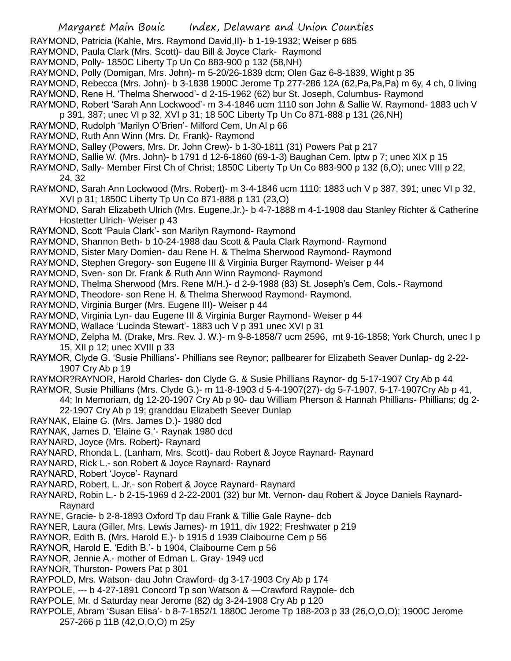RAYMOND, Patricia (Kahle, Mrs. Raymond David,II)- b 1-19-1932; Weiser p 685

- RAYMOND, Paula Clark (Mrs. Scott)- dau Bill & Joyce Clark- Raymond
- RAYMOND, Polly- 1850C Liberty Tp Un Co 883-900 p 132 (58,NH)
- RAYMOND, Polly (Domigan, Mrs. John)- m 5-20/26-1839 dcm; Olen Gaz 6-8-1839, Wight p 35
- RAYMOND, Rebecca (Mrs. John)- b 3-1838 1900C Jerome Tp 277-286 12A (62,Pa,Pa,Pa) m 6y, 4 ch, 0 living
- RAYMOND, Rene H. 'Thelma Sherwood'- d 2-15-1962 (62) bur St. Joseph, Columbus- Raymond
- RAYMOND, Robert 'Sarah Ann Lockwood'- m 3-4-1846 ucm 1110 son John & Sallie W. Raymond- 1883 uch V
- p 391, 387; unec VI p 32, XVI p 31; 18 50C Liberty Tp Un Co 871-888 p 131 (26,NH)
- RAYMOND, Rudolph 'Marilyn O'Brien'- Milford Cem, Un Al p 66
- RAYMOND, Ruth Ann Winn (Mrs. Dr. Frank)- Raymond
- RAYMOND, Salley (Powers, Mrs. Dr. John Crew)- b 1-30-1811 (31) Powers Pat p 217
- RAYMOND, Sallie W. (Mrs. John)- b 1791 d 12-6-1860 (69-1-3) Baughan Cem. lptw p 7; unec XIX p 15
- RAYMOND, Sally- Member First Ch of Christ; 1850C Liberty Tp Un Co 883-900 p 132 (6,O); unec VIII p 22,
	- 24, 32
- RAYMOND, Sarah Ann Lockwood (Mrs. Robert)- m 3-4-1846 ucm 1110; 1883 uch V p 387, 391; unec VI p 32, XVI p 31; 1850C Liberty Tp Un Co 871-888 p 131 (23,O)
- RAYMOND, Sarah Elizabeth Ulrich (Mrs. Eugene,Jr.)- b 4-7-1888 m 4-1-1908 dau Stanley Richter & Catherine Hostetter Ulrich- Weiser p 43
- RAYMOND, Scott 'Paula Clark'- son Marilyn Raymond- Raymond
- RAYMOND, Shannon Beth- b 10-24-1988 dau Scott & Paula Clark Raymond- Raymond
- RAYMOND, Sister Mary Domien- dau Rene H. & Thelma Sherwood Raymond- Raymond
- RAYMOND, Stephen Gregory- son Eugene III & Virginia Burger Raymond- Weiser p 44
- RAYMOND, Sven- son Dr. Frank & Ruth Ann Winn Raymond- Raymond
- RAYMOND, Thelma Sherwood (Mrs. Rene M/H.)- d 2-9-1988 (83) St. Joseph's Cem, Cols.- Raymond
- RAYMOND, Theodore- son Rene H. & Thelma Sherwood Raymond- Raymond.
- RAYMOND, Virginia Burger (Mrs. Eugene III)- Weiser p 44
- RAYMOND, Virginia Lyn- dau Eugene III & Virginia Burger Raymond- Weiser p 44
- RAYMOND, Wallace 'Lucinda Stewart'- 1883 uch V p 391 unec XVI p 31
- RAYMOND, Zelpha M. (Drake, Mrs. Rev. J. W.)- m 9-8-1858/7 ucm 2596, mt 9-16-1858; York Church, unec I p 15, XII p 12; unec XVIII p 33
- RAYMOR, Clyde G. 'Susie Phillians'- Phillians see Reynor; pallbearer for Elizabeth Seaver Dunlap- dg 2-22- 1907 Cry Ab p 19
- RAYMOR?RAYNOR, Harold Charles- don Clyde G. & Susie Phillians Raynor- dg 5-17-1907 Cry Ab p 44
- RAYMOR, Susie Phillians (Mrs. Clyde G.)- m 11-8-1903 d 5-4-1907(27)- dg 5-7-1907, 5-17-1907Cry Ab p 41, 44; In Memoriam, dg 12-20-1907 Cry Ab p 90- dau William Pherson & Hannah Phillians- Phillians; dg 2- 22-1907 Cry Ab p 19; granddau Elizabeth Seever Dunlap
- RAYNAK, Elaine G. (Mrs. James D.)- 1980 dcd
- RAYNAK, James D. 'Elaine G.'- Raynak 1980 dcd
- RAYNARD, Joyce (Mrs. Robert)- Raynard
- RAYNARD, Rhonda L. (Lanham, Mrs. Scott)- dau Robert & Joyce Raynard- Raynard
- RAYNARD, Rick L.- son Robert & Joyce Raynard- Raynard
- RAYNARD, Robert 'Joyce'- Raynard
- RAYNARD, Robert, L. Jr.- son Robert & Joyce Raynard- Raynard
- RAYNARD, Robin L.- b 2-15-1969 d 2-22-2001 (32) bur Mt. Vernon- dau Robert & Joyce Daniels Raynard-Raynard
- RAYNE, Gracie- b 2-8-1893 Oxford Tp dau Frank & Tillie Gale Rayne- dcb
- RAYNER, Laura (Giller, Mrs. Lewis James)- m 1911, div 1922; Freshwater p 219
- RAYNOR, Edith B. (Mrs. Harold E.)- b 1915 d 1939 Claibourne Cem p 56
- RAYNOR, Harold E. 'Edith B.'- b 1904, Claibourne Cem p 56
- RAYNOR, Jennie A.- mother of Edman L. Gray- 1949 ucd
- RAYNOR, Thurston- Powers Pat p 301
- RAYPOLD, Mrs. Watson- dau John Crawford- dg 3-17-1903 Cry Ab p 174
- RAYPOLE, --- b 4-27-1891 Concord Tp son Watson & —Crawford Raypole- dcb
- RAYPOLE, Mr. d Saturday near Jerome (82) dg 3-24-1908 Cry Ab p 120
- RAYPOLE, Abram 'Susan Elisa'- b 8-7-1852/1 1880C Jerome Tp 188-203 p 33 (26,O,O,O); 1900C Jerome 257-266 p 11B (42,O,O,O) m 25y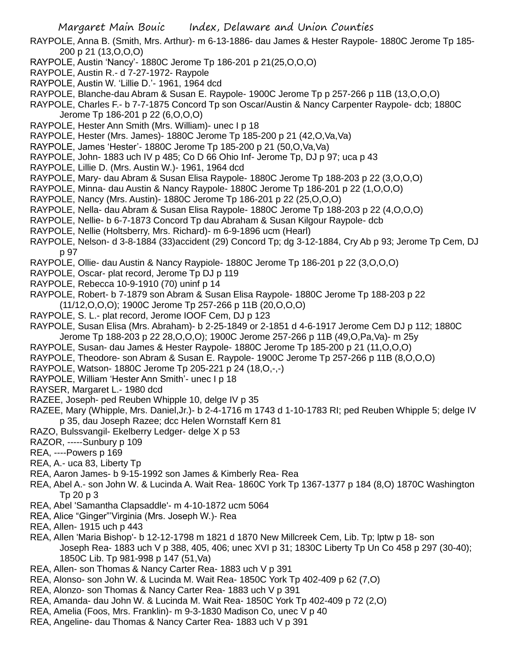- RAYPOLE, Anna B. (Smith, Mrs. Arthur)- m 6-13-1886- dau James & Hester Raypole- 1880C Jerome Tp 185- 200 p 21 (13,O,O,O)
- RAYPOLE, Austin 'Nancy'- 1880C Jerome Tp 186-201 p 21(25,O,O,O)
- RAYPOLE, Austin R.- d 7-27-1972- Raypole
- RAYPOLE, Austin W. 'Lillie D.'- 1961, 1964 dcd
- RAYPOLE, Blanche-dau Abram & Susan E. Raypole- 1900C Jerome Tp p 257-266 p 11B (13,O,O,O)

RAYPOLE, Charles F.- b 7-7-1875 Concord Tp son Oscar/Austin & Nancy Carpenter Raypole- dcb; 1880C Jerome Tp 186-201 p 22 (6,O,O,O)

- RAYPOLE, Hester Ann Smith (Mrs. William)- unec I p 18
- RAYPOLE, Hester (Mrs. James)- 1880C Jerome Tp 185-200 p 21 (42,O,Va,Va)
- RAYPOLE, James 'Hester'- 1880C Jerome Tp 185-200 p 21 (50,O,Va,Va)
- RAYPOLE, John- 1883 uch IV p 485; Co D 66 Ohio Inf- Jerome Tp, DJ p 97; uca p 43
- RAYPOLE, Lillie D. (Mrs. Austin W.)- 1961, 1964 dcd
- RAYPOLE, Mary- dau Abram & Susan Elisa Raypole- 1880C Jerome Tp 188-203 p 22 (3,O,O,O)
- RAYPOLE, Minna- dau Austin & Nancy Raypole- 1880C Jerome Tp 186-201 p 22 (1,O,O,O)
- RAYPOLE, Nancy (Mrs. Austin)- 1880C Jerome Tp 186-201 p 22 (25,O,O,O)
- RAYPOLE, Nella- dau Abram & Susan Elisa Raypole- 1880C Jerome Tp 188-203 p 22 (4,O,O,O)
- RAYPOLE, Nellie- b 6-7-1873 Concord Tp dau Abraham & Susan Kilgour Raypole- dcb
- RAYPOLE, Nellie (Holtsberry, Mrs. Richard)- m 6-9-1896 ucm (Hearl)
- RAYPOLE, Nelson- d 3-8-1884 (33)accident (29) Concord Tp; dg 3-12-1884, Cry Ab p 93; Jerome Tp Cem, DJ p 97
- RAYPOLE, Ollie- dau Austin & Nancy Raypiole- 1880C Jerome Tp 186-201 p 22 (3,O,O,O)
- RAYPOLE, Oscar- plat record, Jerome Tp DJ p 119
- RAYPOLE, Rebecca 10-9-1910 (70) uninf p 14
- RAYPOLE, Robert- b 7-1879 son Abram & Susan Elisa Raypole- 1880C Jerome Tp 188-203 p 22 (11/12,O,O,O); 1900C Jerome Tp 257-266 p 11B (20,O,O,O)
- RAYPOLE, S. L.- plat record, Jerome IOOF Cem, DJ p 123
- RAYPOLE, Susan Elisa (Mrs. Abraham)- b 2-25-1849 or 2-1851 d 4-6-1917 Jerome Cem DJ p 112; 1880C
- Jerome Tp 188-203 p 22 28,O,O,O); 1900C Jerome 257-266 p 11B (49,O,Pa,Va)- m 25y
- RAYPOLE, Susan- dau James & Hester Raypole- 1880C Jerome Tp 185-200 p 21 (11,O,O,O)
- RAYPOLE, Theodore- son Abram & Susan E. Raypole- 1900C Jerome Tp 257-266 p 11B (8,O,O,O)
- RAYPOLE, Watson- 1880C Jerome Tp 205-221 p 24 (18,O,-,-)
- RAYPOLE, William 'Hester Ann Smith'- unec I p 18
- RAYSER, Margaret L.- 1980 dcd
- RAZEE, Joseph- ped Reuben Whipple 10, delge IV p 35
- RAZEE, Mary (Whipple, Mrs. Daniel,Jr.)- b 2-4-1716 m 1743 d 1-10-1783 RI; ped Reuben Whipple 5; delge IV p 35, dau Joseph Razee; dcc Helen Wornstaff Kern 81
- RAZO, Bulssvangil- Ekelberry Ledger- delge X p 53
- RAZOR, -----Sunbury p 109
- REA, ----Powers p 169
- REA, A.- uca 83, Liberty Tp
- REA, Aaron James- b 9-15-1992 son James & Kimberly Rea- Rea
- REA, Abel A.- son John W. & Lucinda A. Wait Rea- 1860C York Tp 1367-1377 p 184 (8,O) 1870C Washington Tp 20 p 3
- REA, Abel 'Samantha Clapsaddle'- m 4-10-1872 ucm 5064
- REA, Alice "Ginger"'Virginia (Mrs. Joseph W.)- Rea
- REA, Allen- 1915 uch p 443
- REA, Allen 'Maria Bishop'- b 12-12-1798 m 1821 d 1870 New Millcreek Cem, Lib. Tp; lptw p 18- son Joseph Rea- 1883 uch V p 388, 405, 406; unec XVI p 31; 1830C Liberty Tp Un Co 458 p 297 (30-40); 1850C Lib. Tp 981-998 p 147 (51,Va)
- REA, Allen- son Thomas & Nancy Carter Rea- 1883 uch V p 391
- REA, Alonso- son John W. & Lucinda M. Wait Rea- 1850C York Tp 402-409 p 62 (7,O)
- REA, Alonzo- son Thomas & Nancy Carter Rea- 1883 uch V p 391
- REA, Amanda- dau John W. & Lucinda M. Wait Rea- 1850C York Tp 402-409 p 72 (2,O)
- REA, Amelia (Foos, Mrs. Franklin)- m 9-3-1830 Madison Co, unec V p 40
- REA, Angeline- dau Thomas & Nancy Carter Rea- 1883 uch V p 391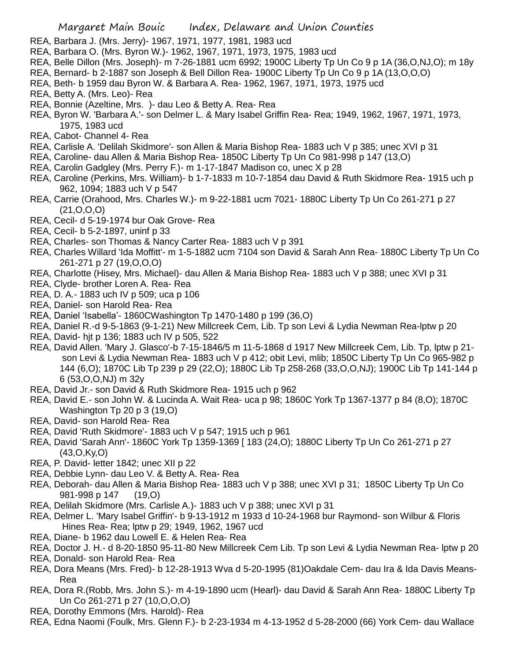- REA, Barbara J. (Mrs. Jerry)- 1967, 1971, 1977, 1981, 1983 ucd
- REA, Barbara O. (Mrs. Byron W.)- 1962, 1967, 1971, 1973, 1975, 1983 ucd
- REA, Belle Dillon (Mrs. Joseph)- m 7-26-1881 ucm 6992; 1900C Liberty Tp Un Co 9 p 1A (36,O,NJ,O); m 18y
- REA, Bernard- b 2-1887 son Joseph & Bell Dillon Rea- 1900C Liberty Tp Un Co 9 p 1A (13,O,O,O)
- REA, Beth- b 1959 dau Byron W. & Barbara A. Rea- 1962, 1967, 1971, 1973, 1975 ucd
- REA, Betty A. (Mrs. Leo)- Rea
- REA, Bonnie (Azeltine, Mrs. )- dau Leo & Betty A. Rea- Rea
- REA, Byron W. 'Barbara A.'- son Delmer L. & Mary Isabel Griffin Rea- Rea; 1949, 1962, 1967, 1971, 1973, 1975, 1983 ucd
- REA, Cabot- Channel 4- Rea
- REA, Carlisle A. 'Delilah Skidmore'- son Allen & Maria Bishop Rea- 1883 uch V p 385; unec XVI p 31
- REA, Caroline- dau Allen & Maria Bishop Rea- 1850C Liberty Tp Un Co 981-998 p 147 (13,O)
- REA, Carolin Gadgley (Mrs. Perry F.)- m 1-17-1847 Madison co, unec X p 28
- REA, Caroline (Perkins, Mrs. William)- b 1-7-1833 m 10-7-1854 dau David & Ruth Skidmore Rea- 1915 uch p 962, 1094; 1883 uch V p 547
- REA, Carrie (Orahood, Mrs. Charles W.)- m 9-22-1881 ucm 7021- 1880C Liberty Tp Un Co 261-271 p 27 (21,O,O,O)
- REA, Cecil- d 5-19-1974 bur Oak Grove- Rea
- REA, Cecil- b 5-2-1897, uninf p 33
- REA, Charles- son Thomas & Nancy Carter Rea- 1883 uch V p 391
- REA, Charles Willard 'Ida Moffitt'- m 1-5-1882 ucm 7104 son David & Sarah Ann Rea- 1880C Liberty Tp Un Co 261-271 p 27 (19,O,O,O)
- REA, Charlotte (Hisey, Mrs. Michael)- dau Allen & Maria Bishop Rea- 1883 uch V p 388; unec XVI p 31
- REA, Clyde- brother Loren A. Rea- Rea
- REA, D. A.- 1883 uch IV p 509; uca p 106
- REA, Daniel- son Harold Rea- Rea
- REA, Daniel 'Isabella'- 1860CWashington Tp 1470-1480 p 199 (36,O)
- REA, Daniel R.-d 9-5-1863 (9-1-21) New Millcreek Cem, Lib. Tp son Levi & Lydia Newman Rea-lptw p 20
- REA, David- hjt p 136; 1883 uch IV p 505, 522
- REA, David Allen. 'Mary J. Glasco'-b 7-15-1846/5 m 11-5-1868 d 1917 New Millcreek Cem, Lib. Tp, lptw p 21 son Levi & Lydia Newman Rea- 1883 uch V p 412; obit Levi, mlib; 1850C Liberty Tp Un Co 965-982 p 144 (6,O); 1870C Lib Tp 239 p 29 (22,O); 1880C Lib Tp 258-268 (33,O,O,NJ); 1900C Lib Tp 141-144 p 6 (53,O,O,NJ) m 32y
- REA, David Jr.- son David & Ruth Skidmore Rea- 1915 uch p 962
- REA, David E.- son John W. & Lucinda A. Wait Rea- uca p 98; 1860C York Tp 1367-1377 p 84 (8,O); 1870C Washington Tp 20 p 3 (19,O)
- REA, David- son Harold Rea- Rea
- REA, David 'Ruth Skidmore'- 1883 uch V p 547; 1915 uch p 961
- REA, David 'Sarah Ann'- 1860C York Tp 1359-1369 [ 183 (24,O); 1880C Liberty Tp Un Co 261-271 p 27 (43,O,Ky,O)
- REA, P. David- letter 1842; unec XII p 22
- REA, Debbie Lynn- dau Leo V. & Betty A. Rea- Rea
- REA, Deborah- dau Allen & Maria Bishop Rea- 1883 uch V p 388; unec XVI p 31; 1850C Liberty Tp Un Co 981-998 p 147 (19,O)
- REA, Delilah Skidmore (Mrs. Carlisle A.)- 1883 uch V p 388; unec XVI p 31
- REA, Delmer L. 'Mary Isabel Griffin'- b 9-13-1912 m 1933 d 10-24-1968 bur Raymond- son Wilbur & Floris Hines Rea- Rea; lptw p 29; 1949, 1962, 1967 ucd
- REA, Diane- b 1962 dau Lowell E. & Helen Rea- Rea
- REA, Doctor J. H.- d 8-20-1850 95-11-80 New Millcreek Cem Lib. Tp son Levi & Lydia Newman Rea- lptw p 20
- REA, Donald- son Harold Rea- Rea
- REA, Dora Means (Mrs. Fred)- b 12-28-1913 Wva d 5-20-1995 (81)Oakdale Cem- dau Ira & Ida Davis Means-Rea
- REA, Dora R.(Robb, Mrs. John S.)- m 4-19-1890 ucm (Hearl)- dau David & Sarah Ann Rea- 1880C Liberty Tp Un Co 261-271 p 27 (10,O,O,O)
- REA, Dorothy Emmons (Mrs. Harold)- Rea
- REA, Edna Naomi (Foulk, Mrs. Glenn F.)- b 2-23-1934 m 4-13-1952 d 5-28-2000 (66) York Cem- dau Wallace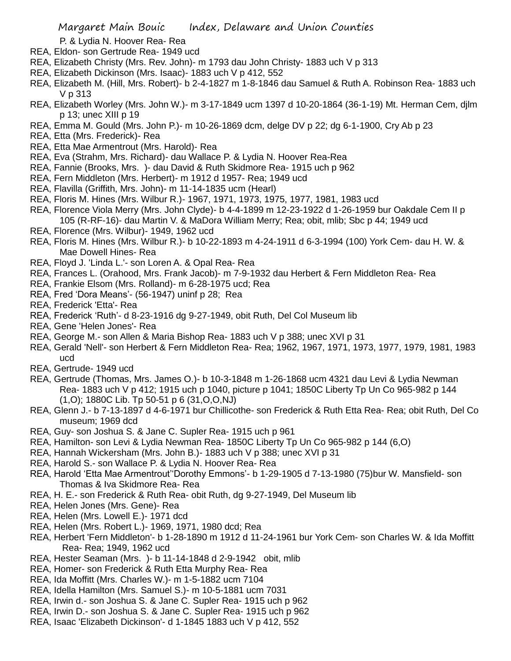## P. & Lydia N. Hoover Rea- Rea

- REA, Eldon- son Gertrude Rea- 1949 ucd
- REA, Elizabeth Christy (Mrs. Rev. John)- m 1793 dau John Christy- 1883 uch V p 313
- REA, Elizabeth Dickinson (Mrs. Isaac)- 1883 uch V p 412, 552
- REA, Elizabeth M. (Hill, Mrs. Robert)- b 2-4-1827 m 1-8-1846 dau Samuel & Ruth A. Robinson Rea- 1883 uch V p 313
- REA, Elizabeth Worley (Mrs. John W.)- m 3-17-1849 ucm 1397 d 10-20-1864 (36-1-19) Mt. Herman Cem, djlm p 13; unec XIII p 19
- REA, Emma M. Gould (Mrs. John P.)- m 10-26-1869 dcm, delge DV p 22; dg 6-1-1900, Cry Ab p 23
- REA, Etta (Mrs. Frederick)- Rea
- REA, Etta Mae Armentrout (Mrs. Harold)- Rea
- REA, Eva (Strahm, Mrs. Richard)- dau Wallace P. & Lydia N. Hoover Rea-Rea
- REA, Fannie (Brooks, Mrs. )- dau David & Ruth Skidmore Rea- 1915 uch p 962
- REA, Fern Middleton (Mrs. Herbert)- m 1912 d 1957- Rea; 1949 ucd
- REA, Flavilla (Griffith, Mrs. John)- m 11-14-1835 ucm (Hearl)
- REA, Floris M. Hines (Mrs. Wilbur R.)- 1967, 1971, 1973, 1975, 1977, 1981, 1983 ucd
- REA, Florence Viola Merry (Mrs. John Clyde)- b 4-4-1899 m 12-23-1922 d 1-26-1959 bur Oakdale Cem II p 105 (R-RF-16)- dau Martin V. & MaDora William Merry; Rea; obit, mlib; Sbc p 44; 1949 ucd
- REA, Florence (Mrs. Wilbur)- 1949, 1962 ucd
- REA, Floris M. Hines (Mrs. Wilbur R.)- b 10-22-1893 m 4-24-1911 d 6-3-1994 (100) York Cem- dau H. W. & Mae Dowell Hines- Rea
- REA, Floyd J. 'Linda L.'- son Loren A. & Opal Rea- Rea
- REA, Frances L. (Orahood, Mrs. Frank Jacob)- m 7-9-1932 dau Herbert & Fern Middleton Rea- Rea
- REA, Frankie Elsom (Mrs. Rolland)- m 6-28-1975 ucd; Rea
- REA, Fred 'Dora Means'- (56-1947) uninf p 28; Rea
- REA, Frederick 'Etta'- Rea
- REA, Frederick 'Ruth'- d 8-23-1916 dg 9-27-1949, obit Ruth, Del Col Museum lib
- REA, Gene 'Helen Jones'- Rea
- REA, George M.- son Allen & Maria Bishop Rea- 1883 uch V p 388; unec XVI p 31
- REA, Gerald 'Nell'- son Herbert & Fern Middleton Rea- Rea; 1962, 1967, 1971, 1973, 1977, 1979, 1981, 1983 ucd
- REA, Gertrude- 1949 ucd
- REA, Gertrude (Thomas, Mrs. James O.)- b 10-3-1848 m 1-26-1868 ucm 4321 dau Levi & Lydia Newman Rea- 1883 uch V p 412; 1915 uch p 1040, picture p 1041; 1850C Liberty Tp Un Co 965-982 p 144 (1,O); 1880C Lib. Tp 50-51 p 6 (31,O,O,NJ)
- REA, Glenn J.- b 7-13-1897 d 4-6-1971 bur Chillicothe- son Frederick & Ruth Etta Rea- Rea; obit Ruth, Del Co museum; 1969 dcd
- REA, Guy- son Joshua S. & Jane C. Supler Rea- 1915 uch p 961
- REA, Hamilton- son Levi & Lydia Newman Rea- 1850C Liberty Tp Un Co 965-982 p 144 (6,O)
- REA, Hannah Wickersham (Mrs. John B.)- 1883 uch V p 388; unec XVI p 31
- REA, Harold S.- son Wallace P. & Lydia N. Hoover Rea- Rea
- REA, Harold 'Etta Mae Armentrout''Dorothy Emmons'- b 1-29-1905 d 7-13-1980 (75)bur W. Mansfield- son Thomas & Iva Skidmore Rea- Rea
- REA, H. E.- son Frederick & Ruth Rea- obit Ruth, dg 9-27-1949, Del Museum lib
- REA, Helen Jones (Mrs. Gene)- Rea
- REA, Helen (Mrs. Lowell E.)- 1971 dcd
- REA, Helen (Mrs. Robert L.)- 1969, 1971, 1980 dcd; Rea
- REA, Herbert 'Fern Middleton'- b 1-28-1890 m 1912 d 11-24-1961 bur York Cem- son Charles W. & Ida Moffitt Rea- Rea; 1949, 1962 ucd
- REA, Hester Seaman (Mrs. )- b 11-14-1848 d 2-9-1942 obit, mlib
- REA, Homer- son Frederick & Ruth Etta Murphy Rea- Rea
- REA, Ida Moffitt (Mrs. Charles W.)- m 1-5-1882 ucm 7104
- REA, Idella Hamilton (Mrs. Samuel S.)- m 10-5-1881 ucm 7031
- REA, Irwin d.- son Joshua S. & Jane C. Supler Rea- 1915 uch p 962
- REA, Irwin D.- son Joshua S. & Jane C. Supler Rea- 1915 uch p 962
- REA, Isaac 'Elizabeth Dickinson'- d 1-1845 1883 uch V p 412, 552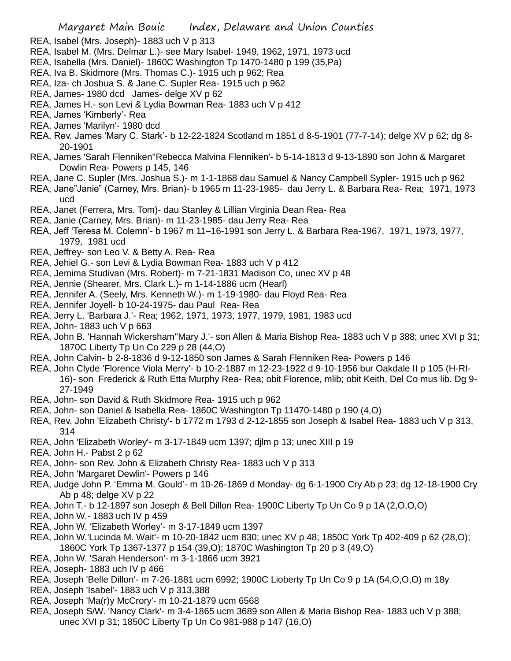- REA, Isabel (Mrs. Joseph)- 1883 uch V p 313
- REA, Isabel M. (Mrs. Delmar L.)- see Mary Isabel- 1949, 1962, 1971, 1973 ucd
- REA, Isabella (Mrs. Daniel)- 1860C Washington Tp 1470-1480 p 199 (35,Pa)
- REA, Iva B. Skidmore (Mrs. Thomas C.)- 1915 uch p 962; Rea
- REA, Iza- ch Joshua S. & Jane C. Supler Rea- 1915 uch p 962
- REA, James- 1980 dcd James- delge XV p 62
- REA, James H.- son Levi & Lydia Bowman Rea- 1883 uch V p 412
- REA, James 'Kimberly'- Rea
- REA, James 'Marilyn'- 1980 dcd
- REA, Rev. James 'Mary C. Stark'- b 12-22-1824 Scotland m 1851 d 8-5-1901 (77-7-14); delge XV p 62; dg 8- 20-1901
- REA, James 'Sarah Flenniken''Rebecca Malvina Flenniken'- b 5-14-1813 d 9-13-1890 son John & Margaret Dowlin Rea- Powers p 145, 146
- REA, Jane C. Supler (Mrs. Joshua S.)- m 1-1-1868 dau Samuel & Nancy Campbell Sypler- 1915 uch p 962
- REA, Jane"Janie" (Carney, Mrs. Brian)- b 1965 m 11-23-1985- dau Jerry L. & Barbara Rea- Rea; 1971, 1973 ucd
- REA, Janet (Ferrera, Mrs. Tom)- dau Stanley & Lillian Virginia Dean Rea- Rea
- REA, Janie (Carney, Mrs. Brian)- m 11-23-1985- dau Jerry Rea- Rea
- REA, Jeff 'Teresa M. Colemn'- b 1967 m 11–16-1991 son Jerry L. & Barbara Rea-1967, 1971, 1973, 1977, 1979, 1981 ucd
- REA, Jeffrey- son Leo V. & Betty A. Rea- Rea
- REA, Jehiel G.- son Levi & Lydia Bowman Rea- 1883 uch V p 412
- REA, Jemima Studivan (Mrs. Robert)- m 7-21-1831 Madison Co, unec XV p 48
- REA, Jennie (Shearer, Mrs. Clark L.)- m 1-14-1886 ucm (Hearl)
- REA, Jennifer A. (Seely, Mrs. Kenneth W.)- m 1-19-1980- dau Floyd Rea- Rea
- REA, Jennifer Joyell- b 10-24-1975- dau Paul Rea- Rea
- REA, Jerry L. 'Barbara J.'- Rea; 1962, 1971, 1973, 1977, 1979, 1981, 1983 ucd
- REA, John- 1883 uch V p 663
- REA, John B. 'Hannah Wickersham''Mary J.'- son Allen & Maria Bishop Rea- 1883 uch V p 388; unec XVI p 31; 1870C Liberty Tp Un Co 229 p 28 (44,O)
- REA, John Calvin- b 2-8-1836 d 9-12-1850 son James & Sarah Flenniken Rea- Powers p 146
- REA, John Clyde 'Florence Viola Merry'- b 10-2-1887 m 12-23-1922 d 9-10-1956 bur Oakdale II p 105 (H-RI-16)- son Frederick & Ruth Etta Murphy Rea- Rea; obit Florence, mlib; obit Keith, Del Co mus lib. Dg 9- 27-1949
- REA, John- son David & Ruth Skidmore Rea- 1915 uch p 962
- REA, John- son Daniel & Isabella Rea- 1860C Washington Tp 11470-1480 p 190 (4,O)
- REA, Rev. John 'Elizabeth Christy'- b 1772 m 1793 d 2-12-1855 son Joseph & Isabel Rea- 1883 uch V p 313, 314
- REA, John 'Elizabeth Worley'- m 3-17-1849 ucm 1397; djlm p 13; unec XIII p 19
- REA, John H.- Pabst 2 p 62
- REA, John- son Rev. John & Elizabeth Christy Rea- 1883 uch V p 313
- REA, John 'Margaret Dewlin'- Powers p 146
- REA, Judge John P. 'Emma M. Gould'- m 10-26-1869 d Monday- dg 6-1-1900 Cry Ab p 23; dg 12-18-1900 Cry Ab p 48; delge XV p 22
- REA, John T.- b 12-1897 son Joseph & Bell Dillon Rea- 1900C Liberty Tp Un Co 9 p 1A (2,O,O,O)
- REA, John W.- 1883 uch IV p 459
- REA, John W. 'Elizabeth Worley'- m 3-17-1849 ucm 1397
- REA, John W.'Lucinda M. Wait'- m 10-20-1842 ucm 830; unec XV p 48; 1850C York Tp 402-409 p 62 (28,O); 1860C York Tp 1367-1377 p 154 (39,O); 1870C Washington Tp 20 p 3 (49,O)
- REA, John W. 'Sarah Henderson'- m 3-1-1866 ucm 3921
- REA, Joseph- 1883 uch IV p 466
- REA, Joseph 'Belle Dillon'- m 7-26-1881 ucm 6992; 1900C Lioberty Tp Un Co 9 p 1A (54,O,O,O) m 18y
- REA, Joseph 'Isabel'- 1883 uch V p 313,388
- REA, Joseph 'Ma(r)y McCrory'- m 10-21-1879 ucm 6568
- REA, Joseph S/W. 'Nancy Clark'- m 3-4-1865 ucm 3689 son Allen & Maria Bishop Rea- 1883 uch V p 388; unec XVI p 31; 1850C Liberty Tp Un Co 981-988 p 147 (16,O)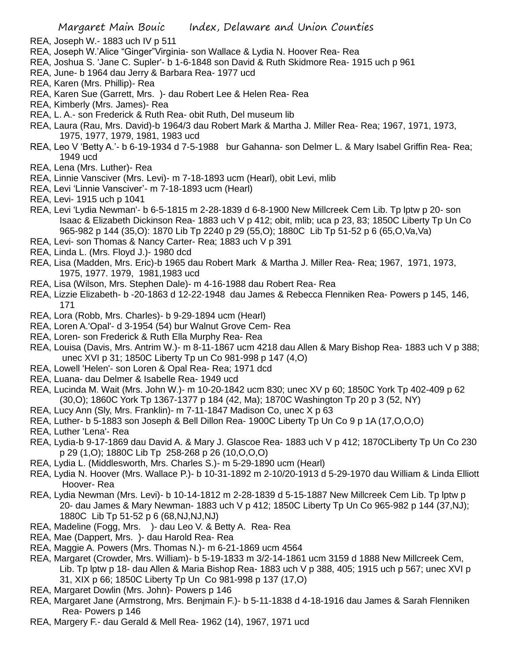- REA, Joseph W.- 1883 uch IV p 511
- REA, Joseph W.'Alice "Ginger"Virginia- son Wallace & Lydia N. Hoover Rea- Rea
- REA, Joshua S. 'Jane C. Supler'- b 1-6-1848 son David & Ruth Skidmore Rea- 1915 uch p 961
- REA, June- b 1964 dau Jerry & Barbara Rea- 1977 ucd
- REA, Karen (Mrs. Phillip)- Rea
- REA, Karen Sue (Garrett, Mrs. )- dau Robert Lee & Helen Rea- Rea
- REA, Kimberly (Mrs. James)- Rea
- REA, L. A.- son Frederick & Ruth Rea- obit Ruth, Del museum lib
- REA, Laura (Rau, Mrs. David)-b 1964/3 dau Robert Mark & Martha J. Miller Rea- Rea; 1967, 1971, 1973, 1975, 1977, 1979, 1981, 1983 ucd
- REA, Leo V 'Betty A.'- b 6-19-1934 d 7-5-1988 bur Gahanna- son Delmer L. & Mary Isabel Griffin Rea- Rea; 1949 ucd
- REA, Lena (Mrs. Luther)- Rea
- REA, Linnie Vansciver (Mrs. Levi)- m 7-18-1893 ucm (Hearl), obit Levi, mlib
- REA, Levi 'Linnie Vansciver'- m 7-18-1893 ucm (Hearl)
- REA, Levi- 1915 uch p 1041
- REA, Levi 'Lydia Newman'- b 6-5-1815 m 2-28-1839 d 6-8-1900 New Millcreek Cem Lib. Tp lptw p 20- son Isaac & Elizabeth Dickinson Rea- 1883 uch V p 412; obit, mlib; uca p 23, 83; 1850C Liberty Tp Un Co 965-982 p 144 (35,O): 1870 Lib Tp 2240 p 29 (55,O); 1880C Lib Tp 51-52 p 6 (65,O,Va,Va)
- REA, Levi- son Thomas & Nancy Carter- Rea; 1883 uch V p 391
- REA, Linda L. (Mrs. Floyd J.)- 1980 dcd
- REA, Lisa (Madden, Mrs. Eric)-b 1965 dau Robert Mark & Martha J. Miller Rea- Rea; 1967, 1971, 1973, 1975, 1977. 1979, 1981,1983 ucd
- REA, Lisa (Wilson, Mrs. Stephen Dale)- m 4-16-1988 dau Robert Rea- Rea
- REA, Lizzie Elizabeth- b -20-1863 d 12-22-1948 dau James & Rebecca Flenniken Rea- Powers p 145, 146, 171
- REA, Lora (Robb, Mrs. Charles)- b 9-29-1894 ucm (Hearl)
- REA, Loren A.'Opal'- d 3-1954 (54) bur Walnut Grove Cem- Rea
- REA, Loren- son Frederick & Ruth Ella Murphy Rea- Rea
- REA, Louisa (Davis, Mrs. Antrim W.)- m 8-11-1867 ucm 4218 dau Allen & Mary Bishop Rea- 1883 uch V p 388; unec XVI p 31; 1850C Liberty Tp un Co 981-998 p 147 (4,O)
- REA, Lowell 'Helen'- son Loren & Opal Rea- Rea; 1971 dcd
- REA, Luana- dau Delmer & Isabelle Rea- 1949 ucd
- REA, Lucinda M. Wait (Mrs. John W.)- m 10-20-1842 ucm 830; unec XV p 60; 1850C York Tp 402-409 p 62 (30,O); 1860C York Tp 1367-1377 p 184 (42, Ma); 1870C Washington Tp 20 p 3 (52, NY)
- REA, Lucy Ann (Sly, Mrs. Franklin)- m 7-11-1847 Madison Co, unec X p 63
- REA, Luther- b 5-1883 son Joseph & Bell Dillon Rea- 1900C Liberty Tp Un Co 9 p 1A (17,O,O,O)
- REA, Luther 'Lena'- Rea
- REA, Lydia-b 9-17-1869 dau David A. & Mary J. Glascoe Rea- 1883 uch V p 412; 1870CLiberty Tp Un Co 230 p 29 (1,O); 1880C Lib Tp 258-268 p 26 (10,O,O,O)
- REA, Lydia L. (Middlesworth, Mrs. Charles S.)- m 5-29-1890 ucm (Hearl)
- REA, Lydia N. Hoover (Mrs. Wallace P.)- b 10-31-1892 m 2-10/20-1913 d 5-29-1970 dau William & Linda Elliott Hoover- Rea
- REA, Lydia Newman (Mrs. Levi)- b 10-14-1812 m 2-28-1839 d 5-15-1887 New Millcreek Cem Lib. Tp lptw p 20- dau James & Mary Newman- 1883 uch V p 412; 1850C Liberty Tp Un Co 965-982 p 144 (37,NJ); 1880C Lib Tp 51-52 p 6 (68,NJ,NJ,NJ)
- REA, Madeline (Fogg, Mrs. )- dau Leo V. & Betty A. Rea- Rea
- REA, Mae (Dappert, Mrs. )- dau Harold Rea- Rea
- REA, Maggie A. Powers (Mrs. Thomas N.)- m 6-21-1869 ucm 4564
- REA, Margaret (Crowder, Mrs. William)- b 5-19-1833 m 3/2-14-1861 ucm 3159 d 1888 New Millcreek Cem, Lib. Tp lptw p 18- dau Allen & Maria Bishop Rea- 1883 uch V p 388, 405; 1915 uch p 567; unec XVI p 31, XIX p 66; 1850C Liberty Tp Un Co 981-998 p 137 (17,O)
- REA, Margaret Dowlin (Mrs. John)- Powers p 146
- REA, Margaret Jane (Armstrong, Mrs. Benjmain F.)- b 5-11-1838 d 4-18-1916 dau James & Sarah Flenniken Rea- Powers p 146
- REA, Margery F.- dau Gerald & Mell Rea- 1962 (14), 1967, 1971 ucd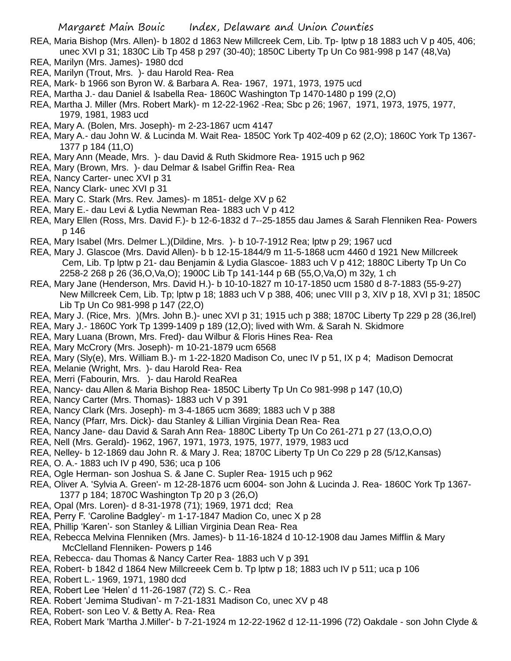- REA, Maria Bishop (Mrs. Allen)- b 1802 d 1863 New Millcreek Cem, Lib. Tp- lptw p 18 1883 uch V p 405, 406; unec XVI p 31; 1830C Lib Tp 458 p 297 (30-40); 1850C Liberty Tp Un Co 981-998 p 147 (48,Va)
- REA, Marilyn (Mrs. James)- 1980 dcd
- REA, Marilyn (Trout, Mrs. )- dau Harold Rea- Rea
- REA, Mark- b 1966 son Byron W. & Barbara A. Rea- 1967, 1971, 1973, 1975 ucd
- REA, Martha J.- dau Daniel & Isabella Rea- 1860C Washington Tp 1470-1480 p 199 (2,O)
- REA, Martha J. Miller (Mrs. Robert Mark)- m 12-22-1962 -Rea; Sbc p 26; 1967, 1971, 1973, 1975, 1977, 1979, 1981, 1983 ucd
- REA, Mary A. (Bolen, Mrs. Joseph)- m 2-23-1867 ucm 4147
- REA, Mary A.- dau John W. & Lucinda M. Wait Rea- 1850C York Tp 402-409 p 62 (2,O); 1860C York Tp 1367- 1377 p 184 (11,O)
- REA, Mary Ann (Meade, Mrs. )- dau David & Ruth Skidmore Rea- 1915 uch p 962
- REA, Mary (Brown, Mrs. )- dau Delmar & Isabel Griffin Rea- Rea
- REA, Nancy Carter- unec XVI p 31
- REA, Nancy Clark- unec XVI p 31
- REA. Mary C. Stark (Mrs. Rev. James)- m 1851- delge XV p 62
- REA, Mary E.- dau Levi & Lydia Newman Rea- 1883 uch V p 412
- REA, Mary Ellen (Ross, Mrs. David F.)- b 12-6-1832 d 7--25-1855 dau James & Sarah Flenniken Rea- Powers p 146
- REA, Mary Isabel (Mrs. Delmer L.)(Dildine, Mrs. )- b 10-7-1912 Rea; lptw p 29; 1967 ucd
- REA, Mary J. Glascoe (Mrs. David Allen)- b b 12-15-1844/9 m 11-5-1868 ucm 4460 d 1921 New Millcreek Cem, Lib. Tp lptw p 21- dau Benjamin & Lydia Glascoe- 1883 uch V p 412; 1880C Liberty Tp Un Co 2258-2 268 p 26 (36,O,Va,O); 1900C Lib Tp 141-144 p 6B (55,O,Va,O) m 32y, 1 ch
- REA, Mary Jane (Henderson, Mrs. David H.)- b 10-10-1827 m 10-17-1850 ucm 1580 d 8-7-1883 (55-9-27) New Millcreek Cem, Lib. Tp; lptw p 18; 1883 uch V p 388, 406; unec VIII p 3, XIV p 18, XVI p 31; 1850C Lib Tp Un Co 981-998 p 147 (22,O)
- REA, Mary J. (Rice, Mrs. )(Mrs. John B.)- unec XVI p 31; 1915 uch p 388; 1870C Liberty Tp 229 p 28 (36,Irel)
- REA, Mary J.- 1860C York Tp 1399-1409 p 189 (12,O); lived with Wm. & Sarah N. Skidmore
- REA, Mary Luana (Brown, Mrs. Fred)- dau Wilbur & Floris Hines Rea- Rea
- REA, Mary McCrory (Mrs. Joseph)- m 10-21-1879 ucm 6568
- REA, Mary (Sly(e), Mrs. William B.)- m 1-22-1820 Madison Co, unec IV p 51, IX p 4; Madison Democrat
- REA, Melanie (Wright, Mrs. )- dau Harold Rea- Rea
- REA, Merri (Fabourin, Mrs. )- dau Harold ReaRea
- REA, Nancy- dau Allen & Maria Bishop Rea- 1850C Liberty Tp Un Co 981-998 p 147 (10,O)
- REA, Nancy Carter (Mrs. Thomas)- 1883 uch V p 391
- REA, Nancy Clark (Mrs. Joseph)- m 3-4-1865 ucm 3689; 1883 uch V p 388
- REA, Nancy (Pfarr, Mrs. Dick)- dau Stanley & Lillian Virginia Dean Rea- Rea
- REA, Nancy Jane- dau David & Sarah Ann Rea- 1880C Liberty Tp Un Co 261-271 p 27 (13,O,O,O)
- REA, Nell (Mrs. Gerald)- 1962, 1967, 1971, 1973, 1975, 1977, 1979, 1983 ucd
- REA, Nelley- b 12-1869 dau John R. & Mary J. Rea; 1870C Liberty Tp Un Co 229 p 28 (5/12,Kansas)
- REA, O. A.- 1883 uch IV p 490, 536; uca p 106
- REA, Ogle Herman- son Joshua S. & Jane C. Supler Rea- 1915 uch p 962
- REA, Oliver A. 'Sylvia A. Green'- m 12-28-1876 ucm 6004- son John & Lucinda J. Rea- 1860C York Tp 1367- 1377 p 184; 1870C Washington Tp 20 p 3 (26,O)
- REA, Opal (Mrs. Loren)- d 8-31-1978 (71); 1969, 1971 dcd; Rea
- REA, Perry F. 'Caroline Badgley'- m 1-17-1847 Madion Co, unec X p 28
- REA, Phillip 'Karen'- son Stanley & Lillian Virginia Dean Rea- Rea
- REA, Rebecca Melvina Flenniken (Mrs. James)- b 11-16-1824 d 10-12-1908 dau James Mifflin & Mary McClelland Flenniken- Powers p 146
- REA, Rebecca- dau Thomas & Nancy Carter Rea- 1883 uch V p 391
- REA, Robert- b 1842 d 1864 New Millcreeek Cem b. Tp lptw p 18; 1883 uch IV p 511; uca p 106
- REA, Robert L.- 1969, 1971, 1980 dcd
- REA, Robert Lee 'Helen' d 11-26-1987 (72) S. C.- Rea
- REA. Robert 'Jemima Studivan'- m 7-21-1831 Madison Co, unec XV p 48
- REA, Robert- son Leo V. & Betty A. Rea- Rea
- REA, Robert Mark 'Martha J.Miller'- b 7-21-1924 m 12-22-1962 d 12-11-1996 (72) Oakdale son John Clyde &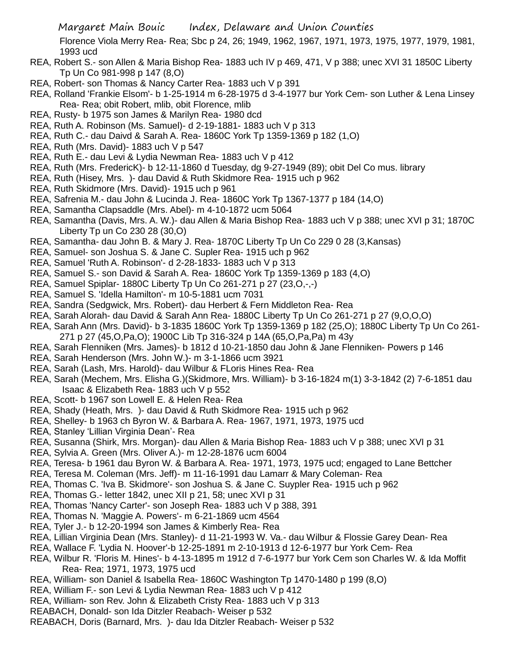Florence Viola Merry Rea- Rea; Sbc p 24, 26; 1949, 1962, 1967, 1971, 1973, 1975, 1977, 1979, 1981, 1993 ucd

- REA, Robert S.- son Allen & Maria Bishop Rea- 1883 uch IV p 469, 471, V p 388; unec XVI 31 1850C Liberty Tp Un Co 981-998 p 147 (8,O)
- REA, Robert- son Thomas & Nancy Carter Rea- 1883 uch V p 391
- REA, Rolland 'Frankie Elsom'- b 1-25-1914 m 6-28-1975 d 3-4-1977 bur York Cem- son Luther & Lena Linsey Rea- Rea; obit Robert, mlib, obit Florence, mlib
- REA, Rusty- b 1975 son James & Marilyn Rea- 1980 dcd
- REA, Ruth A. Robinson (Ms. Samuel)- d 2-19-1881- 1883 uch V p 313
- REA, Ruth C.- dau Daivd & Sarah A. Rea- 1860C York Tp 1359-1369 p 182 (1,O)
- REA, Ruth (Mrs. David)- 1883 uch V p 547
- REA, Ruth E.- dau Levi & Lydia Newman Rea- 1883 uch V p 412
- REA, Ruth (Mrs. FredericK)- b 12-11-1860 d Tuesday, dg 9-27-1949 (89); obit Del Co mus. library
- REA, Ruth (Hisey, Mrs. )- dau David & Ruth Skidmore Rea- 1915 uch p 962
- REA, Ruth Skidmore (Mrs. David)- 1915 uch p 961
- REA, Safrenia M.- dau John & Lucinda J. Rea- 1860C York Tp 1367-1377 p 184 (14,O)
- REA, Samantha Clapsaddle (Mrs. Abel)- m 4-10-1872 ucm 5064
- REA, Samantha (Davis, Mrs. A. W.)- dau Allen & Maria Bishop Rea- 1883 uch V p 388; unec XVI p 31; 1870C Liberty Tp un Co 230 28 (30,O)
- REA, Samantha- dau John B. & Mary J. Rea- 1870C Liberty Tp Un Co 229 0 28 (3,Kansas)
- REA, Samuel- son Joshua S. & Jane C. Supler Rea- 1915 uch p 962
- REA, Samuel 'Ruth A. Robinson'- d 2-28-1833- 1883 uch V p 313
- REA, Samuel S.- son David & Sarah A. Rea- 1860C York Tp 1359-1369 p 183 (4,O)
- REA, Samuel Spiplar- 1880C Liberty Tp Un Co 261-271 p 27 (23,O,-,-)
- REA, Samuel S. 'Idella Hamilton'- m 10-5-1881 ucm 7031
- REA, Sandra (Sedgwick, Mrs. Robert)- dau Herbert & Fern Middleton Rea- Rea
- REA, Sarah Alorah- dau David & Sarah Ann Rea- 1880C Liberty Tp Un Co 261-271 p 27 (9,O,O,O)
- REA, Sarah Ann (Mrs. David)- b 3-1835 1860C York Tp 1359-1369 p 182 (25,O); 1880C Liberty Tp Un Co 261- 271 p 27 (45,O,Pa,O); 1900C Lib Tp 316-324 p 14A (65,O,Pa,Pa) m 43y
- REA, Sarah Flenniken (Mrs. James)- b 1812 d 10-21-1850 dau John & Jane Flenniken- Powers p 146
- REA, Sarah Henderson (Mrs. John W.)- m 3-1-1866 ucm 3921
- REA, Sarah (Lash, Mrs. Harold)- dau Wilbur & FLoris Hines Rea- Rea
- REA, Sarah (Mechem, Mrs. Elisha G.)(Skidmore, Mrs. William)- b 3-16-1824 m(1) 3-3-1842 (2) 7-6-1851 dau Isaac & Elizabeth Rea- 1883 uch V p 552
- REA, Scott- b 1967 son Lowell E. & Helen Rea- Rea
- REA, Shady (Heath, Mrs. )- dau David & Ruth Skidmore Rea- 1915 uch p 962
- REA, Shelley- b 1963 ch Byron W. & Barbara A. Rea- 1967, 1971, 1973, 1975 ucd
- REA, Stanley 'Lillian Virginia Dean'- Rea
- REA, Susanna (Shirk, Mrs. Morgan)- dau Allen & Maria Bishop Rea- 1883 uch V p 388; unec XVI p 31
- REA, Sylvia A. Green (Mrs. Oliver A.)- m 12-28-1876 ucm 6004
- REA, Teresa- b 1961 dau Byron W. & Barbara A. Rea- 1971, 1973, 1975 ucd; engaged to Lane Bettcher
- REA, Teresa M. Coleman (Mrs. Jeff)- m 11-16-1991 dau Lamarr & Mary Coleman- Rea
- REA, Thomas C. 'Iva B. Skidmore'- son Joshua S. & Jane C. Suypler Rea- 1915 uch p 962
- REA, Thomas G.- letter 1842, unec XII p 21, 58; unec XVI p 31
- REA, Thomas 'Nancy Carter'- son Joseph Rea- 1883 uch V p 388, 391
- REA, Thomas N. 'Maggie A. Powers'- m 6-21-1869 ucm 4564
- REA, Tyler J.- b 12-20-1994 son James & Kimberly Rea- Rea
- REA, Lillian Virginia Dean (Mrs. Stanley)- d 11-21-1993 W. Va.- dau Wilbur & Flossie Garey Dean- Rea
- REA, Wallace F. 'Lydia N. Hoover'-b 12-25-1891 m 2-10-1913 d 12-6-1977 bur York Cem- Rea
- REA, Wilbur R. 'Floris M. Hines'- b 4-13-1895 m 1912 d 7-6-1977 bur York Cem son Charles W. & Ida Moffit Rea- Rea; 1971, 1973, 1975 ucd
- REA, William- son Daniel & Isabella Rea- 1860C Washington Tp 1470-1480 p 199 (8,O)
- REA, William F.- son Levi & Lydia Newman Rea- 1883 uch V p 412
- REA, William- son Rev. John & Elizabeth Cristy Rea- 1883 uch V p 313
- REABACH, Donald- son Ida Ditzler Reabach- Weiser p 532
- REABACH, Doris (Barnard, Mrs. )- dau Ida Ditzler Reabach- Weiser p 532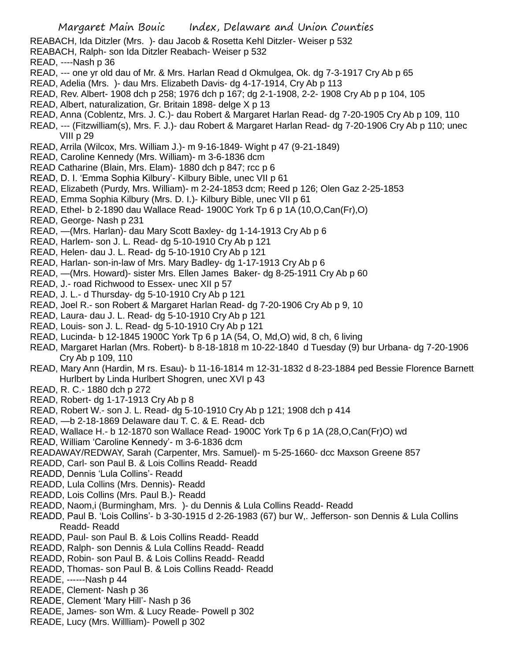REABACH, Ida Ditzler (Mrs. )- dau Jacob & Rosetta Kehl Ditzler- Weiser p 532

- REABACH, Ralph- son Ida Ditzler Reabach- Weiser p 532
- READ, ----Nash p 36
- READ, --- one yr old dau of Mr. & Mrs. Harlan Read d Okmulgea, Ok. dg 7-3-1917 Cry Ab p 65
- READ, Adelia (Mrs. )- dau Mrs. Elizabeth Davis- dg 4-17-1914, Cry Ab p 113
- READ, Rev. Albert- 1908 dch p 258; 1976 dch p 167; dg 2-1-1908, 2-2- 1908 Cry Ab p p 104, 105
- READ, Albert, naturalization, Gr. Britain 1898- delge X p 13
- READ, Anna (Coblentz, Mrs. J. C.)- dau Robert & Margaret Harlan Read- dg 7-20-1905 Cry Ab p 109, 110
- READ, --- (Fitzwilliam(s), Mrs. F. J.)- dau Robert & Margaret Harlan Read- dg 7-20-1906 Cry Ab p 110; unec VIII p 29
- READ, Arrila (Wilcox, Mrs. William J.)- m 9-16-1849- Wight p 47 (9-21-1849)
- READ, Caroline Kennedy (Mrs. William)- m 3-6-1836 dcm
- READ Catharine (Blain, Mrs. Elam)- 1880 dch p 847; rcc p 6
- READ, D. I. 'Emma Sophia Kilbury'- Kilbury Bible, unec VII p 61
- READ, Elizabeth (Purdy, Mrs. William)- m 2-24-1853 dcm; Reed p 126; Olen Gaz 2-25-1853
- READ, Emma Sophia Kilbury (Mrs. D. I.)- Kilbury Bible, unec VII p 61
- READ, Ethel- b 2-1890 dau Wallace Read- 1900C York Tp 6 p 1A (10,O,Can(Fr),O)
- READ, George- Nash p 231
- READ, —(Mrs. Harlan)- dau Mary Scott Baxley- dg 1-14-1913 Cry Ab p 6
- READ, Harlem- son J. L. Read- dg 5-10-1910 Cry Ab p 121
- READ, Helen- dau J. L. Read- dg 5-10-1910 Cry Ab p 121
- READ, Harlan- son-in-law of Mrs. Mary Badley- dg 1-17-1913 Cry Ab p 6
- READ, —(Mrs. Howard)- sister Mrs. Ellen James Baker- dg 8-25-1911 Cry Ab p 60
- READ, J.- road Richwood to Essex- unec XII p 57
- READ, J. L.- d Thursday- dg 5-10-1910 Cry Ab p 121
- READ, Joel R.- son Robert & Margaret Harlan Read- dg 7-20-1906 Cry Ab p 9, 10
- READ, Laura- dau J. L. Read- dg 5-10-1910 Cry Ab p 121
- READ, Louis- son J. L. Read- dg 5-10-1910 Cry Ab p 121
- READ, Lucinda- b 12-1845 1900C York Tp 6 p 1A (54, O, Md,O) wid, 8 ch, 6 living
- READ, Margaret Harlan (Mrs. Robert)- b 8-18-1818 m 10-22-1840 d Tuesday (9) bur Urbana- dg 7-20-1906 Cry Ab p 109, 110
- READ, Mary Ann (Hardin, M rs. Esau)- b 11-16-1814 m 12-31-1832 d 8-23-1884 ped Bessie Florence Barnett Hurlbert by Linda Hurlbert Shogren, unec XVI p 43
- READ, R. C.- 1880 dch p 272
- READ, Robert- dg 1-17-1913 Cry Ab p 8
- READ, Robert W.- son J. L. Read- dg 5-10-1910 Cry Ab p 121; 1908 dch p 414
- READ, —b 2-18-1869 Delaware dau T. C. & E. Read- dcb
- READ, Wallace H.- b 12-1870 son Wallace Read- 1900C York Tp 6 p 1A (28,O,Can(Fr)O) wd
- READ, William 'Caroline Kennedy'- m 3-6-1836 dcm
- READAWAY/REDWAY, Sarah (Carpenter, Mrs. Samuel)- m 5-25-1660- dcc Maxson Greene 857
- READD, Carl- son Paul B. & Lois Collins Readd- Readd
- READD, Dennis 'Lula Collins'- Readd
- READD, Lula Collins (Mrs. Dennis)- Readd
- READD, Lois Collins (Mrs. Paul B.)- Readd
- READD, Naom,i (Burmingham, Mrs. )- du Dennis & Lula Collins Readd- Readd
- READD, Paul B. 'Lois Collins'- b 3-30-1915 d 2-26-1983 (67) bur W,. Jefferson- son Dennis & Lula Collins Readd- Readd
- READD, Paul- son Paul B. & Lois Collins Readd- Readd
- READD, Ralph- son Dennis & Lula Collins Readd- Readd
- READD, Robin- son Paul B. & Lois Collins Readd- Readd
- READD, Thomas- son Paul B. & Lois Collins Readd- Readd
- READE, ------Nash p 44
- READE, Clement- Nash p 36
- READE, Clement 'Mary Hill'- Nash p 36
- READE, James- son Wm. & Lucy Reade- Powell p 302
- READE, Lucy (Mrs. Willliam)- Powell p 302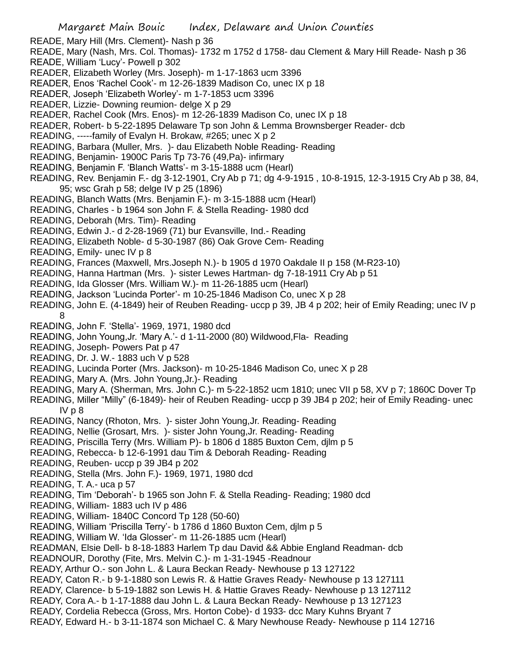READE, Mary Hill (Mrs. Clement)- Nash p 36

READE, Mary (Nash, Mrs. Col. Thomas)- 1732 m 1752 d 1758- dau Clement & Mary Hill Reade- Nash p 36 READE, William 'Lucy'- Powell p 302

- READER, Elizabeth Worley (Mrs. Joseph)- m 1-17-1863 ucm 3396
- READER, Enos 'Rachel Cook'- m 12-26-1839 Madison Co, unec IX p 18
- READER, Joseph 'Elizabeth Worley'- m 1-7-1853 ucm 3396
- READER, Lizzie- Downing reumion- delge X p 29
- READER, Rachel Cook (Mrs. Enos)- m 12-26-1839 Madison Co, unec IX p 18
- READER, Robert- b 5-22-1895 Delaware Tp son John & Lemma Brownsberger Reader- dcb
- READING, -----family of Evalyn H. Brokaw, #265; unec X p 2
- READING, Barbara (Muller, Mrs. )- dau Elizabeth Noble Reading- Reading
- READING, Benjamin- 1900C Paris Tp 73-76 (49,Pa)- infirmary
- READING, Benjamin F. 'Blanch Watts'- m 3-15-1888 ucm (Hearl)
- READING, Rev. Benjamin F.- dg 3-12-1901, Cry Ab p 71; dg 4-9-1915 , 10-8-1915, 12-3-1915 Cry Ab p 38, 84, 95; wsc Grah p 58; delge IV p 25 (1896)
- READING, Blanch Watts (Mrs. Benjamin F.)- m 3-15-1888 ucm (Hearl)
- READING, Charles b 1964 son John F. & Stella Reading- 1980 dcd
- READING, Deborah (Mrs. Tim)- Reading
- READING, Edwin J.- d 2-28-1969 (71) bur Evansville, Ind.- Reading
- READING, Elizabeth Noble- d 5-30-1987 (86) Oak Grove Cem- Reading
- READING, Emily- unec IV p 8
- READING, Frances (Maxwell, Mrs.Joseph N.)- b 1905 d 1970 Oakdale II p 158 (M-R23-10)
- READING, Hanna Hartman (Mrs. )- sister Lewes Hartman- dg 7-18-1911 Cry Ab p 51
- READING, Ida Glosser (Mrs. William W.)- m 11-26-1885 ucm (Hearl)
- READING, Jackson 'Lucinda Porter'- m 10-25-1846 Madison Co, unec X p 28
- READING, John E. (4-1849) heir of Reuben Reading- uccp p 39, JB 4 p 202; heir of Emily Reading; unec IV p 8
- READING, John F. 'Stella'- 1969, 1971, 1980 dcd
- READING, John Young,Jr. 'Mary A.'- d 1-11-2000 (80) Wildwood,Fla- Reading
- READING, Joseph- Powers Pat p 47
- READING, Dr. J. W.- 1883 uch V p 528
- READING, Lucinda Porter (Mrs. Jackson)- m 10-25-1846 Madison Co, unec X p 28
- READING, Mary A. (Mrs. John Young,Jr.)- Reading
- READING, Mary A. (Sherman, Mrs. John C.)- m 5-22-1852 ucm 1810; unec VII p 58, XV p 7; 1860C Dover Tp
- READING, Miller "Milly" (6-1849)- heir of Reuben Reading- uccp p 39 JB4 p 202; heir of Emily Reading- unec IV p 8
- READING, Nancy (Rhoton, Mrs. )- sister John Young,Jr. Reading- Reading
- READING, Nellie (Grosart, Mrs. )- sister John Young,Jr. Reading- Reading
- READING, Priscilla Terry (Mrs. William P)- b 1806 d 1885 Buxton Cem, djlm p 5
- READING, Rebecca- b 12-6-1991 dau Tim & Deborah Reading- Reading
- READING, Reuben- uccp p 39 JB4 p 202
- READING, Stella (Mrs. John F.)- 1969, 1971, 1980 dcd
- READING, T. A.- uca p 57
- READING, Tim 'Deborah'- b 1965 son John F. & Stella Reading- Reading; 1980 dcd
- READING, William- 1883 uch IV p 486
- READING, William- 1840C Concord Tp 128 (50-60)
- READING, William 'Priscilla Terry'- b 1786 d 1860 Buxton Cem, djlm p 5
- READING, William W. 'Ida Glosser'- m 11-26-1885 ucm (Hearl)
- READMAN, Elsie Dell- b 8-18-1883 Harlem Tp dau David && Abbie England Readman- dcb
- READNOUR, Dorothy (Fite, Mrs. Melvin C.)- m 1-31-1945 -Readnour
- READY, Arthur O.- son John L. & Laura Beckan Ready- Newhouse p 13 127122
- READY, Caton R.- b 9-1-1880 son Lewis R. & Hattie Graves Ready- Newhouse p 13 127111
- READY, Clarence- b 5-19-1882 son Lewis H. & Hattie Graves Ready- Newhouse p 13 127112
- READY, Cora A.- b 1-17-1888 dau John L. & Laura Beckan Ready- Newhouse p 13 127123
- READY, Cordelia Rebecca (Gross, Mrs. Horton Cobe)- d 1933- dcc Mary Kuhns Bryant 7
- READY, Edward H.- b 3-11-1874 son Michael C. & Mary Newhouse Ready- Newhouse p 114 12716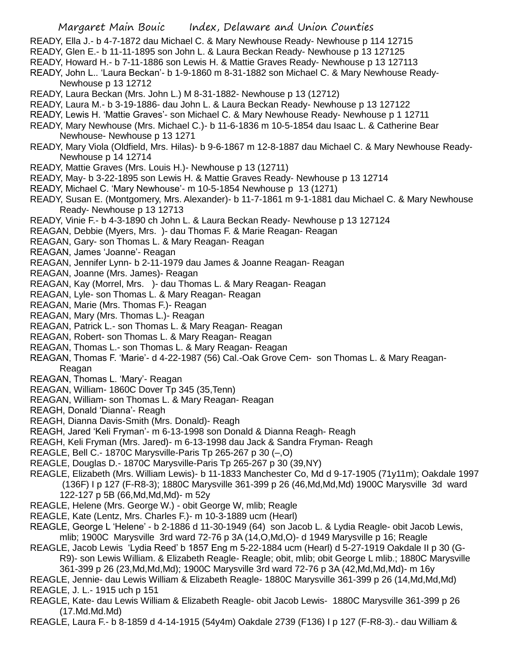- READY, Ella J.- b 4-7-1872 dau Michael C. & Mary Newhouse Ready- Newhouse p 114 12715
- READY, Glen E.- b 11-11-1895 son John L. & Laura Beckan Ready- Newhouse p 13 127125
- READY, Howard H.- b 7-11-1886 son Lewis H. & Mattie Graves Ready- Newhouse p 13 127113
- READY, John L.. 'Laura Beckan'- b 1-9-1860 m 8-31-1882 son Michael C. & Mary Newhouse Ready-Newhouse p 13 12712
- READY, Laura Beckan (Mrs. John L.) M 8-31-1882- Newhouse p 13 (12712)
- READY, Laura M.- b 3-19-1886- dau John L. & Laura Beckan Ready- Newhouse p 13 127122
- READY, Lewis H. 'Mattie Graves'- son Michael C. & Mary Newhouse Ready- Newhouse p 1 12711
- READY, Mary Newhouse (Mrs. Michael C.)- b 11-6-1836 m 10-5-1854 dau Isaac L. & Catherine Bear Newhouse- Newhouse p 13 1271
- READY, Mary Viola (Oldfield, Mrs. Hilas)- b 9-6-1867 m 12-8-1887 dau Michael C. & Mary Newhouse Ready-Newhouse p 14 12714
- READY, Mattie Graves (Mrs. Louis H.)- Newhouse p 13 (12711)
- READY, May- b 3-22-1895 son Lewis H. & Mattie Graves Ready- Newhouse p 13 12714
- READY, Michael C. 'Mary Newhouse'- m 10-5-1854 Newhouse p 13 (1271)
- READY, Susan E. (Montgomery, Mrs. Alexander)- b 11-7-1861 m 9-1-1881 dau Michael C. & Mary Newhouse Ready- Newhouse p 13 12713
- READY, Vinie F.- b 4-3-1890 ch John L. & Laura Beckan Ready- Newhouse p 13 127124
- REAGAN, Debbie (Myers, Mrs. )- dau Thomas F. & Marie Reagan- Reagan
- REAGAN, Gary- son Thomas L. & Mary Reagan- Reagan
- REAGAN, James 'Joanne'- Reagan
- REAGAN, Jennifer Lynn- b 2-11-1979 dau James & Joanne Reagan- Reagan
- REAGAN, Joanne (Mrs. James)- Reagan
- REAGAN, Kay (Morrel, Mrs. )- dau Thomas L. & Mary Reagan- Reagan
- REAGAN, Lyle- son Thomas L. & Mary Reagan- Reagan
- REAGAN, Marie (Mrs. Thomas F.)- Reagan
- REAGAN, Mary (Mrs. Thomas L.)- Reagan
- REAGAN, Patrick L.- son Thomas L. & Mary Reagan- Reagan
- REAGAN, Robert- son Thomas L. & Mary Reagan- Reagan
- REAGAN, Thomas L.- son Thomas L. & Mary Reagan- Reagan
- REAGAN, Thomas F. 'Marie'- d 4-22-1987 (56) Cal.-Oak Grove Cem- son Thomas L. & Mary Reagan-Reagan
- REAGAN, Thomas L. 'Mary'- Reagan
- REAGAN, William- 1860C Dover Tp 345 (35,Tenn)
- REAGAN, William- son Thomas L. & Mary Reagan- Reagan
- REAGH, Donald 'Dianna'- Reagh
- REAGH, Dianna Davis-Smith (Mrs. Donald)- Reagh
- REAGH, Jared 'Keli Fryman'- m 6-13-1998 son Donald & Dianna Reagh- Reagh
- REAGH, Keli Fryman (Mrs. Jared)- m 6-13-1998 dau Jack & Sandra Fryman- Reagh
- REAGLE, Bell C.- 1870C Marysville-Paris Tp 265-267 p 30 (–,O)
- REAGLE, Douglas D.- 1870C Marysville-Paris Tp 265-267 p 30 (39,NY)
- REAGLE, Elizabeth (Mrs. William Lewis)- b 11-1833 Manchester Co, Md d 9-17-1905 (71y11m); Oakdale 1997 (136F) I p 127 (F-R8-3); 1880C Marysville 361-399 p 26 (46,Md,Md,Md) 1900C Marysville 3d ward 122-127 p 5B (66,Md,Md,Md)- m 52y
- REAGLE, Helene (Mrs. George W.) obit George W, mlib; Reagle
- REAGLE, Kate (Lentz, Mrs. Charles F.)- m 10-3-1889 ucm (Hearl)
- REAGLE, George L 'Helene' b 2-1886 d 11-30-1949 (64) son Jacob L. & Lydia Reagle- obit Jacob Lewis, mlib; 1900C Marysville 3rd ward 72-76 p 3A (14,O,Md,O)- d 1949 Marysville p 16; Reagle
- REAGLE, Jacob Lewis 'Lydia Reed' b 1857 Eng m 5-22-1884 ucm (Hearl) d 5-27-1919 Oakdale II p 30 (G-R9)- son Lewis William. & Elizabeth Reagle- Reagle; obit, mlib; obit George L mlib.; 1880C Marysville

361-399 p 26 (23,Md,Md,Md); 1900C Marysville 3rd ward 72-76 p 3A (42,Md,Md,Md)- m 16y

REAGLE, Jennie- dau Lewis William & Elizabeth Reagle- 1880C Marysville 361-399 p 26 (14,Md,Md,Md) REAGLE, J. L.- 1915 uch p 151

- REAGLE, Kate- dau Lewis William & Elizabeth Reagle- obit Jacob Lewis- 1880C Marysville 361-399 p 26 (17.Md.Md.Md)
- REAGLE, Laura F.- b 8-1859 d 4-14-1915 (54y4m) Oakdale 2739 (F136) I p 127 (F-R8-3).- dau William &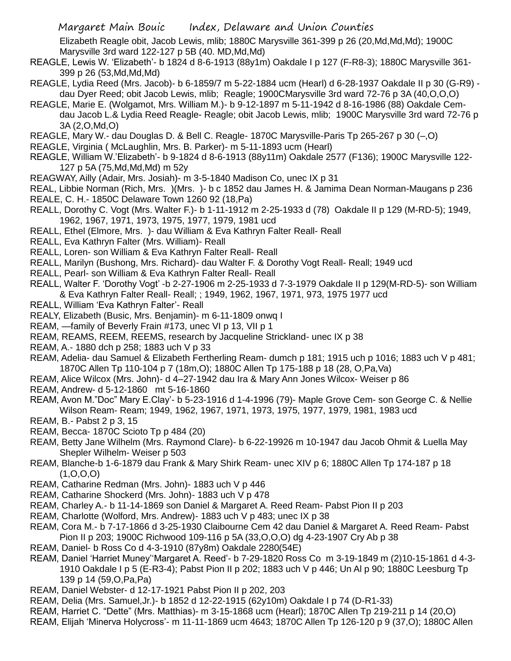Elizabeth Reagle obit, Jacob Lewis, mlib; 1880C Marysville 361-399 p 26 (20,Md,Md,Md); 1900C Marysville 3rd ward 122-127 p 5B (40. MD,Md,Md)

- REAGLE, Lewis W. 'Elizabeth'- b 1824 d 8-6-1913 (88y1m) Oakdale I p 127 (F-R8-3); 1880C Marysville 361- 399 p 26 (53,Md,Md,Md)
- REAGLE, Lydia Reed (Mrs. Jacob)- b 6-1859/7 m 5-22-1884 ucm (Hearl) d 6-28-1937 Oakdale II p 30 (G-R9) dau Dyer Reed; obit Jacob Lewis, mlib; Reagle; 1900CMarysville 3rd ward 72-76 p 3A (40,O,O,O)
- REAGLE, Marie E. (Wolgamot, Mrs. William M.)- b 9-12-1897 m 5-11-1942 d 8-16-1986 (88) Oakdale Cemdau Jacob L.& Lydia Reed Reagle- Reagle; obit Jacob Lewis, mlib; 1900C Marysville 3rd ward 72-76 p 3A (2,O,Md,O)
- REAGLE, Mary W.- dau Douglas D. & Bell C. Reagle- 1870C Marysville-Paris Tp 265-267 p 30 (–,O)
- REAGLE, Virginia ( McLaughlin, Mrs. B. Parker)- m 5-11-1893 ucm (Hearl)
- REAGLE, William W.'Elizabeth'- b 9-1824 d 8-6-1913 (88y11m) Oakdale 2577 (F136); 1900C Marysville 122- 127 p 5A (75,Md,Md,Md) m 52y
- REAGWAY, Ailly (Adair, Mrs. Josiah)- m 3-5-1840 Madison Co, unec IX p 31
- REAL, Libbie Norman (Rich, Mrs. )(Mrs. )- b c 1852 dau James H. & Jamima Dean Norman-Maugans p 236 REALE, C. H.- 1850C Delaware Town 1260 92 (18,Pa)
- REALL, Dorothy C. Vogt (Mrs. Walter F.)- b 1-11-1912 m 2-25-1933 d (78) Oakdale II p 129 (M-RD-5); 1949, 1962, 1967, 1971, 1973, 1975, 1977, 1979, 1981 ucd
- REALL, Ethel (Elmore, Mrs. )- dau William & Eva Kathryn Falter Reall- Reall
- REALL, Eva Kathryn Falter (Mrs. William)- Reall
- REALL, Loren- son William & Eva Kathryn Falter Reall- Reall
- REALL, Marilyn (Bushong, Mrs. Richard)- dau Walter F. & Dorothy Vogt Reall- Reall; 1949 ucd
- REALL, Pearl- son William & Eva Kathryn Falter Reall- Reall
- REALL, Walter F. 'Dorothy Vogt' -b 2-27-1906 m 2-25-1933 d 7-3-1979 Oakdale II p 129(M-RD-5)- son William & Eva Kathryn Falter Reall- Reall; ; 1949, 1962, 1967, 1971, 973, 1975 1977 ucd
- REALL, William 'Eva Kathryn Falter'- Reall
- REALY, Elizabeth (Busic, Mrs. Benjamin)- m 6-11-1809 onwq I
- REAM, —family of Beverly Frain #173, unec VI p 13, VII p 1
- REAM, REAMS, REEM, REEMS, research by Jacqueline Strickland- unec IX p 38
- REAM, A.- 1880 dch p 258; 1883 uch V p 33
- REAM, Adelia- dau Samuel & Elizabeth Fertherling Ream- dumch p 181; 1915 uch p 1016; 1883 uch V p 481; 1870C Allen Tp 110-104 p 7 (18m,O); 1880C Allen Tp 175-188 p 18 (28, O,Pa,Va)
- REAM, Alice Wilcox (Mrs. John)- d 4–27-1942 dau Ira & Mary Ann Jones Wilcox- Weiser p 86
- REAM, Andrew- d 5-12-1860 mt 5-16-1860
- REAM, Avon M."Doc" Mary E.Clay'- b 5-23-1916 d 1-4-1996 (79)- Maple Grove Cem- son George C. & Nellie Wilson Ream- Ream; 1949, 1962, 1967, 1971, 1973, 1975, 1977, 1979, 1981, 1983 ucd
- REAM, B.- Pabst 2 p 3, 15
- REAM, Becca- 1870C Scioto Tp p 484 (20)
- REAM, Betty Jane Wilhelm (Mrs. Raymond Clare)- b 6-22-19926 m 10-1947 dau Jacob Ohmit & Luella May Shepler Wilhelm- Weiser p 503
- REAM, Blanche-b 1-6-1879 dau Frank & Mary Shirk Ream- unec XIV p 6; 1880C Allen Tp 174-187 p 18  $(1, 0, 0, 0)$
- REAM, Catharine Redman (Mrs. John)- 1883 uch V p 446
- REAM, Catharine Shockerd (Mrs. John)- 1883 uch V p 478
- REAM, Charley A.- b 11-14-1869 son Daniel & Margaret A. Reed Ream- Pabst Pion II p 203
- REAM, Charlotte (Wolford, Mrs. Andrew)- 1883 uch V p 483; unec IX p 38
- REAM, Cora M.- b 7-17-1866 d 3-25-1930 Claibourne Cem 42 dau Daniel & Margaret A. Reed Ream- Pabst Pion II p 203; 1900C Richwood 109-116 p 5A (33,O,O,O) dg 4-23-1907 Cry Ab p 38
- REAM, Daniel- b Ross Co d 4-3-1910 (87y8m) Oakdale 2280(54E)
- REAM, Daniel 'Harriet Muney''Margaret A. Reed'- b 7-29-1820 Ross Co m 3-19-1849 m (2)10-15-1861 d 4-3- 1910 Oakdale I p 5 (E-R3-4); Pabst Pion II p 202; 1883 uch V p 446; Un Al p 90; 1880C Leesburg Tp 139 p 14 (59,O,Pa,Pa)
- REAM, Daniel Webster- d 12-17-1921 Pabst Pion II p 202, 203
- REAM, Delia (Mrs. Samuel,Jr.)- b 1852 d 12-22-1915 (62y10m) Oakdale I p 74 (D-R1-33)
- REAM, Harriet C. "Dette" (Mrs. Matthias)- m 3-15-1868 ucm (Hearl); 1870C Allen Tp 219-211 p 14 (20,O)
- REAM, Elijah 'Minerva Holycross'- m 11-11-1869 ucm 4643; 1870C Allen Tp 126-120 p 9 (37,O); 1880C Allen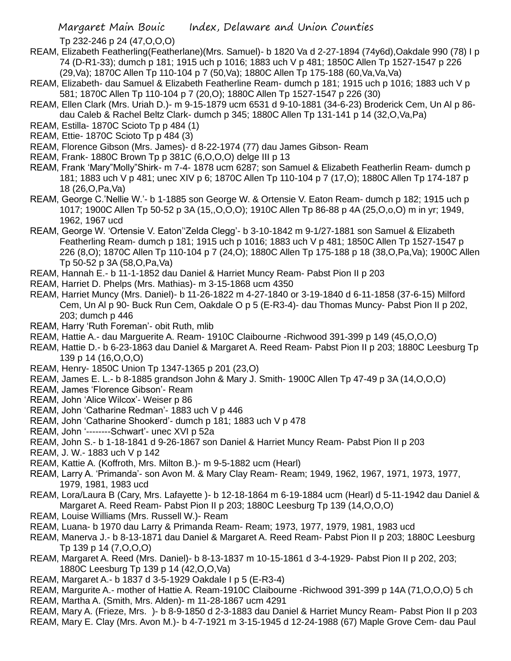Tp 232-246 p 24 (47,O,O,O)

- REAM, Elizabeth Featherling(Featherlane)(Mrs. Samuel)- b 1820 Va d 2-27-1894 (74y6d),Oakdale 990 (78) I p 74 (D-R1-33); dumch p 181; 1915 uch p 1016; 1883 uch V p 481; 1850C Allen Tp 1527-1547 p 226 (29,Va); 1870C Allen Tp 110-104 p 7 (50,Va); 1880C Allen Tp 175-188 (60,Va,Va,Va)
- REAM, Elizabeth- dau Samuel & Elizabeth Featherline Ream- dumch p 181; 1915 uch p 1016; 1883 uch V p 581; 1870C Allen Tp 110-104 p 7 (20,O); 1880C Allen Tp 1527-1547 p 226 (30)
- REAM, Ellen Clark (Mrs. Uriah D.)- m 9-15-1879 ucm 6531 d 9-10-1881 (34-6-23) Broderick Cem, Un Al p 86 dau Caleb & Rachel Beltz Clark- dumch p 345; 1880C Allen Tp 131-141 p 14 (32,O,Va,Pa)
- REAM, Estilla- 1870C Scioto Tp p 484 (1)
- REAM, Ettie- 1870C Scioto Tp p 484 (3)
- REAM, Florence Gibson (Mrs. James)- d 8-22-1974 (77) dau James Gibson- Ream
- REAM, Frank- 1880C Brown Tp p 381C (6,O,O,O) delge III p 13
- REAM, Frank 'Mary"Molly"Shirk- m 7-4- 1878 ucm 6287; son Samuel & Elizabeth Featherlin Ream- dumch p 181; 1883 uch V p 481; unec XIV p 6; 1870C Allen Tp 110-104 p 7 (17,O); 1880C Allen Tp 174-187 p 18 (26,O,Pa,Va)
- REAM, George C.'Nellie W.'- b 1-1885 son George W. & Ortensie V. Eaton Ream- dumch p 182; 1915 uch p 1017; 1900C Allen Tp 50-52 p 3A (15,,O,O,O); 1910C Allen Tp 86-88 p 4A (25,O,o,O) m in yr; 1949, 1962, 1967 ucd
- REAM, George W. 'Ortensie V. Eaton''Zelda Clegg'- b 3-10-1842 m 9-1/27-1881 son Samuel & Elizabeth Featherling Ream- dumch p 181; 1915 uch p 1016; 1883 uch V p 481; 1850C Allen Tp 1527-1547 p 226 (8,O); 1870C Allen Tp 110-104 p 7 (24,O); 1880C Allen Tp 175-188 p 18 (38,O,Pa,Va); 1900C Allen Tp 50-52 p 3A (58,O,Pa,Va)
- REAM, Hannah E.- b 11-1-1852 dau Daniel & Harriet Muncy Ream- Pabst Pion II p 203
- REAM, Harriet D. Phelps (Mrs. Mathias)- m 3-15-1868 ucm 4350
- REAM, Harriet Muncy (Mrs. Daniel)- b 11-26-1822 m 4-27-1840 or 3-19-1840 d 6-11-1858 (37-6-15) Milford Cem, Un Al p 90- Buck Run Cem, Oakdale O p 5 (E-R3-4)- dau Thomas Muncy- Pabst Pion II p 202, 203; dumch p 446
- REAM, Harry 'Ruth Foreman'- obit Ruth, mlib
- REAM, Hattie A.- dau Marguerite A. Ream- 1910C Claibourne -Richwood 391-399 p 149 (45,O,O,O)
- REAM, Hattie D.- b 6-23-1863 dau Daniel & Margaret A. Reed Ream- Pabst Pion II p 203; 1880C Leesburg Tp 139 p 14 (16,O,O,O)
- REAM, Henry- 1850C Union Tp 1347-1365 p 201 (23,O)
- REAM, James E. L.- b 8-1885 grandson John & Mary J. Smith- 1900C Allen Tp 47-49 p 3A (14,O,O,O)
- REAM, James 'Florence Gibson'- Ream
- REAM, John 'Alice Wilcox'- Weiser p 86
- REAM, John 'Catharine Redman'- 1883 uch V p 446
- REAM, John 'Catharine Shookerd'- dumch p 181; 1883 uch V p 478
- REAM, John '--------Schwart'- unec XVI p 52a
- REAM, John S.- b 1-18-1841 d 9-26-1867 son Daniel & Harriet Muncy Ream- Pabst Pion II p 203
- REAM, J. W.- 1883 uch V p 142
- REAM, Kattie A. (Koffroth, Mrs. Milton B.)- m 9-5-1882 ucm (Hearl)
- REAM, Larry A. 'Primanda'- son Avon M. & Mary Clay Ream- Ream; 1949, 1962, 1967, 1971, 1973, 1977, 1979, 1981, 1983 ucd
- REAM, Lora/Laura B (Cary, Mrs. Lafayette )- b 12-18-1864 m 6-19-1884 ucm (Hearl) d 5-11-1942 dau Daniel & Margaret A. Reed Ream- Pabst Pion II p 203; 1880C Leesburg Tp 139 (14,O,O,O)
- REAM, Louise Williams (Mrs. Russell W.)- Ream
- REAM, Luana- b 1970 dau Larry & Primanda Ream- Ream; 1973, 1977, 1979, 1981, 1983 ucd
- REAM, Manerva J.- b 8-13-1871 dau Daniel & Margaret A. Reed Ream- Pabst Pion II p 203; 1880C Leesburg Tp 139 p 14 (7,O,O,O)
- REAM, Margaret A. Reed (Mrs. Daniel)- b 8-13-1837 m 10-15-1861 d 3-4-1929- Pabst Pion II p 202, 203; 1880C Leesburg Tp 139 p 14 (42,O,O,Va)
- REAM, Margaret A.- b 1837 d 3-5-1929 Oakdale I p 5 (E-R3-4)
- REAM, Margurite A.- mother of Hattie A. Ream-1910C Claibourne -Richwood 391-399 p 14A (71,O,O,O) 5 ch
- REAM, Martha A. (Smith, Mrs. Alden)- m 11-28-1867 ucm 4291
- REAM, Mary A. (Frieze, Mrs. )- b 8-9-1850 d 2-3-1883 dau Daniel & Harriet Muncy Ream- Pabst Pion II p 203
- REAM, Mary E. Clay (Mrs. Avon M.)- b 4-7-1921 m 3-15-1945 d 12-24-1988 (67) Maple Grove Cem- dau Paul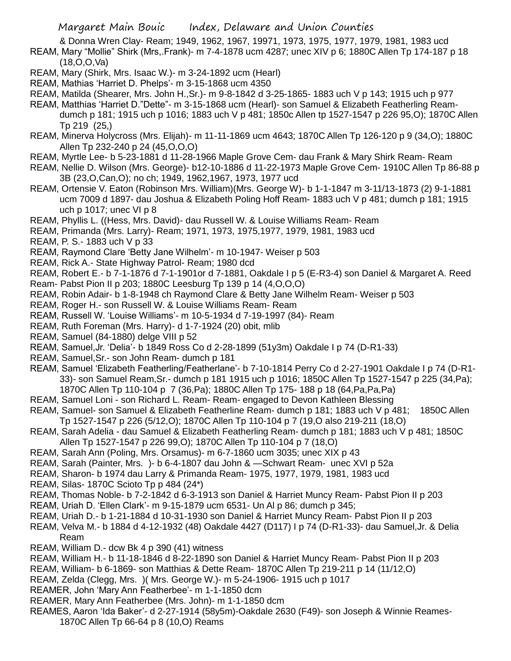& Donna Wren Clay- Ream; 1949, 1962, 1967, 19971, 1973, 1975, 1977, 1979, 1981, 1983 ucd

REAM, Mary "Mollie" Shirk (Mrs,.Frank)- m 7-4-1878 ucm 4287; unec XIV p 6; 1880C Allen Tp 174-187 p 18 (18,O,O,Va)

- REAM, Mary (Shirk, Mrs. Isaac W.)- m 3-24-1892 ucm (Hearl)
- REAM, Mathias 'Harriet D. Phelps'- m 3-15-1868 ucm 4350
- REAM, Matilda (Shearer, Mrs. John H.,Sr.)- m 9-8-1842 d 3-25-1865- 1883 uch V p 143; 1915 uch p 977
- REAM, Matthias 'Harriet D."Dette"- m 3-15-1868 ucm (Hearl)- son Samuel & Elizabeth Featherling Reamdumch p 181; 1915 uch p 1016; 1883 uch V p 481; 1850c Allen tp 1527-1547 p 226 95,O); 1870C Allen Tp 219 (25,)
- REAM, Minerva Holycross (Mrs. Elijah)- m 11-11-1869 ucm 4643; 1870C Allen Tp 126-120 p 9 (34,O); 1880C Allen Tp 232-240 p 24 (45,O,O,O)
- REAM, Myrtle Lee- b 5-23-1881 d 11-28-1966 Maple Grove Cem- dau Frank & Mary Shirk Ream- Ream
- REAM, Nellie D. Wilson (Mrs. George)- b12-10-1886 d 11-22-1973 Maple Grove Cem- 1910C Allen Tp 86-88 p 3B (23,O,Can,O); no ch; 1949, 1962,1967, 1973, 1977 ucd
- REAM, Ortensie V. Eaton (Robinson Mrs. William)(Mrs. George W)- b 1-1-1847 m 3-11/13-1873 (2) 9-1-1881 ucm 7009 d 1897- dau Joshua & Elizabeth Poling Hoff Ream- 1883 uch V p 481; dumch p 181; 1915 uch p 1017; unec VI p 8
- REAM, Phyllis L. ((Hess, Mrs. David)- dau Russell W. & Louise Williams Ream- Ream
- REAM, Primanda (Mrs. Larry)- Ream; 1971, 1973, 1975,1977, 1979, 1981, 1983 ucd
- REAM, P. S.- 1883 uch V p 33
- REAM, Raymond Clare 'Betty Jane Wilhelm'- m 10-1947- Weiser p 503
- REAM, Rick A.- State Highway Patrol- Ream; 1980 dcd
- REAM, Robert E.- b 7-1-1876 d 7-1-1901or d 7-1881, Oakdale I p 5 (E-R3-4) son Daniel & Margaret A. Reed
- Ream- Pabst Pion II p 203; 1880C Leesburg Tp 139 p 14 (4,O,O,O)
- REAM, Robin Adair- b 1-8-1948 ch Raymond Clare & Betty Jane Wilhelm Ream- Weiser p 503
- REAM, Roger H.- son Russell W. & Louise Williams Ream- Ream
- REAM, Russell W. 'Louise Williams'- m 10-5-1934 d 7-19-1997 (84)- Ream
- REAM, Ruth Foreman (Mrs. Harry)- d 1-7-1924 (20) obit, mlib
- REAM, Samuel (84-1880) delge VIII p 52
- REAM, Samuel,Jr. 'Delia'- b 1849 Ross Co d 2-28-1899 (51y3m) Oakdale I p 74 (D-R1-33)
- REAM, Samuel,Sr.- son John Ream- dumch p 181
- REAM, Samuel 'Elizabeth Featherling/Featherlane'- b 7-10-1814 Perry Co d 2-27-1901 Oakdale I p 74 (D-R1- 33)- son Samuel Ream,Sr.- dumch p 181 1915 uch p 1016; 1850C Allen Tp 1527-1547 p 225 (34,Pa); 1870C Allen Tp 110-104 p 7 (36,Pa); 1880C Allen Tp 175- 188 p 18 (64,Pa,Pa,Pa)
- REAM, Samuel Loni son Richard L. Ream- Ream- engaged to Devon Kathleen Blessing
- REAM, Samuel- son Samuel & Elizabeth Featherline Ream- dumch p 181; 1883 uch V p 481; 1850C Allen Tp 1527-1547 p 226 (5/12,O); 1870C Allen Tp 110-104 p 7 (19,O also 219-211 (18,O)
- REAM, Sarah Adelia dau Samuel & Elizabeth Featherling Ream- dumch p 181; 1883 uch V p 481; 1850C Allen Tp 1527-1547 p 226 99,O); 1870C Allen Tp 110-104 p 7 (18,O)
- REAM, Sarah Ann (Poling, Mrs. Orsamus)- m 6-7-1860 ucm 3035; unec XIX p 43
- REAM, Sarah (Painter, Mrs. )- b 6-4-1807 dau John & —Schwart Ream- unec XVI p 52a
- REAM, Sharon- b 1974 dau Larry & Primanda Ream- 1975, 1977, 1979, 1981, 1983 ucd
- REAM, Silas- 1870C Scioto Tp p 484 (24\*)
- REAM, Thomas Noble- b 7-2-1842 d 6-3-1913 son Daniel & Harriet Muncy Ream- Pabst Pion II p 203
- REAM, Uriah D. 'Ellen Clark'- m 9-15-1879 ucm 6531- Un Al p 86; dumch p 345;
- REAM, Uriah D.- b 1-21-1884 d 10-31-1930 son Daniel & Harriet Muncy Ream- Pabst Pion II p 203
- REAM, Velva M.- b 1884 d 4-12-1932 (48) Oakdale 4427 (D117) I p 74 (D-R1-33)- dau Samuel,Jr. & Delia Ream
- REAM, William D.- dcw Bk 4 p 390 (41) witness
- REAM, William H.- b 11-18-1846 d 8-22-1890 son Daniel & Harriet Muncy Ream- Pabst Pion II p 203
- REAM, William- b 6-1869- son Matthias & Dette Ream- 1870C Allen Tp 219-211 p 14 (11/12,O)
- REAM, Zelda (Clegg, Mrs. )( Mrs. George W.)- m 5-24-1906- 1915 uch p 1017
- REAMER, John 'Mary Ann Featherbee'- m 1-1-1850 dcm
- REAMER, Mary Ann Featherbee (Mrs. John)- m 1-1-1850 dcm
- REAMES, Aaron 'Ida Baker'- d 2-27-1914 (58y5m)-Oakdale 2630 (F49)- son Joseph & Winnie Reames-1870C Allen Tp 66-64 p 8 (10,O) Reams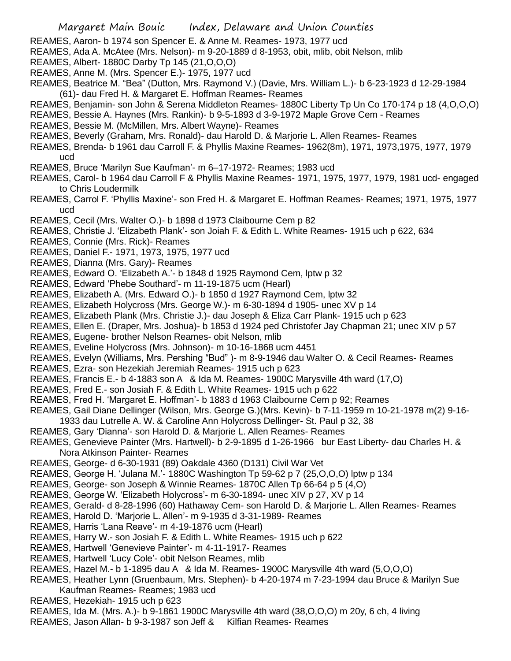- REAMES, Aaron- b 1974 son Spencer E. & Anne M. Reames- 1973, 1977 ucd
- REAMES, Ada A. McAtee (Mrs. Nelson)- m 9-20-1889 d 8-1953, obit, mlib, obit Nelson, mlib
- REAMES, Albert- 1880C Darby Tp 145 (21,O,O,O)
- REAMES, Anne M. (Mrs. Spencer E.)- 1975, 1977 ucd
- REAMES, Beatrice M. "Bea" (Dutton, Mrs. Raymond V.) (Davie, Mrs. William L.)- b 6-23-1923 d 12-29-1984 (61)- dau Fred H. & Margaret E. Hoffman Reames- Reames
- REAMES, Benjamin- son John & Serena Middleton Reames- 1880C Liberty Tp Un Co 170-174 p 18 (4,O,O,O)
- REAMES, Bessie A. Haynes (Mrs. Rankin)- b 9-5-1893 d 3-9-1972 Maple Grove Cem Reames
- REAMES, Bessie M. (McMillen, Mrs. Albert Wayne)- Reames
- REAMES, Beverly (Graham, Mrs. Ronald)- dau Harold D. & Marjorie L. Allen Reames- Reames
- REAMES, Brenda- b 1961 dau Carroll F. & Phyllis Maxine Reames- 1962(8m), 1971, 1973,1975, 1977, 1979 ucd
- REAMES, Bruce 'Marilyn Sue Kaufman'- m 6–17-1972- Reames; 1983 ucd
- REAMES, Carol- b 1964 dau Carroll F & Phyllis Maxine Reames- 1971, 1975, 1977, 1979, 1981 ucd- engaged to Chris Loudermilk
- REAMES, Carrol F. 'Phyllis Maxine'- son Fred H. & Margaret E. Hoffman Reames- Reames; 1971, 1975, 1977 ucd
- REAMES, Cecil (Mrs. Walter O.)- b 1898 d 1973 Claibourne Cem p 82
- REAMES, Christie J. 'Elizabeth Plank'- son Joiah F. & Edith L. White Reames- 1915 uch p 622, 634
- REAMES, Connie (Mrs. Rick)- Reames
- REAMES, Daniel F.- 1971, 1973, 1975, 1977 ucd
- REAMES, Dianna (Mrs. Gary)- Reames
- REAMES, Edward O. 'Elizabeth A.'- b 1848 d 1925 Raymond Cem, lptw p 32
- REAMES, Edward 'Phebe Southard'- m 11-19-1875 ucm (Hearl)
- REAMES, Elizabeth A. (Mrs. Edward O.)- b 1850 d 1927 Raymond Cem, lptw 32
- REAMES, Elizabeth Holycross (Mrs. George W.)- m 6-30-1894 d 1905- unec XV p 14
- REAMES, Elizabeth Plank (Mrs. Christie J.)- dau Joseph & Eliza Carr Plank- 1915 uch p 623
- REAMES, Ellen E. (Draper, Mrs. Joshua)- b 1853 d 1924 ped Christofer Jay Chapman 21; unec XIV p 57
- REAMES, Eugene- brother Nelson Reames- obit Nelson, mlib
- REAMES, Eveline Holycross (Mrs. Johnson)- m 10-16-1868 ucm 4451
- REAMES, Evelyn (Williams, Mrs. Pershing "Bud" )- m 8-9-1946 dau Walter O. & Cecil Reames- Reames
- REAMES, Ezra- son Hezekiah Jeremiah Reames- 1915 uch p 623
- REAMES, Francis E.- b 4-1883 son A & Ida M. Reames- 1900C Marysville 4th ward (17,O)
- REAMES, Fred E.- son Josiah F. & Edith L. White Reames- 1915 uch p 622
- REAMES, Fred H. 'Margaret E. Hoffman'- b 1883 d 1963 Claibourne Cem p 92; Reames
- REAMES, Gail Diane Dellinger (Wilson, Mrs. George G.)(Mrs. Kevin)- b 7-11-1959 m 10-21-1978 m(2) 9-16-
- 1933 dau Lutrelle A. W. & Caroline Ann Holycross Dellinger- St. Paul p 32, 38
- REAMES, Gary 'Dianna'- son Harold D. & Marjorie L. Allen Reames- Reames
- REAMES, Genevieve Painter (Mrs. Hartwell)- b 2-9-1895 d 1-26-1966 bur East Liberty- dau Charles H. & Nora Atkinson Painter- Reames
- REAMES, George- d 6-30-1931 (89) Oakdale 4360 (D131) Civil War Vet
- REAMES, George H. 'Julana M.'- 1880C Washington Tp 59-62 p 7 (25,O,O,O) lptw p 134
- REAMES, George- son Joseph & Winnie Reames- 1870C Allen Tp 66-64 p 5 (4,O)
- REAMES, George W. 'Elizabeth Holycross'- m 6-30-1894- unec XIV p 27, XV p 14
- REAMES, Gerald- d 8-28-1996 (60) Hathaway Cem- son Harold D. & Marjorie L. Allen Reames- Reames
- REAMES, Harold D. 'Marjorie L. Allen'- m 9-1935 d 3-31-1989- Reames
- REAMES, Harris 'Lana Reave'- m 4-19-1876 ucm (Hearl)
- REAMES, Harry W.- son Josiah F. & Edith L. White Reames- 1915 uch p 622
- REAMES, Hartwell 'Genevieve Painter'- m 4-11-1917- Reames
- REAMES, Hartwell 'Lucy Cole'- obit Nelson Reames, mlib
- REAMES, Hazel M.- b 1-1895 dau A & Ida M. Reames- 1900C Marysville 4th ward (5,O,O,O)
- REAMES, Heather Lynn (Gruenbaum, Mrs. Stephen)- b 4-20-1974 m 7-23-1994 dau Bruce & Marilyn Sue Kaufman Reames- Reames; 1983 ucd
- REAMES, Hezekiah- 1915 uch p 623
- REAMES, Ida M. (Mrs. A.)- b 9-1861 1900C Marysville 4th ward (38,O,O,O) m 20y, 6 ch, 4 living
- REAMES, Jason Allan- b 9-3-1987 son Jeff & Kilfian Reames- Reames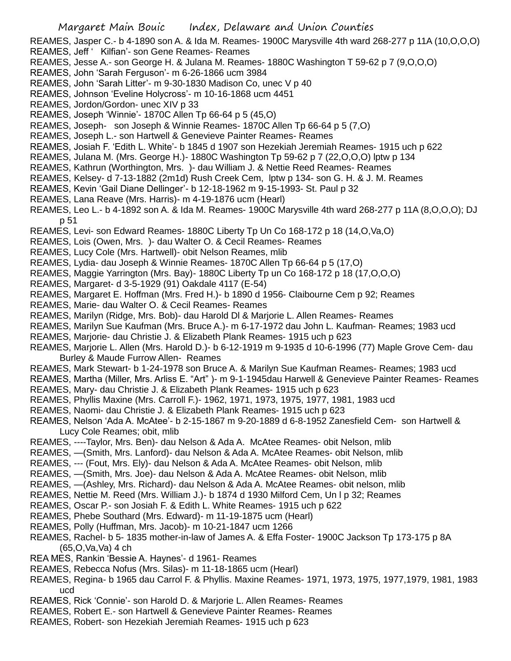- REAMES, Jasper C.- b 4-1890 son A. & Ida M. Reames- 1900C Marysville 4th ward 268-277 p 11A (10,O,O,O) REAMES, Jeff ' Kilfian'- son Gene Reames- Reames
- REAMES, Jesse A.- son George H. & Julana M. Reames- 1880C Washington T 59-62 p 7 (9,O,O,O)
- REAMES, John 'Sarah Ferguson'- m 6-26-1866 ucm 3984
- REAMES, John 'Sarah Litter'- m 9-30-1830 Madison Co, unec V p 40
- REAMES, Johnson 'Eveline Holycross'- m 10-16-1868 ucm 4451
- REAMES, Jordon/Gordon- unec XIV p 33
- REAMES, Joseph 'Winnie'- 1870C Allen Tp 66-64 p 5 (45,O)
- REAMES, Joseph- son Joseph & Winnie Reames- 1870C Allen Tp 66-64 p 5 (7,O)
- REAMES, Joseph L.- son Hartwell & Genevieve Painter Reames- Reames
- REAMES, Josiah F. 'Edith L. White'- b 1845 d 1907 son Hezekiah Jeremiah Reames- 1915 uch p 622
- REAMES, Julana M. (Mrs. George H.)- 1880C Washington Tp 59-62 p 7 (22,O,O,O) lptw p 134
- REAMES, Kathrun (Worthington, Mrs. )- dau William J. & Nettie Reed Reames- Reames
- REAMES, Kelsey- d 7-13-1882 (2m1d) Rush Creek Cem, lptw p 134- son G. H. & J. M. Reames
- REAMES, Kevin 'Gail Diane Dellinger'- b 12-18-1962 m 9-15-1993- St. Paul p 32
- REAMES, Lana Reave (Mrs. Harris)- m 4-19-1876 ucm (Hearl)
- REAMES, Leo L.- b 4-1892 son A. & Ida M. Reames- 1900C Marysville 4th ward 268-277 p 11A (8,O,O,O); DJ p 51
- REAMES, Levi- son Edward Reames- 1880C Liberty Tp Un Co 168-172 p 18 (14,O,Va,O)
- REAMES, Lois (Owen, Mrs. )- dau Walter O. & Cecil Reames- Reames
- REAMES, Lucy Cole (Mrs. Hartwell)- obit Nelson Reames, mlib
- REAMES, Lydia- dau Joseph & Winnie Reames- 1870C Allen Tp 66-64 p 5 (17,O)
- REAMES, Maggie Yarrington (Mrs. Bay)- 1880C Liberty Tp un Co 168-172 p 18 (17,O,O,O)
- REAMES, Margaret- d 3-5-1929 (91) Oakdale 4117 (E-54)
- REAMES, Margaret E. Hoffman (Mrs. Fred H.)- b 1890 d 1956- Claibourne Cem p 92; Reames
- REAMES, Marie- dau Walter O. & Cecil Reames- Reames
- REAMES, Marilyn (Ridge, Mrs. Bob)- dau Harold Dl & Marjorie L. Allen Reames- Reames
- REAMES, Marilyn Sue Kaufman (Mrs. Bruce A.)- m 6-17-1972 dau John L. Kaufman- Reames; 1983 ucd
- REAMES, Marjorie- dau Christie J. & Elizabeth Plank Reames- 1915 uch p 623
- REAMES, Marjorie L. Allen (Mrs. Harold D.)- b 6-12-1919 m 9-1935 d 10-6-1996 (77) Maple Grove Cem- dau Burley & Maude Furrow Allen- Reames
- REAMES, Mark Stewart- b 1-24-1978 son Bruce A. & Marilyn Sue Kaufman Reames- Reames; 1983 ucd
- REAMES, Martha (Miller, Mrs. Arliss E. "Art" )- m 9-1-1945dau Harwell & Genevieve Painter Reames- Reames
- REAMES, Mary- dau Christie J. & Elizabeth Plank Reames- 1915 uch p 623
- REAMES, Phyllis Maxine (Mrs. Carroll F.)- 1962, 1971, 1973, 1975, 1977, 1981, 1983 ucd
- REAMES, Naomi- dau Christie J. & Elizabeth Plank Reames- 1915 uch p 623
- REAMES, Nelson 'Ada A. McAtee'- b 2-15-1867 m 9-20-1889 d 6-8-1952 Zanesfield Cem- son Hartwell & Lucy Cole Reames; obit, mlib
- REAMES, ----Taylor, Mrs. Ben)- dau Nelson & Ada A. McAtee Reames- obit Nelson, mlib
- REAMES, —(Smith, Mrs. Lanford)- dau Nelson & Ada A. McAtee Reames- obit Nelson, mlib
- REAMES, --- (Fout, Mrs. Ely)- dau Nelson & Ada A. McAtee Reames- obit Nelson, mlib
- REAMES, —(Smith, Mrs. Joe)- dau Nelson & Ada A. McAtee Reames- obit Nelson, mlib
- REAMES, —(Ashley, Mrs. Richard)- dau Nelson & Ada A. McAtee Reames- obit nelson, mlib
- REAMES, Nettie M. Reed (Mrs. William J.)- b 1874 d 1930 Milford Cem, Un l p 32; Reames
- REAMES, Oscar P.- son Josiah F. & Edith L. White Reames- 1915 uch p 622
- REAMES, Phebe Southard (Mrs. Edward)- m 11-19-1875 ucm (Hearl)
- REAMES, Polly (Huffman, Mrs. Jacob)- m 10-21-1847 ucm 1266
- REAMES, Rachel- b 5- 1835 mother-in-law of James A. & Effa Foster- 1900C Jackson Tp 173-175 p 8A (65,O,Va,Va) 4 ch
- REA MES, Rankin 'Bessie A. Haynes'- d 1961- Reames
- REAMES, Rebecca Nofus (Mrs. Silas)- m 11-18-1865 ucm (Hearl)
- REAMES, Regina- b 1965 dau Carrol F. & Phyllis. Maxine Reames- 1971, 1973, 1975, 1977,1979, 1981, 1983 ucd
- REAMES, Rick 'Connie'- son Harold D. & Marjorie L. Allen Reames- Reames
- REAMES, Robert E.- son Hartwell & Genevieve Painter Reames- Reames
- REAMES, Robert- son Hezekiah Jeremiah Reames- 1915 uch p 623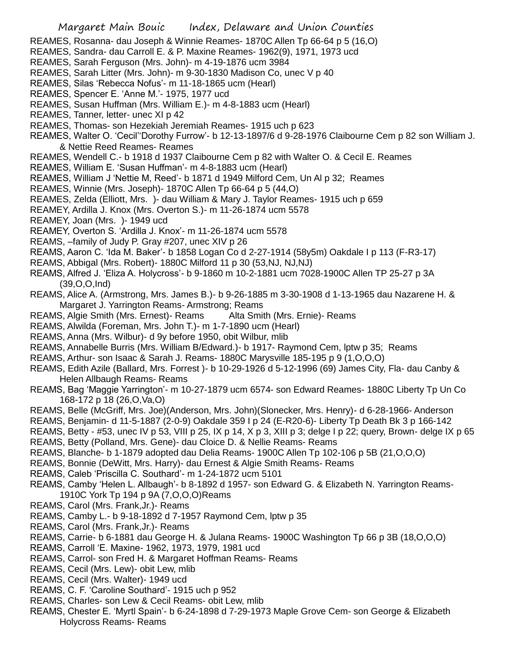- REAMES, Rosanna- dau Joseph & Winnie Reames- 1870C Allen Tp 66-64 p 5 (16,O)
- REAMES, Sandra- dau Carroll E. & P. Maxine Reames- 1962(9), 1971, 1973 ucd
- REAMES, Sarah Ferguson (Mrs. John)- m 4-19-1876 ucm 3984
- REAMES, Sarah Litter (Mrs. John)- m 9-30-1830 Madison Co, unec V p 40
- REAMES, Silas 'Rebecca Nofus'- m 11-18-1865 ucm (Hearl)
- REAMES, Spencer E. 'Anne M.'- 1975, 1977 ucd
- REAMES, Susan Huffman (Mrs. William E.)- m 4-8-1883 ucm (Hearl)
- REAMES, Tanner, letter- unec XI p 42
- REAMES, Thomas- son Hezekiah Jeremiah Reames- 1915 uch p 623
- REAMES, Walter O. 'Cecil''Dorothy Furrow'- b 12-13-1897/6 d 9-28-1976 Claibourne Cem p 82 son William J. & Nettie Reed Reames- Reames
- REAMES, Wendell C.- b 1918 d 1937 Claibourne Cem p 82 with Walter O. & Cecil E. Reames
- REAMES, William E. 'Susan Huffman'- m 4-8-1883 ucm (Hearl)
- REAMES, William J 'Nettie M, Reed'- b 1871 d 1949 Milford Cem, Un Al p 32; Reames
- REAMES, Winnie (Mrs. Joseph)- 1870C Allen Tp 66-64 p 5 (44,O)
- REAMES, Zelda (Elliott, Mrs. )- dau William & Mary J. Taylor Reames- 1915 uch p 659
- REAMEY, Ardilla J. Knox (Mrs. Overton S.)- m 11-26-1874 ucm 5578
- REAMEY, Joan (Mrs. )- 1949 ucd
- REAMEY, Overton S. 'Ardilla J. Knox'- m 11-26-1874 ucm 5578
- REAMS, –family of Judy P. Gray #207, unec XIV p 26
- REAMS, Aaron C. 'Ida M. Baker'- b 1858 Logan Co d 2-27-1914 (58y5m) Oakdale I p 113 (F-R3-17)
- REAMS, Abbigal (Mrs. Robert)- 1880C Milford 11 p 30 (53,NJ, NJ,NJ)
- REAMS, Alfred J. 'Eliza A. Holycross'- b 9-1860 m 10-2-1881 ucm 7028-1900C Allen TP 25-27 p 3A (39,O,O,Ind)
- REAMS, Alice A. (Armstrong, Mrs. James B.)- b 9-26-1885 m 3-30-1908 d 1-13-1965 dau Nazarene H. & Margaret J. Yarrington Reams- Armstrong; Reams
- REAMS, Algie Smith (Mrs. Ernest)- Reams Alta Smith (Mrs. Ernie)- Reams
- REAMS, Alwilda (Foreman, Mrs. John T.)- m 1-7-1890 ucm (Hearl)
- REAMS, Anna (Mrs. Wilbur)- d 9y before 1950, obit Wilbur, mlib
- REAMS, Annabelle Burris (Mrs. William B/Edward.)- b 1917- Raymond Cem, lptw p 35; Reams
- REAMS, Arthur- son Isaac & Sarah J. Reams- 1880C Marysville 185-195 p 9 (1,O,O,O)
- REAMS, Edith Azile (Ballard, Mrs. Forrest )- b 10-29-1926 d 5-12-1996 (69) James City, Fla- dau Canby & Helen Allbaugh Reams- Reams
- REAMS, Bag 'Maggie Yarrington'- m 10-27-1879 ucm 6574- son Edward Reames- 1880C Liberty Tp Un Co 168-172 p 18 (26,O,Va,O)
- REAMS, Belle (McGriff, Mrs. Joe)(Anderson, Mrs. John)(Slonecker, Mrs. Henry)- d 6-28-1966- Anderson
- REAMS, Benjamin- d 11-5-1887 (2-0-9) Oakdale 359 I p 24 (E-R20-6)- Liberty Tp Death Bk 3 p 166-142
- REAMS, Betty #53, unec IV p 53, VIII p 25, IX p 14, X p 3, XIII p 3; delge I p 22; query, Brown- delge IX p 65 REAMS, Betty (Polland, Mrs. Gene)- dau Cloice D. & Nellie Reams- Reams
- REAMS, Blanche- b 1-1879 adopted dau Delia Reams- 1900C Allen Tp 102-106 p 5B (21,O,O,O)
- REAMS, Bonnie (DeWitt, Mrs. Harry)- dau Ernest & Algie Smith Reams- Reams
- REAMS, Caleb 'Priscilla C. Southard'- m 1-24-1872 ucm 5101
- REAMS, Camby 'Helen L. Allbaugh'- b 8-1892 d 1957- son Edward G. & Elizabeth N. Yarrington Reams-1910C York Tp 194 p 9A (7,O,O,O)Reams
- REAMS, Carol (Mrs. Frank,Jr.)- Reams
- REAMS, Camby L.- b 9-18-1892 d 7-1957 Raymond Cem, lptw p 35
- REAMS, Carol (Mrs. Frank,Jr.)- Reams
- REAMS, Carrie- b 6-1881 dau George H. & Julana Reams- 1900C Washington Tp 66 p 3B (18,O,O,O)
- REAMS, Carroll 'E. Maxine- 1962, 1973, 1979, 1981 ucd
- REAMS, Carrol- son Fred H. & Margaret Hoffman Reams- Reams
- REAMS, Cecil (Mrs. Lew)- obit Lew, mlib
- REAMS, Cecil (Mrs. Walter)- 1949 ucd
- REAMS, C. F. 'Caroline Southard'- 1915 uch p 952
- REAMS, Charles- son Lew & Cecil Reams- obit Lew, mlib
- REAMS, Chester E. 'Myrtl Spain'- b 6-24-1898 d 7-29-1973 Maple Grove Cem- son George & Elizabeth Holycross Reams- Reams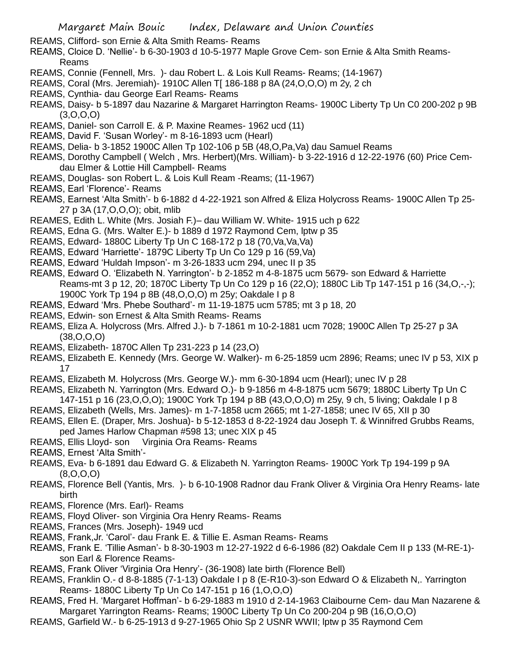REAMS, Clifford- son Ernie & Alta Smith Reams- Reams

- REAMS, Cloice D. 'Nellie'- b 6-30-1903 d 10-5-1977 Maple Grove Cem- son Ernie & Alta Smith Reams-Reams
- REAMS, Connie (Fennell, Mrs. )- dau Robert L. & Lois Kull Reams- Reams; (14-1967)
- REAMS, Coral (Mrs. Jeremiah)- 1910C Allen T[ 186-188 p 8A (24,O,O,O) m 2y, 2 ch
- REAMS, Cynthia- dau George Earl Reams- Reams
- REAMS, Daisy- b 5-1897 dau Nazarine & Margaret Harrington Reams- 1900C Liberty Tp Un C0 200-202 p 9B  $(3,0,0,0)$
- REAMS, Daniel- son Carroll E. & P. Maxine Reames- 1962 ucd (11)
- REAMS, David F. 'Susan Worley'- m 8-16-1893 ucm (Hearl)
- REAMS, Delia- b 3-1852 1900C Allen Tp 102-106 p 5B (48,O,Pa,Va) dau Samuel Reams
- REAMS, Dorothy Campbell ( Welch , Mrs. Herbert)(Mrs. William)- b 3-22-1916 d 12-22-1976 (60) Price Cemdau Elmer & Lottie Hill Campbell- Reams
- REAMS, Douglas- son Robert L. & Lois Kull Ream -Reams; (11-1967)
- REAMS, Earl 'Florence'- Reams
- REAMS, Earnest 'Alta Smith'- b 6-1882 d 4-22-1921 son Alfred & Eliza Holycross Reams- 1900C Allen Tp 25- 27 p 3A (17,O,O,O); obit, mlib
- REAMES, Edith L. White (Mrs. Josiah F.)– dau William W. White- 1915 uch p 622
- REAMS, Edna G. (Mrs. Walter E.)- b 1889 d 1972 Raymond Cem, lptw p 35
- REAMS, Edward- 1880C Liberty Tp Un C 168-172 p 18 (70,Va,Va,Va)
- REAMS, Edward 'Harriette'- 1879C Liberty Tp Un Co 129 p 16 (59,Va)
- REAMS, Edward 'Huldah Impson'- m 3-26-1833 ucm 294, unec II p 35
- REAMS, Edward O. 'Elizabeth N. Yarrington'- b 2-1852 m 4-8-1875 ucm 5679- son Edward & Harriette Reams-mt 3 p 12, 20; 1870C Liberty Tp Un Co 129 p 16 (22,O); 1880C Lib Tp 147-151 p 16 (34,O,-,-); 1900C York Tp 194 p 8B (48,O,O,O) m 25y; Oakdale I p 8
- REAMS, Edward 'Mrs. Phebe Southard'- m 11-19-1875 ucm 5785; mt 3 p 18, 20
- REAMS, Edwin- son Ernest & Alta Smith Reams- Reams
- REAMS, Eliza A. Holycross (Mrs. Alfred J.)- b 7-1861 m 10-2-1881 ucm 7028; 1900C Allen Tp 25-27 p 3A (38,O,O,O)
- REAMS, Elizabeth- 1870C Allen Tp 231-223 p 14 (23,O)
- REAMS, Elizabeth E. Kennedy (Mrs. George W. Walker)- m 6-25-1859 ucm 2896; Reams; unec IV p 53, XIX p 17
- REAMS, Elizabeth M. Holycross (Mrs. George W.)- mm 6-30-1894 ucm (Hearl); unec IV p 28
- REAMS, Elizabeth N. Yarrington (Mrs. Edward O.)- b 9-1856 m 4-8-1875 ucm 5679; 1880C Liberty Tp Un C 147-151 p 16 (23,O,O,O); 1900C York Tp 194 p 8B (43,O,O,O) m 25y, 9 ch, 5 living; Oakdale I p 8
- REAMS, Elizabeth (Wells, Mrs. James)- m 1-7-1858 ucm 2665; mt 1-27-1858; unec IV 65, XII p 30
- REAMS, Ellen E. (Draper, Mrs. Joshua)- b 5-12-1853 d 8-22-1924 dau Joseph T. & Winnifred Grubbs Reams,
- ped James Harlow Chapman #598 13; unec XIX p 45
- REAMS, Ellis Lloyd- son Virginia Ora Reams- Reams
- REAMS, Ernest 'Alta Smith'-
- REAMS, Eva- b 6-1891 dau Edward G. & Elizabeth N. Yarrington Reams- 1900C York Tp 194-199 p 9A  $(8, 0, 0, 0)$
- REAMS, Florence Bell (Yantis, Mrs. )- b 6-10-1908 Radnor dau Frank Oliver & Virginia Ora Henry Reams- late birth
- REAMS, Florence (Mrs. Earl)- Reams
- REAMS, Floyd Oliver- son Virginia Ora Henry Reams- Reams
- REAMS, Frances (Mrs. Joseph)- 1949 ucd
- REAMS, Frank,Jr. 'Carol'- dau Frank E. & Tillie E. Asman Reams- Reams
- REAMS, Frank E. 'Tillie Asman'- b 8-30-1903 m 12-27-1922 d 6-6-1986 (82) Oakdale Cem II p 133 (M-RE-1) son Earl & Florence Reams-
- REAMS, Frank Oliver 'Virginia Ora Henry'- (36-1908) late birth (Florence Bell)
- REAMS, Franklin O.- d 8-8-1885 (7-1-13) Oakdale I p 8 (E-R10-3)-son Edward O & Elizabeth N,. Yarrington Reams- 1880C Liberty Tp Un Co 147-151 p 16 (1,O,O,O)
- REAMS, Fred H. 'Margaret Hoffman'- b 6-29-1883 m 1910 d 2-14-1963 Claibourne Cem- dau Man Nazarene & Margaret Yarrington Reams- Reams; 1900C Liberty Tp Un Co 200-204 p 9B (16,O,O,O)
- REAMS, Garfield W.- b 6-25-1913 d 9-27-1965 Ohio Sp 2 USNR WWII; lptw p 35 Raymond Cem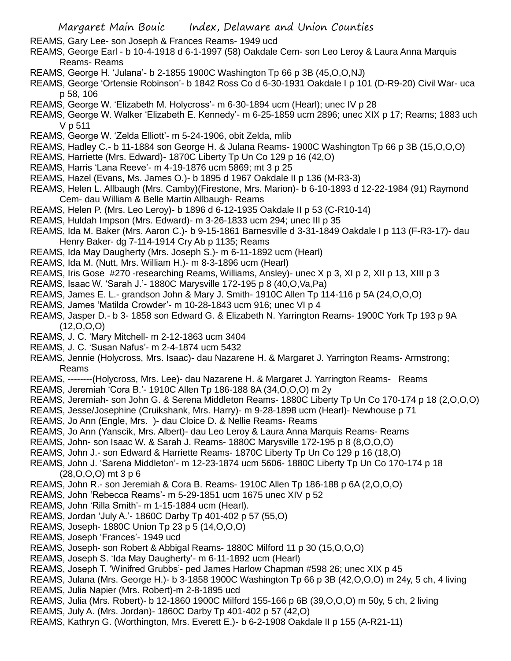REAMS, Gary Lee- son Joseph & Frances Reams- 1949 ucd

- REAMS, George Earl b 10-4-1918 d 6-1-1997 (58) Oakdale Cem- son Leo Leroy & Laura Anna Marquis Reams- Reams
- REAMS, George H. 'Julana'- b 2-1855 1900C Washington Tp 66 p 3B (45,O,O,NJ)
- REAMS, George 'Ortensie Robinson'- b 1842 Ross Co d 6-30-1931 Oakdale I p 101 (D-R9-20) Civil War- uca p 58, 106
- REAMS, George W. 'Elizabeth M. Holycross'- m 6-30-1894 ucm (Hearl); unec IV p 28
- REAMS, George W. Walker 'Elizabeth E. Kennedy'- m 6-25-1859 ucm 2896; unec XIX p 17; Reams; 1883 uch V p 511
- REAMS, George W. 'Zelda Elliott'- m 5-24-1906, obit Zelda, mlib
- REAMS, Hadley C.- b 11-1884 son George H. & Julana Reams- 1900C Washington Tp 66 p 3B (15,O,O,O)
- REAMS, Harriette (Mrs. Edward)- 1870C Liberty Tp Un Co 129 p 16 (42,O)
- REAMS, Harris 'Lana Reeve'- m 4-19-1876 ucm 5869; mt 3 p 25
- REAMS, Hazel (Evans, Ms. James O.)- b 1895 d 1967 Oakdale II p 136 (M-R3-3)
- REAMS, Helen L. Allbaugh (Mrs. Camby)(Firestone, Mrs. Marion)- b 6-10-1893 d 12-22-1984 (91) Raymond Cem- dau William & Belle Martin Allbaugh- Reams
- REAMS, Helen P. (Mrs. Leo Leroy)- b 1896 d 6-12-1935 Oakdale II p 53 (C-R10-14)
- REAMS, Huldah Impson (Mrs. Edward)- m 3-26-1833 ucm 294; unec III p 35
- REAMS, Ida M. Baker (Mrs. Aaron C.)- b 9-15-1861 Barnesville d 3-31-1849 Oakdale I p 113 (F-R3-17)- dau Henry Baker- dg 7-114-1914 Cry Ab p 1135; Reams
- REAMS, Ida May Daugherty (Mrs. Joseph S.)- m 6-11-1892 ucm (Hearl)
- REAMS, Ida M. (Nutt, Mrs. William H.)- m 8-3-1896 ucm (Hearl)
- REAMS, Iris Gose #270 -researching Reams, Williams, Ansley)- unec X p 3, XI p 2, XII p 13, XIII p 3
- REAMS, Isaac W. 'Sarah J.'- 1880C Marysville 172-195 p 8 (40,O,Va,Pa)
- REAMS, James E. L.- grandson John & Mary J. Smith- 1910C Allen Tp 114-116 p 5A (24,O,O,O)
- REAMS, James 'Matilda Crowder'- m 10-28-1843 ucm 916; unec VI p 4
- REAMS, Jasper D.- b 3- 1858 son Edward G. & Elizabeth N. Yarrington Reams- 1900C York Tp 193 p 9A (12,O,O,O)
- REAMS, J. C. 'Mary Mitchell- m 2-12-1863 ucm 3404
- REAMS, J. C. 'Susan Nafus'- m 2-4-1874 ucm 5432
- REAMS, Jennie (Holycross, Mrs. Isaac)- dau Nazarene H. & Margaret J. Yarrington Reams- Armstrong; Reams
- REAMS, --------(Holycross, Mrs. Lee)- dau Nazarene H. & Margaret J. Yarrington Reams- Reams
- REAMS, Jeremiah 'Cora B.'- 1910C Allen Tp 186-188 8A (34,O,O,O) m 2y
- REAMS, Jeremiah- son John G. & Serena Middleton Reams- 1880C Liberty Tp Un Co 170-174 p 18 (2,O,O,O)
- REAMS, Jesse/Josephine (Cruikshank, Mrs. Harry)- m 9-28-1898 ucm (Hearl)- Newhouse p 71
- REAMS, Jo Ann (Engle, Mrs. )- dau Cloice D. & Nellie Reams- Reams
- REAMS, Jo Ann (Yanscik, Mrs. Albert)- dau Leo Leroy & Laura Anna Marquis Reams- Reams
- REAMS, John- son Isaac W. & Sarah J. Reams- 1880C Marysville 172-195 p 8 (8,O,O,O)
- REAMS, John J.- son Edward & Harriette Reams- 1870C Liberty Tp Un Co 129 p 16 (18,O)
- REAMS, John J. 'Sarena Middleton'- m 12-23-1874 ucm 5606- 1880C Liberty Tp Un Co 170-174 p 18 (28,O,O,O) mt 3 p 6
- REAMS, John R.- son Jeremiah & Cora B. Reams- 1910C Allen Tp 186-188 p 6A (2,O,O,O)
- REAMS, John 'Rebecca Reams'- m 5-29-1851 ucm 1675 unec XIV p 52
- REAMS, John 'Rilla Smith'- m 1-15-1884 ucm (Hearl).
- REAMS, Jordan 'July A.'- 1860C Darby Tp 401-402 p 57 (55,O)
- REAMS, Joseph- 1880C Union Tp 23 p 5 (14,O,O,O)
- REAMS, Joseph 'Frances'- 1949 ucd
- REAMS, Joseph- son Robert & Abbigal Reams- 1880C Milford 11 p 30 (15,O,O,O)
- REAMS, Joseph S. 'Ida May Daugherty'- m 6-11-1892 ucm (Hearl)
- REAMS, Joseph T. 'Winifred Grubbs'- ped James Harlow Chapman #598 26; unec XIX p 45
- REAMS, Julana (Mrs. George H.)- b 3-1858 1900C Washington Tp 66 p 3B (42,O,O,O) m 24y, 5 ch, 4 living REAMS, Julia Napier (Mrs. Robert)-m 2-8-1895 ucd
- REAMS, Julia (Mrs. Robert)- b 12-1860 1900C Milford 155-166 p 6B (39,O,O,O) m 50y, 5 ch, 2 living
- REAMS, July A. (Mrs. Jordan)- 1860C Darby Tp 401-402 p 57 (42,O)
- REAMS, Kathryn G. (Worthington, Mrs. Everett E.)- b 6-2-1908 Oakdale II p 155 (A-R21-11)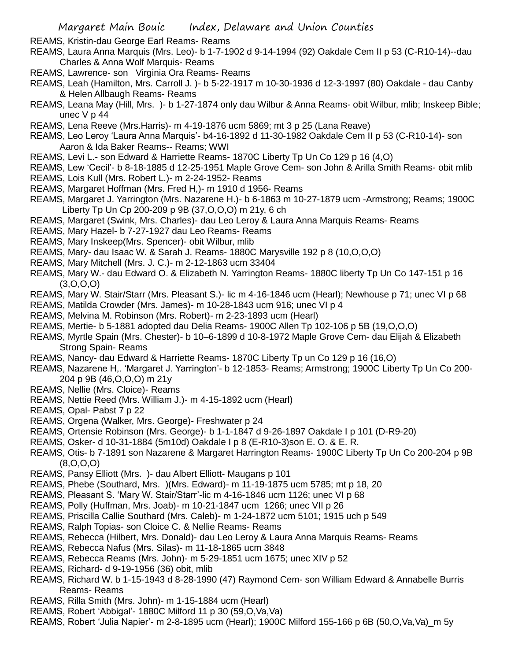REAMS, Kristin-dau George Earl Reams- Reams

- REAMS, Laura Anna Marquis (Mrs. Leo)- b 1-7-1902 d 9-14-1994 (92) Oakdale Cem II p 53 (C-R10-14)--dau Charles & Anna Wolf Marquis- Reams
- REAMS, Lawrence- son Virginia Ora Reams- Reams
- REAMS, Leah (Hamilton, Mrs. Carroll J. )- b 5-22-1917 m 10-30-1936 d 12-3-1997 (80) Oakdale dau Canby & Helen Allbaugh Reams- Reams
- REAMS, Leana May (Hill, Mrs. )- b 1-27-1874 only dau Wilbur & Anna Reams- obit Wilbur, mlib; Inskeep Bible; unec V p 44
- REAMS, Lena Reeve (Mrs.Harris)- m 4-19-1876 ucm 5869; mt 3 p 25 (Lana Reave)
- REAMS, Leo Leroy 'Laura Anna Marquis'- b4-16-1892 d 11-30-1982 Oakdale Cem II p 53 (C-R10-14)- son Aaron & Ida Baker Reams-- Reams; WWI
- REAMS, Levi L.- son Edward & Harriette Reams- 1870C Liberty Tp Un Co 129 p 16 (4,O)
- REAMS, Lew 'Cecil'- b 8-18-1885 d 12-25-1951 Maple Grove Cem- son John & Arilla Smith Reams- obit mlib
- REAMS, Lois Kull (Mrs. Robert L.)- m 2-24-1952- Reams
- REAMS, Margaret Hoffman (Mrs. Fred H,)- m 1910 d 1956- Reams
- REAMS, Margaret J. Yarrington (Mrs. Nazarene H.)- b 6-1863 m 10-27-1879 ucm -Armstrong; Reams; 1900C Liberty Tp Un Cp 200-209 p 9B (37,O,O,O) m 21y, 6 ch
- REAMS, Margaret (Swink, Mrs. Charles)- dau Leo Leroy & Laura Anna Marquis Reams- Reams
- REAMS, Mary Hazel- b 7-27-1927 dau Leo Reams- Reams
- REAMS, Mary Inskeep(Mrs. Spencer)- obit Wilbur, mlib
- REAMS, Mary- dau Isaac W. & Sarah J. Reams- 1880C Marysville 192 p 8 (10,O,O,O)
- REAMS, Mary Mitchell (Mrs. J. C.)- m 2-12-1863 ucm 33404
- REAMS, Mary W.- dau Edward O. & Elizabeth N. Yarrington Reams- 1880C liberty Tp Un Co 147-151 p 16  $(3,0,0,0)$
- REAMS, Mary W. Stair/Starr (Mrs. Pleasant S.)- lic m 4-16-1846 ucm (Hearl); Newhouse p 71; unec VI p 68
- REAMS, Matilda Crowder (Mrs. James)- m 10-28-1843 ucm 916; unec VI p 4
- REAMS, Melvina M. Robinson (Mrs. Robert)- m 2-23-1893 ucm (Hearl)
- REAMS, Mertie- b 5-1881 adopted dau Delia Reams- 1900C Allen Tp 102-106 p 5B (19,O,O,O)
- REAMS, Myrtle Spain (Mrs. Chester)- b 10–6-1899 d 10-8-1972 Maple Grove Cem- dau Elijah & Elizabeth Strong Spain- Reams
- REAMS, Nancy- dau Edward & Harriette Reams- 1870C Liberty Tp un Co 129 p 16 (16,O)
- REAMS, Nazarene H,. 'Margaret J. Yarrington'- b 12-1853- Reams; Armstrong; 1900C Liberty Tp Un Co 200- 204 p 9B (46,O,O,O) m 21y
- REAMS, Nellie (Mrs. Cloice)- Reams
- REAMS, Nettie Reed (Mrs. William J.)- m 4-15-1892 ucm (Hearl)
- REAMS, Opal- Pabst 7 p 22
- REAMS, Orgena (Walker, Mrs. George)- Freshwater p 24
- REAMS, Ortensie Robinson (Mrs. George)- b 1-1-1847 d 9-26-1897 Oakdale I p 101 (D-R9-20)
- REAMS, Osker- d 10-31-1884 (5m10d) Oakdale I p 8 (E-R10-3)son E. O. & E. R.
- REAMS, Otis- b 7-1891 son Nazarene & Margaret Harrington Reams- 1900C Liberty Tp Un Co 200-204 p 9B (8,O,O,O)
- REAMS, Pansy Elliott (Mrs. )- dau Albert Elliott- Maugans p 101
- REAMS, Phebe (Southard, Mrs. )(Mrs. Edward)- m 11-19-1875 ucm 5785; mt p 18, 20
- REAMS, Pleasant S. 'Mary W. Stair/Starr'-lic m 4-16-1846 ucm 1126; unec VI p 68
- REAMS, Polly (Huffman, Mrs. Joab)- m 10-21-1847 ucm 1266; unec VII p 26
- REAMS, Priscilla Callie Southard (Mrs. Caleb)- m 1-24-1872 ucm 5101; 1915 uch p 549
- REAMS, Ralph Topias- son Cloice C. & Nellie Reams- Reams
- REAMS, Rebecca (Hilbert, Mrs. Donald)- dau Leo Leroy & Laura Anna Marquis Reams- Reams
- REAMS, Rebecca Nafus (Mrs. Silas)- m 11-18-1865 ucm 3848
- REAMS, Rebecca Reams (Mrs. John)- m 5-29-1851 ucm 1675; unec XIV p 52
- REAMS, Richard- d 9-19-1956 (36) obit, mlib
- REAMS, Richard W. b 1-15-1943 d 8-28-1990 (47) Raymond Cem- son William Edward & Annabelle Burris Reams- Reams
- REAMS, Rilla Smith (Mrs. John)- m 1-15-1884 ucm (Hearl)
- REAMS, Robert 'Abbigal'- 1880C Milford 11 p 30 (59,O,Va,Va)
- REAMS, Robert 'Julia Napier'- m 2-8-1895 ucm (Hearl); 1900C Milford 155-166 p 6B (50,O,Va,Va)\_m 5y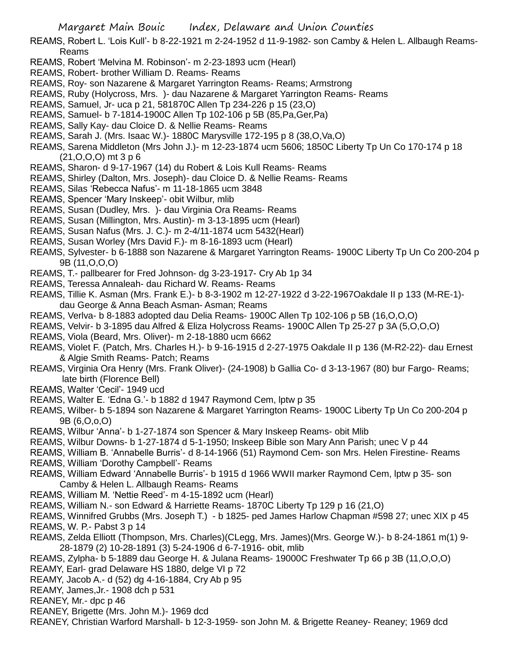REAMS, Robert L. 'Lois Kull'- b 8-22-1921 m 2-24-1952 d 11-9-1982- son Camby & Helen L. Allbaugh Reams-Reams

- REAMS, Robert 'Melvina M. Robinson'- m 2-23-1893 ucm (Hearl)
- REAMS, Robert- brother William D. Reams- Reams
- REAMS, Roy- son Nazarene & Margaret Yarrington Reams- Reams; Armstrong
- REAMS, Ruby (Holycross, Mrs. )- dau Nazarene & Margaret Yarrington Reams- Reams
- REAMS, Samuel, Jr- uca p 21, 581870C Allen Tp 234-226 p 15 (23,O)
- REAMS, Samuel- b 7-1814-1900C Allen Tp 102-106 p 5B (85,Pa,Ger,Pa)
- REAMS, Sally Kay- dau Cloice D. & Nellie Reams- Reams
- REAMS, Sarah J. (Mrs. Isaac W.)- 1880C Marysville 172-195 p 8 (38,O,Va,O)
- REAMS, Sarena Middleton (Mrs John J.)- m 12-23-1874 ucm 5606; 1850C Liberty Tp Un Co 170-174 p 18 (21,O,O,O) mt 3 p 6
- REAMS, Sharon- d 9-17-1967 (14) du Robert & Lois Kull Reams- Reams
- REAMS, Shirley (Dalton, Mrs. Joseph)- dau Cloice D. & Nellie Reams- Reams
- REAMS, Silas 'Rebecca Nafus'- m 11-18-1865 ucm 3848
- REAMS, Spencer 'Mary Inskeep'- obit Wilbur, mlib
- REAMS, Susan (Dudley, Mrs. )- dau Virginia Ora Reams- Reams
- REAMS, Susan (Millington, Mrs. Austin)- m 3-13-1895 ucm (Hearl)
- REAMS, Susan Nafus (Mrs. J. C.)- m 2-4/11-1874 ucm 5432(Hearl)
- REAMS, Susan Worley (Mrs David F.)- m 8-16-1893 ucm (Hearl)
- REAMS, Sylvester- b 6-1888 son Nazarene & Margaret Yarrington Reams- 1900C Liberty Tp Un Co 200-204 p 9B (11,O,O,O)
- REAMS, T.- pallbearer for Fred Johnson- dg 3-23-1917- Cry Ab 1p 34
- REAMS, Teressa Annaleah- dau Richard W. Reams- Reams
- REAMS, Tillie K. Asman (Mrs. Frank E.)- b 8-3-1902 m 12-27-1922 d 3-22-1967Oakdale II p 133 (M-RE-1) dau George & Anna Beach Asman- Asman; Reams
- REAMS, Verlva- b 8-1883 adopted dau Delia Reams- 1900C Allen Tp 102-106 p 5B (16,O,O,O)
- REAMS, Velvir- b 3-1895 dau Alfred & Eliza Holycross Reams- 1900C Allen Tp 25-27 p 3A (5,O,O,O)
- REAMS, Viola (Beard, Mrs. Oliver)- m 2-18-1880 ucm 6662
- REAMS, Violet F. (Patch, Mrs. Charles H.)- b 9-16-1915 d 2-27-1975 Oakdale II p 136 (M-R2-22)- dau Ernest & Algie Smith Reams- Patch; Reams
- REAMS, Virginia Ora Henry (Mrs. Frank Oliver)- (24-1908) b Gallia Co- d 3-13-1967 (80) bur Fargo- Reams; late birth (Florence Bell)
- REAMS, Walter 'Cecil'- 1949 ucd
- REAMS, Walter E. 'Edna G.'- b 1882 d 1947 Raymond Cem, lptw p 35
- REAMS, Wilber- b 5-1894 son Nazarene & Margaret Yarrington Reams- 1900C Liberty Tp Un Co 200-204 p 9B (6,O,o,O)
- REAMS, Wilbur 'Anna'- b 1-27-1874 son Spencer & Mary Inskeep Reams- obit Mlib
- REAMS, Wilbur Downs- b 1-27-1874 d 5-1-1950; Inskeep Bible son Mary Ann Parish; unec V p 44
- REAMS, William B. 'Annabelle Burris'- d 8-14-1966 (51) Raymond Cem- son Mrs. Helen Firestine- Reams
- REAMS, William 'Dorothy Campbell'- Reams
- REAMS, William Edward 'Annabelle Burris'- b 1915 d 1966 WWII marker Raymond Cem, lptw p 35- son Camby & Helen L. Allbaugh Reams- Reams
- REAMS, William M. 'Nettie Reed'- m 4-15-1892 ucm (Hearl)
- REAMS, William N.- son Edward & Harriette Reams- 1870C Liberty Tp 129 p 16 (21,O)
- REAMS, Winnifred Grubbs (Mrs. Joseph T.) b 1825- ped James Harlow Chapman #598 27; unec XIX p 45 REAMS, W. P.- Pabst 3 p 14
- REAMS, Zelda Elliott (Thompson, Mrs. Charles)(CLegg, Mrs. James)(Mrs. George W.)- b 8-24-1861 m(1) 9- 28-1879 (2) 10-28-1891 (3) 5-24-1906 d 6-7-1916- obit, mlib
- REAMS, Zylpha- b 5-1889 dau George H. & Julana Reams- 19000C Freshwater Tp 66 p 3B (11,O,O,O)
- REAMY, Earl- grad Delaware HS 1880, delge VI p 72
- REAMY, Jacob A.- d (52) dg 4-16-1884, Cry Ab p 95
- REAMY, James,Jr.- 1908 dch p 531
- REANEY, Mr.- dpc p 46
- REANEY, Brigette (Mrs. John M.)- 1969 dcd
- REANEY, Christian Warford Marshall- b 12-3-1959- son John M. & Brigette Reaney- Reaney; 1969 dcd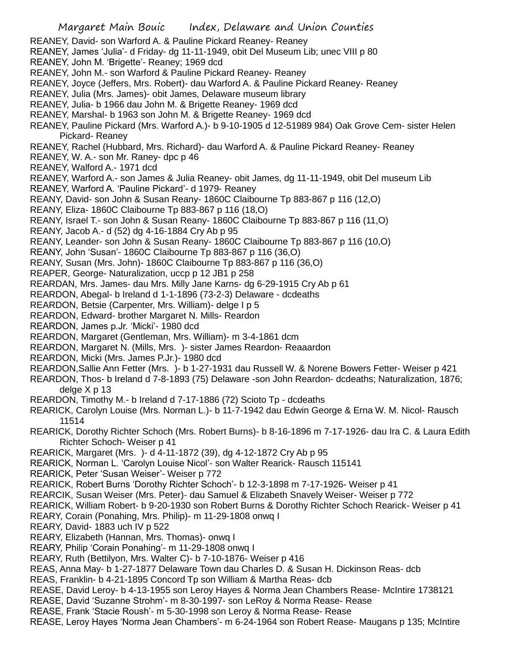REANEY, David- son Warford A. & Pauline Pickard Reaney- Reaney

REANEY, James 'Julia'- d Friday- dg 11-11-1949, obit Del Museum Lib; unec VIII p 80

REANEY, John M. 'Brigette'- Reaney; 1969 dcd

- REANEY, John M.- son Warford & Pauline Pickard Reaney- Reaney
- REANEY, Joyce (Jeffers, Mrs. Robert)- dau Warford A. & Pauline Pickard Reaney- Reaney
- REANEY, Julia (Mrs. James)- obit James, Delaware museum library
- REANEY, Julia- b 1966 dau John M. & Brigette Reaney- 1969 dcd
- REANEY, Marshal- b 1963 son John M. & Brigette Reaney- 1969 dcd
- REANEY, Pauline Pickard (Mrs. Warford A.)- b 9-10-1905 d 12-51989 984) Oak Grove Cem- sister Helen Pickard- Reaney

REANEY, Rachel (Hubbard, Mrs. Richard)- dau Warford A. & Pauline Pickard Reaney- Reaney

REANEY, W. A.- son Mr. Raney- dpc p 46

REANEY, Walford A.- 1971 dcd

REANEY, Warford A.- son James & Julia Reaney- obit James, dg 11-11-1949, obit Del museum Lib

REANEY, Warford A. 'Pauline Pickard'- d 1979- Reaney

REANY, David- son John & Susan Reany- 1860C Claibourne Tp 883-867 p 116 (12,O)

REANY, Eliza- 1860C Claibourne Tp 883-867 p 116 (18,O)

REANY, Israel T.- son John & Susan Reany- 1860C Claibourne Tp 883-867 p 116 (11,O)

REANY, Jacob A.- d (52) dg 4-16-1884 Cry Ab p 95

REANY, Leander- son John & Susan Reany- 1860C Claibourne Tp 883-867 p 116 (10,O)

REANY, John 'Susan'- 1860C Claibourne Tp 883-867 p 116 (36,O)

REANY, Susan (Mrs. John)- 1860C Claibourne Tp 883-867 p 116 (36,O)

REAPER, George- Naturalization, uccp p 12 JB1 p 258

REARDAN, Mrs. James- dau Mrs. Milly Jane Karns- dg 6-29-1915 Cry Ab p 61

REARDON, Abegal- b Ireland d 1-1-1896 (73-2-3) Delaware - dcdeaths

REARDON, Betsie (Carpenter, Mrs. William)- delge I p 5

REARDON, Edward- brother Margaret N. Mills- Reardon

REARDON, James p.Jr. 'Micki'- 1980 dcd

- REARDON, Margaret (Gentleman, Mrs. William)- m 3-4-1861 dcm
- REARDON, Margaret N. (Mills, Mrs. )- sister James Reardon- Reaaardon
- REARDON, Micki (Mrs. James P.Jr.)- 1980 dcd
- REARDON,Sallie Ann Fetter (Mrs. )- b 1-27-1931 dau Russell W. & Norene Bowers Fetter- Weiser p 421

REARDON, Thos- b Ireland d 7-8-1893 (75) Delaware -son John Reardon- dcdeaths; Naturalization, 1876; delge X p 13

REARDON, Timothy M.- b Ireland d 7-17-1886 (72) Scioto Tp - dcdeaths

REARICK, Carolyn Louise (Mrs. Norman L.)- b 11-7-1942 dau Edwin George & Erna W. M. Nicol- Rausch 11514

REARICK, Dorothy Richter Schoch (Mrs. Robert Burns)- b 8-16-1896 m 7-17-1926- dau Ira C. & Laura Edith Richter Schoch- Weiser p 41

REARICK, Margaret (Mrs. )- d 4-11-1872 (39), dg 4-12-1872 Cry Ab p 95

REARICK, Norman L. 'Carolyn Louise Nicol'- son Walter Rearick- Rausch 115141

REARICK, Peter 'Susan Weiser'- Weiser p 772

REARICK, Robert Burns 'Dorothy Richter Schoch'- b 12-3-1898 m 7-17-1926- Weiser p 41

REARCIK, Susan Weiser (Mrs. Peter)- dau Samuel & Elizabeth Snavely Weiser- Weiser p 772

REARICK, William Robert- b 9-20-1930 son Robert Burns & Dorothy Richter Schoch Rearick- Weiser p 41

REARY, Corain (Ponahing, Mrs. Philip)- m 11-29-1808 onwq I

REARY, David- 1883 uch IV p 522

REARY, Elizabeth (Hannan, Mrs. Thomas)- onwq I

REARY, Philip 'Corain Ponahing'- m 11-29-1808 onwq I

REARY, Ruth (Bettilyon, Mrs. Walter C)- b 7-10-1876- Weiser p 416

REAS, Anna May- b 1-27-1877 Delaware Town dau Charles D. & Susan H. Dickinson Reas- dcb

REAS, Franklin- b 4-21-1895 Concord Tp son William & Martha Reas- dcb

REASE, David Leroy- b 4-13-1955 son Leroy Hayes & Norma Jean Chambers Rease- McIntire 1738121

REASE, David 'Suzanne Strohm'- m 8-30-1997- son LeRoy & Norma Rease- Rease

REASE, Frank 'Stacie Roush'- m 5-30-1998 son Leroy & Norma Rease- Rease

REASE, Leroy Hayes 'Norma Jean Chambers'- m 6-24-1964 son Robert Rease- Maugans p 135; McIntire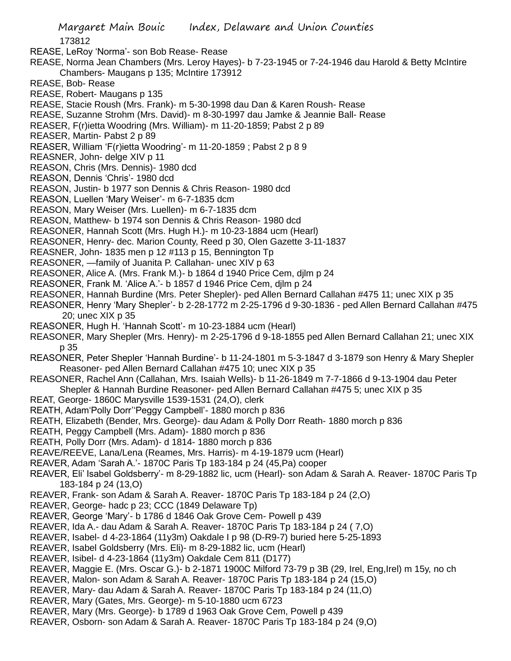173812

REASE, LeRoy 'Norma'- son Bob Rease- Rease

- REASE, Norma Jean Chambers (Mrs. Leroy Hayes)- b 7-23-1945 or 7-24-1946 dau Harold & Betty McIntire Chambers- Maugans p 135; McIntire 173912
- REASE, Bob- Rease
- REASE, Robert- Maugans p 135
- REASE, Stacie Roush (Mrs. Frank)- m 5-30-1998 dau Dan & Karen Roush- Rease
- REASE, Suzanne Strohm (Mrs. David)- m 8-30-1997 dau Jamke & Jeannie Ball- Rease
- REASER, F(r)ietta Woodring (Mrs. William)- m 11-20-1859; Pabst 2 p 89
- REASER, Martin- Pabst 2 p 89
- REASER, William 'F(r)ietta Woodring'- m 11-20-1859 ; Pabst 2 p 8 9
- REASNER, John- delge XIV p 11
- REASON, Chris (Mrs. Dennis)- 1980 dcd
- REASON, Dennis 'Chris'- 1980 dcd
- REASON, Justin- b 1977 son Dennis & Chris Reason- 1980 dcd
- REASON, Luellen 'Mary Weiser'- m 6-7-1835 dcm
- REASON, Mary Weiser (Mrs. Luellen)- m 6-7-1835 dcm
- REASON, Matthew- b 1974 son Dennis & Chris Reason- 1980 dcd
- REASONER, Hannah Scott (Mrs. Hugh H.)- m 10-23-1884 ucm (Hearl)
- REASONER, Henry- dec. Marion County, Reed p 30, Olen Gazette 3-11-1837
- REASNER, John- 1835 men p 12 #113 p 15, Bennington Tp
- REASONER, —family of Juanita P. Callahan- unec XIV p 63
- REASONER, Alice A. (Mrs. Frank M.)- b 1864 d 1940 Price Cem, djlm p 24
- REASONER, Frank M. 'Alice A.'- b 1857 d 1946 Price Cem, djlm p 24
- REASONER, Hannah Burdine (Mrs. Peter Shepler)- ped Allen Bernard Callahan #475 11; unec XIX p 35
- REASONER, Henry 'Mary Shepler'- b 2-28-1772 m 2-25-1796 d 9-30-1836 ped Allen Bernard Callahan #475 20; unec XIX p 35
- REASONER, Hugh H. 'Hannah Scott'- m 10-23-1884 ucm (Hearl)
- REASONER, Mary Shepler (Mrs. Henry)- m 2-25-1796 d 9-18-1855 ped Allen Bernard Callahan 21; unec XIX p 35
- REASONER, Peter Shepler 'Hannah Burdine'- b 11-24-1801 m 5-3-1847 d 3-1879 son Henry & Mary Shepler Reasoner- ped Allen Bernard Callahan #475 10; unec XIX p 35
- REASONER, Rachel Ann (Callahan, Mrs. Isaiah Wells)- b 11-26-1849 m 7-7-1866 d 9-13-1904 dau Peter Shepler & Hannah Burdine Reasoner- ped Allen Bernard Callahan #475 5; unec XIX p 35
- REAT, George- 1860C Marysville 1539-1531 (24,O), clerk
- REATH, Adam'Polly Dorr''Peggy Campbell'- 1880 morch p 836
- REATH, Elizabeth (Bender, Mrs. George)- dau Adam & Polly Dorr Reath- 1880 morch p 836
- REATH, Peggy Campbell (Mrs. Adam)- 1880 morch p 836
- REATH, Polly Dorr (Mrs. Adam)- d 1814- 1880 morch p 836
- REAVE/REEVE, Lana/Lena (Reames, Mrs. Harris)- m 4-19-1879 ucm (Hearl)
- REAVER, Adam 'Sarah A.'- 1870C Paris Tp 183-184 p 24 (45,Pa) cooper
- REAVER, Eli' Isabel Goldsberry'- m 8-29-1882 lic, ucm (Hearl)- son Adam & Sarah A. Reaver- 1870C Paris Tp 183-184 p 24 (13,O)
- REAVER, Frank- son Adam & Sarah A. Reaver- 1870C Paris Tp 183-184 p 24 (2,O)
- REAVER, George- hadc p 23; CCC (1849 Delaware Tp)
- REAVER, George 'Mary'- b 1786 d 1846 Oak Grove Cem- Powell p 439
- REAVER, Ida A.- dau Adam & Sarah A. Reaver- 1870C Paris Tp 183-184 p 24 ( 7,O)
- REAVER, Isabel- d 4-23-1864 (11y3m) Oakdale I p 98 (D-R9-7) buried here 5-25-1893
- REAVER, Isabel Goldsberry (Mrs. Eli)- m 8-29-1882 lic, ucm (Hearl)
- REAVER, Isibel- d 4-23-1864 (11y3m) Oakdale Cem 811 (D177)
- REAVER, Maggie E. (Mrs. Oscar G.)- b 2-1871 1900C Milford 73-79 p 3B (29, Irel, Eng,Irel) m 15y, no ch
- REAVER, Malon- son Adam & Sarah A. Reaver- 1870C Paris Tp 183-184 p 24 (15,O)
- REAVER, Mary- dau Adam & Sarah A. Reaver- 1870C Paris Tp 183-184 p 24 (11,O)
- REAVER, Mary (Gates, Mrs. George)- m 5-10-1880 ucm 6723
- REAVER, Mary (Mrs. George)- b 1789 d 1963 Oak Grove Cem, Powell p 439
- REAVER, Osborn- son Adam & Sarah A. Reaver- 1870C Paris Tp 183-184 p 24 (9,O)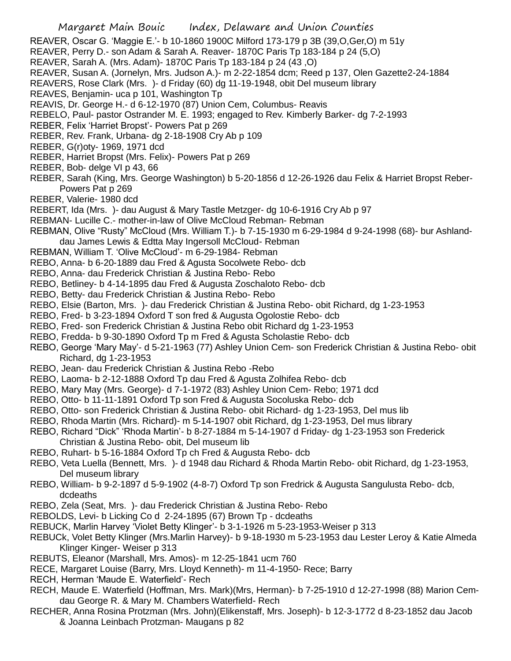REAVER, Oscar G. 'Maggie E.'- b 10-1860 1900C Milford 173-179 p 3B (39,O,Ger,O) m 51y

- REAVER, Perry D.- son Adam & Sarah A. Reaver- 1870C Paris Tp 183-184 p 24 (5,O)
- REAVER, Sarah A. (Mrs. Adam)- 1870C Paris Tp 183-184 p 24 (43 ,O)
- REAVER, Susan A. (Jornelyn, Mrs. Judson A.)- m 2-22-1854 dcm; Reed p 137, Olen Gazette2-24-1884

REAVERS, Rose Clark (Mrs. )- d Friday (60) dg 11-19-1948, obit Del museum library

REAVES, Benjamin- uca p 101, Washington Tp

REAVIS, Dr. George H.- d 6-12-1970 (87) Union Cem, Columbus- Reavis

REBELO, Paul- pastor Ostrander M. E. 1993; engaged to Rev. Kimberly Barker- dg 7-2-1993

REBER, Felix 'Harriet Bropst'- Powers Pat p 269

- REBER, Rev. Frank, Urbana- dg 2-18-1908 Cry Ab p 109
- REBER, G(r)oty- 1969, 1971 dcd
- REBER, Harriet Bropst (Mrs. Felix)- Powers Pat p 269
- REBER, Bob- delge VI p 43, 66
- REBER, Sarah (King, Mrs. George Washington) b 5-20-1856 d 12-26-1926 dau Felix & Harriet Bropst Reber-Powers Pat p 269
- REBER, Valerie- 1980 dcd
- REBERT, Ida (Mrs. )- dau August & Mary Tastle Metzger- dg 10-6-1916 Cry Ab p 97
- REBMAN- Lucille C.- mother-in-law of Olive McCloud Rebman- Rebman
- REBMAN, Olive "Rusty" McCloud (Mrs. William T.)- b 7-15-1930 m 6-29-1984 d 9-24-1998 (68)- bur Ashlanddau James Lewis & Edtta May Ingersoll McCloud- Rebman
- REBMAN, William T. 'Olive McCloud'- m 6-29-1984- Rebman
- REBO, Anna- b 6-20-1889 dau Fred & Agusta Socolwete Rebo- dcb
- REBO, Anna- dau Frederick Christian & Justina Rebo- Rebo
- REBO, Betliney- b 4-14-1895 dau Fred & Augusta Zoschaloto Rebo- dcb
- REBO, Betty- dau Frederick Christian & Justina Rebo- Rebo
- REBO, Elsie (Barton, Mrs. )- dau Frederick Christian & Justina Rebo- obit Richard, dg 1-23-1953
- REBO, Fred- b 3-23-1894 Oxford T son fred & Augusta Ogolostie Rebo- dcb
- REBO, Fred- son Frederick Christian & Justina Rebo obit Richard dg 1-23-1953
- REBO, Fredda- b 9-30-1890 Oxford Tp m Fred & Agusta Scholastie Rebo- dcb
- REBO, George 'Mary May'- d 5-21-1963 (77) Ashley Union Cem- son Frederick Christian & Justina Rebo- obit Richard, dg 1-23-1953
- REBO, Jean- dau Frederick Christian & Justina Rebo -Rebo
- REBO, Laoma- b 2-12-1888 Oxford Tp dau Fred & Agusta Zolhifea Rebo- dcb
- REBO, Mary May (Mrs. George)- d 7-1-1972 (83) Ashley Union Cem- Rebo; 1971 dcd
- REBO, Otto- b 11-11-1891 Oxford Tp son Fred & Augusta Socoluska Rebo- dcb
- REBO, Otto- son Frederick Christian & Justina Rebo- obit Richard- dg 1-23-1953, Del mus lib
- REBO, Rhoda Martin (Mrs. Richard)- m 5-14-1907 obit Richard, dg 1-23-1953, Del mus library
- REBO, Richard "Dick" 'Rhoda Martin'- b 8-27-1884 m 5-14-1907 d Friday- dg 1-23-1953 son Frederick Christian & Justina Rebo- obit, Del museum lib
- REBO, Ruhart- b 5-16-1884 Oxford Tp ch Fred & Augusta Rebo- dcb
- REBO, Veta Luella (Bennett, Mrs. )- d 1948 dau Richard & Rhoda Martin Rebo- obit Richard, dg 1-23-1953, Del museum library
- REBO, William- b 9-2-1897 d 5-9-1902 (4-8-7) Oxford Tp son Fredrick & Augusta Sangulusta Rebo- dcb, dcdeaths
- REBO, Zela (Seat, Mrs. )- dau Frederick Christian & Justina Rebo- Rebo
- REBOLDS, Levi- b Licking Co d 2-24-1895 (67) Brown Tp dcdeaths
- REBUCK, Marlin Harvey 'Violet Betty Klinger'- b 3-1-1926 m 5-23-1953-Weiser p 313
- REBUCk, Volet Betty Klinger (Mrs.Marlin Harvey)- b 9-18-1930 m 5-23-1953 dau Lester Leroy & Katie Almeda Klinger Kinger- Weiser p 313
- REBUTS, Eleanor (Marshall, Mrs. Amos)- m 12-25-1841 ucm 760
- RECE, Margaret Louise (Barry, Mrs. Lloyd Kenneth)- m 11-4-1950- Rece; Barry
- RECH, Herman 'Maude E. Waterfield'- Rech
- RECH, Maude E. Waterfield (Hoffman, Mrs. Mark)(Mrs, Herman)- b 7-25-1910 d 12-27-1998 (88) Marion Cemdau George R. & Mary M. Chambers Waterfield- Rech
- RECHER, Anna Rosina Protzman (Mrs. John)(Elikenstaff, Mrs. Joseph)- b 12-3-1772 d 8-23-1852 dau Jacob & Joanna Leinbach Protzman- Maugans p 82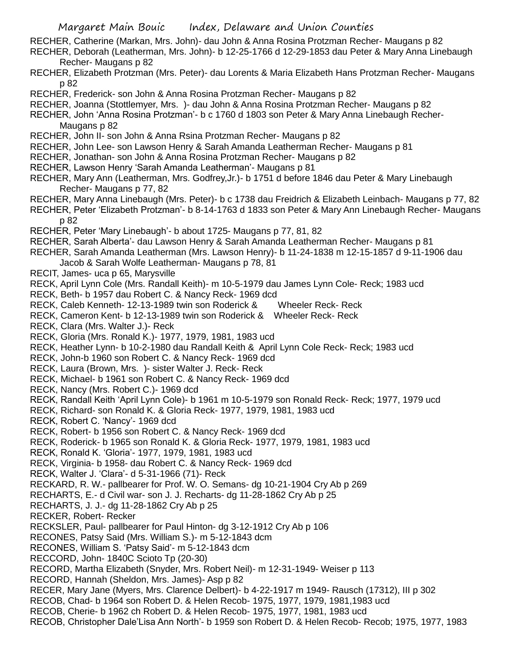RECHER, Catherine (Markan, Mrs. John)- dau John & Anna Rosina Protzman Recher- Maugans p 82

RECHER, Deborah (Leatherman, Mrs. John)- b 12-25-1766 d 12-29-1853 dau Peter & Mary Anna Linebaugh Recher- Maugans p 82

RECHER, Elizabeth Protzman (Mrs. Peter)- dau Lorents & Maria Elizabeth Hans Protzman Recher- Maugans p 82

RECHER, Frederick- son John & Anna Rosina Protzman Recher- Maugans p 82

RECHER, Joanna (Stottlemyer, Mrs. )- dau John & Anna Rosina Protzman Recher- Maugans p 82

RECHER, John 'Anna Rosina Protzman'- b c 1760 d 1803 son Peter & Mary Anna Linebaugh Recher-Maugans p 82

- RECHER, John II- son John & Anna Rsina Protzman Recher- Maugans p 82
- RECHER, John Lee- son Lawson Henry & Sarah Amanda Leatherman Recher- Maugans p 81
- RECHER, Jonathan- son John & Anna Rosina Protzman Recher- Maugans p 82
- RECHER, Lawson Henry 'Sarah Amanda Leatherman'- Maugans p 81
- RECHER, Mary Ann (Leatherman, Mrs. Godfrey,Jr.)- b 1751 d before 1846 dau Peter & Mary Linebaugh Recher- Maugans p 77, 82
- RECHER, Mary Anna Linebaugh (Mrs. Peter)- b c 1738 dau Freidrich & Elizabeth Leinbach- Maugans p 77, 82
- RECHER, Peter 'Elizabeth Protzman'- b 8-14-1763 d 1833 son Peter & Mary Ann Linebaugh Recher- Maugans p 82
- RECHER, Peter 'Mary Linebaugh'- b about 1725- Maugans p 77, 81, 82
- RECHER, Sarah Alberta'- dau Lawson Henry & Sarah Amanda Leatherman Recher- Maugans p 81
- RECHER, Sarah Amanda Leatherman (Mrs. Lawson Henry)- b 11-24-1838 m 12-15-1857 d 9-11-1906 dau Jacob & Sarah Wolfe Leatherman- Maugans p 78, 81
- RECIT, James- uca p 65, Marysville
- RECK, April Lynn Cole (Mrs. Randall Keith)- m 10-5-1979 dau James Lynn Cole- Reck; 1983 ucd
- RECK, Beth- b 1957 dau Robert C. & Nancy Reck- 1969 dcd
- RECK, Caleb Kenneth- 12-13-1989 twin son Roderick & Wheeler Reck- Reck
- RECK, Cameron Kent- b 12-13-1989 twin son Roderick & Wheeler Reck- Reck
- RECK, Clara (Mrs. Walter J.)- Reck
- RECK, Gloria (Mrs. Ronald K.)- 1977, 1979, 1981, 1983 ucd
- RECK, Heather Lynn- b 10-2-1980 dau Randall Keith & April Lynn Cole Reck- Reck; 1983 ucd
- RECK, John-b 1960 son Robert C. & Nancy Reck- 1969 dcd
- RECK, Laura (Brown, Mrs. )- sister Walter J. Reck- Reck
- RECK, Michael- b 1961 son Robert C. & Nancy Reck- 1969 dcd
- RECK, Nancy (Mrs. Robert C.)- 1969 dcd
- RECK, Randall Keith 'April Lynn Cole)- b 1961 m 10-5-1979 son Ronald Reck- Reck; 1977, 1979 ucd
- RECK, Richard- son Ronald K. & Gloria Reck- 1977, 1979, 1981, 1983 ucd
- RECK, Robert C. 'Nancy'- 1969 dcd
- RECK, Robert- b 1956 son Robert C. & Nancy Reck- 1969 dcd
- RECK, Roderick- b 1965 son Ronald K. & Gloria Reck- 1977, 1979, 1981, 1983 ucd
- RECK, Ronald K. 'Gloria'- 1977, 1979, 1981, 1983 ucd
- RECK, Virginia- b 1958- dau Robert C. & Nancy Reck- 1969 dcd
- RECK, Walter J. 'Clara'- d 5-31-1966 (71)- Reck
- RECKARD, R. W.- pallbearer for Prof. W. O. Semans- dg 10-21-1904 Cry Ab p 269
- RECHARTS, E.- d Civil war- son J. J. Recharts- dg 11-28-1862 Cry Ab p 25
- RECHARTS, J. J.- dg 11-28-1862 Cry Ab p 25
- RECKER, Robert- Recker
- RECKSLER, Paul- pallbearer for Paul Hinton- dg 3-12-1912 Cry Ab p 106
- RECONES, Patsy Said (Mrs. William S.)- m 5-12-1843 dcm
- RECONES, William S. 'Patsy Said'- m 5-12-1843 dcm
- RECCORD, John- 1840C Scioto Tp (20-30)
- RECORD, Martha Elizabeth (Snyder, Mrs. Robert Neil)- m 12-31-1949- Weiser p 113
- RECORD, Hannah (Sheldon, Mrs. James)- Asp p 82
- RECER, Mary Jane (Myers, Mrs. Clarence Delbert)- b 4-22-1917 m 1949- Rausch (17312), III p 302
- RECOB, Chad- b 1964 son Robert D. & Helen Recob- 1975, 1977, 1979, 1981,1983 ucd
- RECOB, Cherie- b 1962 ch Robert D. & Helen Recob- 1975, 1977, 1981, 1983 ucd
- RECOB, Christopher Dale'Lisa Ann North'- b 1959 son Robert D. & Helen Recob- Recob; 1975, 1977, 1983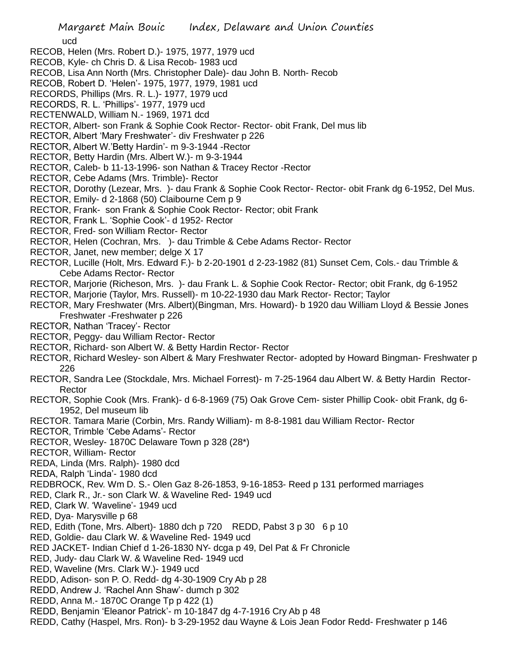ucd

- RECOB, Helen (Mrs. Robert D.)- 1975, 1977, 1979 ucd
- RECOB, Kyle- ch Chris D. & Lisa Recob- 1983 ucd
- RECOB, Lisa Ann North (Mrs. Christopher Dale)- dau John B. North- Recob
- RECOB, Robert D. 'Helen'- 1975, 1977, 1979, 1981 ucd
- RECORDS, Phillips (Mrs. R. L.)- 1977, 1979 ucd
- RECORDS, R. L. 'Phillips'- 1977, 1979 ucd
- RECTENWALD, William N.- 1969, 1971 dcd
- RECTOR, Albert- son Frank & Sophie Cook Rector- Rector- obit Frank, Del mus lib
- RECTOR, Albert 'Mary Freshwater'- div Freshwater p 226
- RECTOR, Albert W.'Betty Hardin'- m 9-3-1944 -Rector
- RECTOR, Betty Hardin (Mrs. Albert W.)- m 9-3-1944
- RECTOR, Caleb- b 11-13-1996- son Nathan & Tracey Rector -Rector
- RECTOR, Cebe Adams (Mrs. Trimble)- Rector
- RECTOR, Dorothy (Lezear, Mrs. )- dau Frank & Sophie Cook Rector- Rector- obit Frank dg 6-1952, Del Mus.
- RECTOR, Emily- d 2-1868 (50) Claibourne Cem p 9
- RECTOR, Frank- son Frank & Sophie Cook Rector- Rector; obit Frank
- RECTOR, Frank L. 'Sophie Cook'- d 1952- Rector
- RECTOR, Fred- son William Rector- Rector
- RECTOR, Helen (Cochran, Mrs. )- dau Trimble & Cebe Adams Rector- Rector
- RECTOR, Janet, new member; delge X 17
- RECTOR, Lucille (Holt, Mrs. Edward F.)- b 2-20-1901 d 2-23-1982 (81) Sunset Cem, Cols.- dau Trimble & Cebe Adams Rector- Rector
- RECTOR, Marjorie (Richeson, Mrs. )- dau Frank L. & Sophie Cook Rector- Rector; obit Frank, dg 6-1952
- RECTOR, Marjorie (Taylor, Mrs. Russell)- m 10-22-1930 dau Mark Rector- Rector; Taylor
- RECTOR, Mary Freshwater (Mrs. Albert)(Bingman, Mrs. Howard)- b 1920 dau William Lloyd & Bessie Jones Freshwater -Freshwater p 226
- RECTOR, Nathan 'Tracey'- Rector
- RECTOR, Peggy- dau William Rector- Rector
- RECTOR, Richard- son Albert W. & Betty Hardin Rector- Rector
- RECTOR, Richard Wesley- son Albert & Mary Freshwater Rector- adopted by Howard Bingman- Freshwater p 226
- RECTOR, Sandra Lee (Stockdale, Mrs. Michael Forrest)- m 7-25-1964 dau Albert W. & Betty Hardin Rector-Rector
- RECTOR, Sophie Cook (Mrs. Frank)- d 6-8-1969 (75) Oak Grove Cem- sister Phillip Cook- obit Frank, dg 6- 1952, Del museum lib
- RECTOR. Tamara Marie (Corbin, Mrs. Randy William)- m 8-8-1981 dau William Rector- Rector
- RECTOR, Trimble 'Cebe Adams'- Rector
- RECTOR, Wesley- 1870C Delaware Town p 328 (28\*)
- RECTOR, William- Rector
- REDA, Linda (Mrs. Ralph)- 1980 dcd
- REDA, Ralph 'Linda'- 1980 dcd
- REDBROCK, Rev. Wm D. S.- Olen Gaz 8-26-1853, 9-16-1853- Reed p 131 performed marriages
- RED, Clark R., Jr.- son Clark W. & Waveline Red- 1949 ucd
- RED, Clark W. 'Waveline'- 1949 ucd
- RED, Dya- Marysville p 68
- RED, Edith (Tone, Mrs. Albert)- 1880 dch p 720 REDD, Pabst 3 p 30 6 p 10
- RED, Goldie- dau Clark W. & Waveline Red- 1949 ucd
- RED JACKET- Indian Chief d 1-26-1830 NY- dcga p 49, Del Pat & Fr Chronicle
- RED, Judy- dau Clark W. & Waveline Red- 1949 ucd
- RED, Waveline (Mrs. Clark W.)- 1949 ucd
- REDD, Adison- son P. O. Redd- dg 4-30-1909 Cry Ab p 28
- REDD, Andrew J. 'Rachel Ann Shaw'- dumch p 302
- REDD, Anna M.- 1870C Orange Tp p 422 (1)
- REDD, Benjamin 'Eleanor Patrick'- m 10-1847 dg 4-7-1916 Cry Ab p 48
- REDD, Cathy (Haspel, Mrs. Ron)- b 3-29-1952 dau Wayne & Lois Jean Fodor Redd- Freshwater p 146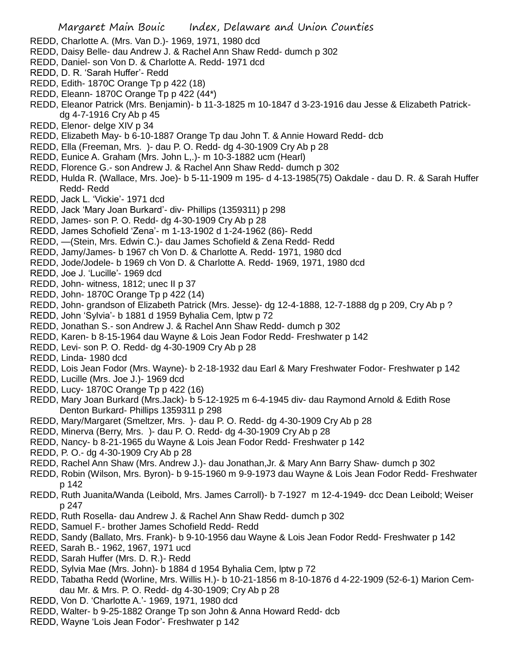- REDD, Charlotte A. (Mrs. Van D.)- 1969, 1971, 1980 dcd
- REDD, Daisy Belle- dau Andrew J. & Rachel Ann Shaw Redd- dumch p 302
- REDD, Daniel- son Von D. & Charlotte A. Redd- 1971 dcd
- REDD, D. R. 'Sarah Huffer'- Redd
- REDD, Edith- 1870C Orange Tp p 422 (18)
- REDD, Eleann- 1870C Orange Tp p 422 (44\*)
- REDD, Eleanor Patrick (Mrs. Benjamin)- b 11-3-1825 m 10-1847 d 3-23-1916 dau Jesse & Elizabeth Patrickdg 4-7-1916 Cry Ab p 45
- REDD, Elenor- delge XIV p 34
- REDD, Elizabeth May- b 6-10-1887 Orange Tp dau John T. & Annie Howard Redd- dcb
- REDD, Ella (Freeman, Mrs. )- dau P. O. Redd- dg 4-30-1909 Cry Ab p 28
- REDD, Eunice A. Graham (Mrs. John L,.)- m 10-3-1882 ucm (Hearl)
- REDD, Florence G.- son Andrew J. & Rachel Ann Shaw Redd- dumch p 302
- REDD, Hulda R. (Wallace, Mrs. Joe)- b 5-11-1909 m 195- d 4-13-1985(75) Oakdale dau D. R. & Sarah Huffer Redd- Redd
- REDD, Jack L. 'Vickie'- 1971 dcd
- REDD, Jack 'Mary Joan Burkard'- div- Phillips (1359311) p 298
- REDD, James- son P. O. Redd- dg 4-30-1909 Cry Ab p 28
- REDD, James Schofield 'Zena'- m 1-13-1902 d 1-24-1962 (86)- Redd
- REDD, —(Stein, Mrs. Edwin C.)- dau James Schofield & Zena Redd- Redd
- REDD, Jamy/James- b 1967 ch Von D. & Charlotte A. Redd- 1971, 1980 dcd
- REDD, Jode/Jodele- b 1969 ch Von D. & Charlotte A. Redd- 1969, 1971, 1980 dcd
- REDD, Joe J. 'Lucille'- 1969 dcd
- REDD, John- witness, 1812; unec II p 37
- REDD, John- 1870C Orange Tp p 422 (14)
- REDD, John- grandson of Elizabeth Patrick (Mrs. Jesse)- dg 12-4-1888, 12-7-1888 dg p 209, Cry Ab p ?
- REDD, John 'Sylvia'- b 1881 d 1959 Byhalia Cem, lptw p 72
- REDD, Jonathan S.- son Andrew J. & Rachel Ann Shaw Redd- dumch p 302
- REDD, Karen- b 8-15-1964 dau Wayne & Lois Jean Fodor Redd- Freshwater p 142
- REDD, Levi- son P. O. Redd- dg 4-30-1909 Cry Ab p 28
- REDD, Linda- 1980 dcd
- REDD, Lois Jean Fodor (Mrs. Wayne)- b 2-18-1932 dau Earl & Mary Freshwater Fodor- Freshwater p 142
- REDD, Lucille (Mrs. Joe J.)- 1969 dcd
- REDD, Lucy- 1870C Orange Tp p 422 (16)
- REDD, Mary Joan Burkard (Mrs.Jack)- b 5-12-1925 m 6-4-1945 div- dau Raymond Arnold & Edith Rose Denton Burkard- Phillips 1359311 p 298
- REDD, Mary/Margaret (Smeltzer, Mrs. )- dau P. O. Redd- dg 4-30-1909 Cry Ab p 28
- REDD, Minerva (Berry, Mrs. )- dau P. O. Redd- dg 4-30-1909 Cry Ab p 28
- REDD, Nancy- b 8-21-1965 du Wayne & Lois Jean Fodor Redd- Freshwater p 142
- REDD, P. O.- dg 4-30-1909 Cry Ab p 28
- REDD, Rachel Ann Shaw (Mrs. Andrew J.)- dau Jonathan,Jr. & Mary Ann Barry Shaw- dumch p 302
- REDD, Robin (Wilson, Mrs. Byron)- b 9-15-1960 m 9-9-1973 dau Wayne & Lois Jean Fodor Redd- Freshwater p 142
- REDD, Ruth Juanita/Wanda (Leibold, Mrs. James Carroll)- b 7-1927 m 12-4-1949- dcc Dean Leibold; Weiser p 247
- REDD, Ruth Rosella- dau Andrew J. & Rachel Ann Shaw Redd- dumch p 302
- REDD, Samuel F.- brother James Schofield Redd- Redd
- REDD, Sandy (Ballato, Mrs. Frank)- b 9-10-1956 dau Wayne & Lois Jean Fodor Redd- Freshwater p 142
- REED, Sarah B.- 1962, 1967, 1971 ucd
- REDD, Sarah Huffer (Mrs. D. R.)- Redd
- REDD, Sylvia Mae (Mrs. John)- b 1884 d 1954 Byhalia Cem, lptw p 72
- REDD, Tabatha Redd (Worline, Mrs. Willis H.)- b 10-21-1856 m 8-10-1876 d 4-22-1909 (52-6-1) Marion Cemdau Mr. & Mrs. P. O. Redd- dg 4-30-1909; Cry Ab p 28
- REDD, Von D. 'Charlotte A.'- 1969, 1971, 1980 dcd
- REDD, Walter- b 9-25-1882 Orange Tp son John & Anna Howard Redd- dcb
- REDD, Wayne 'Lois Jean Fodor'- Freshwater p 142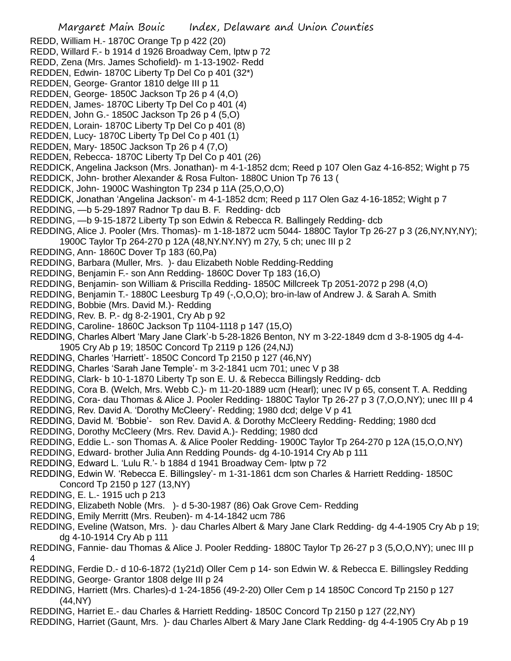Margaret Main Bouic Index, Delaware and Union Counties REDD, William H.- 1870C Orange Tp p 422 (20) REDD, Willard F.- b 1914 d 1926 Broadway Cem, lptw p 72 REDD, Zena (Mrs. James Schofield)- m 1-13-1902- Redd REDDEN, Edwin- 1870C Liberty Tp Del Co p 401 (32\*) REDDEN, George- Grantor 1810 delge III p 11 REDDEN, George- 1850C Jackson Tp 26 p 4 (4,O) REDDEN, James- 1870C Liberty Tp Del Co p 401 (4) REDDEN, John G.- 1850C Jackson Tp 26 p 4 (5,O) REDDEN, Lorain- 1870C Liberty Tp Del Co p 401 (8) REDDEN, Lucy- 1870C Liberty Tp Del Co p 401 (1) REDDEN, Mary- 1850C Jackson Tp 26 p 4 (7,O) REDDEN, Rebecca- 1870C Liberty Tp Del Co p 401 (26) REDDICK, Angelina Jackson (Mrs. Jonathan)- m 4-1-1852 dcm; Reed p 107 Olen Gaz 4-16-852; Wight p 75 REDDICK, John- brother Alexander & Rosa Fulton- 1880C Union Tp 76 13 ( REDDICK, John- 1900C Washington Tp 234 p 11A (25,O,O,O) REDDICK, Jonathan 'Angelina Jackson'- m 4-1-1852 dcm; Reed p 117 Olen Gaz 4-16-1852; Wight p 7 REDDING, —b 5-29-1897 Radnor Tp dau B. F. Redding- dcb REDDING, —b 9-15-1872 Liberty Tp son Edwin & Rebecca R. Ballingely Redding- dcb REDDING, Alice J. Pooler (Mrs. Thomas)- m 1-18-1872 ucm 5044- 1880C Taylor Tp 26-27 p 3 (26,NY,NY,NY); 1900C Taylor Tp 264-270 p 12A (48,NY.NY.NY) m 27y, 5 ch; unec III p 2 REDDING, Ann- 1860C Dover Tp 183 (60,Pa) REDDING, Barbara (Muller, Mrs. )- dau Elizabeth Noble Redding-Redding REDDING, Benjamin F.- son Ann Redding- 1860C Dover Tp 183 (16,O) REDDING, Benjamin- son William & Priscilla Redding- 1850C Millcreek Tp 2051-2072 p 298 (4,O) REDDING, Benjamin T.- 1880C Leesburg Tp 49 (-,O,O,O); bro-in-law of Andrew J. & Sarah A. Smith REDDING, Bobbie (Mrs. David M.)- Redding REDDING, Rev. B. P.- dg 8-2-1901, Cry Ab p 92 REDDING, Caroline- 1860C Jackson Tp 1104-1118 p 147 (15,O) REDDING, Charles Albert 'Mary Jane Clark'-b 5-28-1826 Benton, NY m 3-22-1849 dcm d 3-8-1905 dg 4-4- 1905 Cry Ab p 19; 1850C Concord Tp 2119 p 126 (24,NJ) REDDING, Charles 'Harriett'- 1850C Concord Tp 2150 p 127 (46,NY) REDDING, Charles 'Sarah Jane Temple'- m 3-2-1841 ucm 701; unec V p 38 REDDING, Clark- b 10-1-1870 Liberty Tp son E. U. & Rebecca Billingsly Redding- dcb REDDING, Cora B. (Welch, Mrs. Webb C.)- m 11-20-1889 ucm (Hearl); unec IV p 65, consent T. A. Redding REDDING, Cora- dau Thomas & Alice J. Pooler Redding- 1880C Taylor Tp 26-27 p 3 (7,O,O,NY); unec III p 4 REDDING, Rev. David A. 'Dorothy McCleery'- Redding; 1980 dcd; delge V p 41 REDDING, David M. 'Bobbie'- son Rev. David A. & Dorothy McCleery Redding- Redding; 1980 dcd REDDING, Dorothy McCleery (Mrs. Rev. David A.)- Redding; 1980 dcd REDDING, Eddie L.- son Thomas A. & Alice Pooler Redding- 1900C Taylor Tp 264-270 p 12A (15,O,O,NY) REDDING, Edward- brother Julia Ann Redding Pounds- dg 4-10-1914 Cry Ab p 111 REDDING, Edward L. 'Lulu R.'- b 1884 d 1941 Broadway Cem- lptw p 72 REDDING, Edwin W. 'Rebecca E. Billingsley'- m 1-31-1861 dcm son Charles & Harriett Redding- 1850C Concord Tp 2150 p 127 (13,NY) REDDING, E. L.- 1915 uch p 213 REDDING, Elizabeth Noble (Mrs. )- d 5-30-1987 (86) Oak Grove Cem- Redding REDDING, Emily Merritt (Mrs. Reuben)- m 4-14-1842 ucm 786 REDDING, Eveline (Watson, Mrs. )- dau Charles Albert & Mary Jane Clark Redding- dg 4-4-1905 Cry Ab p 19; dg 4-10-1914 Cry Ab p 111 REDDING, Fannie- dau Thomas & Alice J. Pooler Redding- 1880C Taylor Tp 26-27 p 3 (5,O,O,NY); unec III p 4 REDDING, Ferdie D.- d 10-6-1872 (1y21d) Oller Cem p 14- son Edwin W. & Rebecca E. Billingsley Redding REDDING, George- Grantor 1808 delge III p 24 REDDING, Harriett (Mrs. Charles)-d 1-24-1856 (49-2-20) Oller Cem p 14 1850C Concord Tp 2150 p 127 (44,NY) REDDING, Harriet E.- dau Charles & Harriett Redding- 1850C Concord Tp 2150 p 127 (22,NY)

REDDING, Harriet (Gaunt, Mrs. )- dau Charles Albert & Mary Jane Clark Redding- dg 4-4-1905 Cry Ab p 19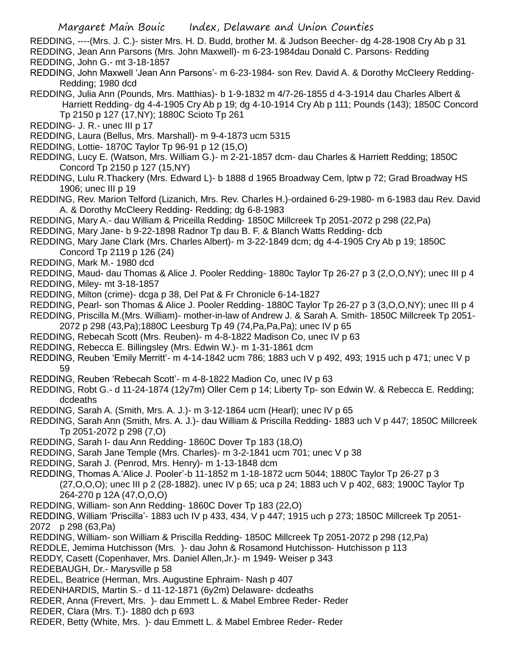- REDDING, ----(Mrs. J. C.)- sister Mrs. H. D. Budd, brother M. & Judson Beecher- dg 4-28-1908 Cry Ab p 31
- REDDING, Jean Ann Parsons (Mrs. John Maxwell)- m 6-23-1984dau Donald C. Parsons- Redding REDDING, John G.- mt 3-18-1857
- REDDING, John Maxwell 'Jean Ann Parsons'- m 6-23-1984- son Rev. David A. & Dorothy McCleery Redding-Redding; 1980 dcd
- REDDING, Julia Ann (Pounds, Mrs. Matthias)- b 1-9-1832 m 4/7-26-1855 d 4-3-1914 dau Charles Albert & Harriett Redding- dg 4-4-1905 Cry Ab p 19; dg 4-10-1914 Cry Ab p 111; Pounds (143); 1850C Concord Tp 2150 p 127 (17,NY); 1880C Scioto Tp 261
- REDDING- J. R.- unec III p 17
- REDDING, Laura (Bellus, Mrs. Marshall)- m 9-4-1873 ucm 5315
- REDDING, Lottie- 1870C Taylor Tp 96-91 p 12 (15,O)
- REDDING, Lucy E. (Watson, Mrs. William G.)- m 2-21-1857 dcm- dau Charles & Harriett Redding; 1850C Concord Tp 2150 p 127 (15,NY)
- REDDING, Lulu R.Thackery (Mrs. Edward L)- b 1888 d 1965 Broadway Cem, lptw p 72; Grad Broadway HS 1906; unec III p 19
- REDDING, Rev. Marion Telford (Lizanich, Mrs. Rev. Charles H.)-ordained 6-29-1980- m 6-1983 dau Rev. David A. & Dorothy McCleery Redding- Redding; dg 6-8-1983
- REDDING, Mary A.- dau William & Priceilla Redding- 1850C Millcreek Tp 2051-2072 p 298 (22,Pa)
- REDDING, Mary Jane- b 9-22-1898 Radnor Tp dau B. F. & Blanch Watts Redding- dcb
- REDDING, Mary Jane Clark (Mrs. Charles Albert)- m 3-22-1849 dcm; dg 4-4-1905 Cry Ab p 19; 1850C Concord Tp 2119 p 126 (24)
- REDDING, Mark M.- 1980 dcd
- REDDING, Maud- dau Thomas & Alice J. Pooler Redding- 1880c Taylor Tp 26-27 p 3 (2,O,O,NY); unec III p 4
- REDDING, Miley- mt 3-18-1857
- REDDING, Milton (crime)- dcga p 38, Del Pat & Fr Chronicle 6-14-1827
- REDDING, Pearl- son Thomas & Alice J. Pooler Redding- 1880C Taylor Tp 26-27 p 3 (3,O,O,NY); unec III p 4
- REDDING, Priscilla M.(Mrs. William)- mother-in-law of Andrew J. & Sarah A. Smith- 1850C Millcreek Tp 2051-
- 2072 p 298 (43,Pa);1880C Leesburg Tp 49 (74,Pa,Pa,Pa); unec IV p 65
- REDDING, Rebecah Scott (Mrs. Reuben)- m 4-8-1822 Madison Co, unec IV p 63
- REDDING, Rebecca E. Billingsley (Mrs. Edwin W.)- m 1-31-1861 dcm
- REDDING, Reuben 'Emily Merritt'- m 4-14-1842 ucm 786; 1883 uch V p 492, 493; 1915 uch p 471; unec V p 59
- REDDING, Reuben 'Rebecah Scott'- m 4-8-1822 Madion Co, unec IV p 63
- REDDING, Robt G.- d 11-24-1874 (12y7m) Oller Cem p 14; Liberty Tp- son Edwin W. & Rebecca E. Redding; dcdeaths
- REDDING, Sarah A. (Smith, Mrs. A. J.)- m 3-12-1864 ucm (Hearl); unec IV p 65
- REDDING, Sarah Ann (Smith, Mrs. A. J.)- dau William & Priscilla Redding- 1883 uch V p 447; 1850C Millcreek Tp 2051-2072 p 298 (7,O)
- REDDING, Sarah I- dau Ann Redding- 1860C Dover Tp 183 (18,O)
- REDDING, Sarah Jane Temple (Mrs. Charles)- m 3-2-1841 ucm 701; unec V p 38
- REDDING, Sarah J. (Penrod, Mrs. Henry)- m 1-13-1848 dcm
- REDDING, Thomas A.'Alice J. Pooler'-b 11-1852 m 1-18-1872 ucm 5044; 1880C Taylor Tp 26-27 p 3 (27,O,O,O); unec III p 2 (28-1882). unec IV p 65; uca p 24; 1883 uch V p 402, 683; 1900C Taylor Tp 264-270 p 12A (47,O,O,O)
- REDDING, William- son Ann Redding- 1860C Dover Tp 183 (22,O)
- REDDING, William 'Priscilla'- 1883 uch IV p 433, 434, V p 447; 1915 uch p 273; 1850C Millcreek Tp 2051- 2072 p 298 (63,Pa)
- REDDING, William- son William & Priscilla Redding- 1850C Millcreek Tp 2051-2072 p 298 (12,Pa)
- REDDLE, Jemima Hutchisson (Mrs. )- dau John & Rosamond Hutchisson- Hutchisson p 113
- REDDY, Casett (Copenhaver, Mrs. Daniel Allen,Jr.)- m 1949- Weiser p 343
- REDEBAUGH, Dr.- Marysville p 58
- REDEL, Beatrice (Herman, Mrs. Augustine Ephraim- Nash p 407
- REDENHARDIS, Martin S.- d 11-12-1871 (6y2m) Delaware- dcdeaths
- REDER, Anna (Frevert, Mrs. )- dau Emmett L. & Mabel Embree Reder- Reder
- REDER, Clara (Mrs. T.)- 1880 dch p 693
- REDER, Betty (White, Mrs. )- dau Emmett L. & Mabel Embree Reder- Reder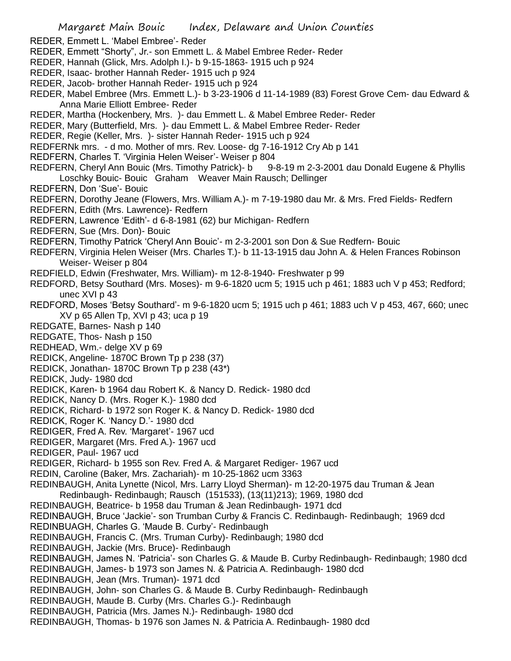Margaret Main Bouic Index, Delaware and Union Counties REDER, Emmett L. 'Mabel Embree'- Reder REDER, Emmett "Shorty", Jr.- son Emmett L. & Mabel Embree Reder- Reder REDER, Hannah (Glick, Mrs. Adolph I.)- b 9-15-1863- 1915 uch p 924 REDER, Isaac- brother Hannah Reder- 1915 uch p 924 REDER, Jacob- brother Hannah Reder- 1915 uch p 924 REDER, Mabel Embree (Mrs. Emmett L.)- b 3-23-1906 d 11-14-1989 (83) Forest Grove Cem- dau Edward & Anna Marie Elliott Embree- Reder REDER, Martha (Hockenbery, Mrs. )- dau Emmett L. & Mabel Embree Reder- Reder REDER, Mary (Butterfield, Mrs. )- dau Emmett L. & Mabel Embree Reder- Reder REDER, Regie (Keller, Mrs. )- sister Hannah Reder- 1915 uch p 924 REDFERNk mrs. - d mo. Mother of mrs. Rev. Loose- dg 7-16-1912 Cry Ab p 141 REDFERN, Charles T. 'Virginia Helen Weiser'- Weiser p 804 REDFERN, Cheryl Ann Bouic (Mrs. Timothy Patrick)- b 9-8-19 m 2-3-2001 dau Donald Eugene & Phyllis Loschky Bouic- Bouic Graham Weaver Main Rausch; Dellinger REDFERN, Don 'Sue'- Bouic REDFERN, Dorothy Jeane (Flowers, Mrs. William A.)- m 7-19-1980 dau Mr. & Mrs. Fred Fields- Redfern REDFERN, Edith (Mrs. Lawrence)- Redfern REDFERN, Lawrence 'Edith'- d 6-8-1981 (62) bur Michigan- Redfern REDFERN, Sue (Mrs. Don)- Bouic REDFERN, Timothy Patrick 'Cheryl Ann Bouic'- m 2-3-2001 son Don & Sue Redfern- Bouic REDFERN, Virginia Helen Weiser (Mrs. Charles T.)- b 11-13-1915 dau John A. & Helen Frances Robinson Weiser- Weiser p 804 REDFIELD, Edwin (Freshwater, Mrs. William)- m 12-8-1940- Freshwater p 99 REDFORD, Betsy Southard (Mrs. Moses)- m 9-6-1820 ucm 5; 1915 uch p 461; 1883 uch V p 453; Redford; unec XVI p 43 REDFORD, Moses 'Betsy Southard'- m 9-6-1820 ucm 5; 1915 uch p 461; 1883 uch V p 453, 467, 660; unec XV p 65 Allen Tp, XVI p 43; uca p 19 REDGATE, Barnes- Nash p 140 REDGATE, Thos- Nash p 150 REDHEAD, Wm.- delge XV p 69 REDICK, Angeline- 1870C Brown Tp p 238 (37) REDICK, Jonathan- 1870C Brown Tp p 238 (43\*) REDICK, Judy- 1980 dcd REDICK, Karen- b 1964 dau Robert K. & Nancy D. Redick- 1980 dcd REDICK, Nancy D. (Mrs. Roger K.)- 1980 dcd REDICK, Richard- b 1972 son Roger K. & Nancy D. Redick- 1980 dcd REDICK, Roger K. 'Nancy D.'- 1980 dcd REDIGER, Fred A. Rev. 'Margaret'- 1967 ucd REDIGER, Margaret (Mrs. Fred A.)- 1967 ucd REDIGER, Paul- 1967 ucd REDIGER, Richard- b 1955 son Rev. Fred A. & Margaret Rediger- 1967 ucd REDIN, Caroline (Baker, Mrs. Zachariah)- m 10-25-1862 ucm 3363 REDINBAUGH, Anita Lynette (Nicol, Mrs. Larry Lloyd Sherman)- m 12-20-1975 dau Truman & Jean Redinbaugh- Redinbaugh; Rausch (151533), (13(11)213); 1969, 1980 dcd REDINBAUGH, Beatrice- b 1958 dau Truman & Jean Redinbaugh- 1971 dcd REDINBAUGH, Bruce 'Jackie'- son Trumban Curby & Francis C. Redinbaugh- Redinbaugh; 1969 dcd REDINBUAGH, Charles G. 'Maude B. Curby'- Redinbaugh REDINBAUGH, Francis C. (Mrs. Truman Curby)- Redinbaugh; 1980 dcd REDINBAUGH, Jackie (Mrs. Bruce)- Redinbaugh REDINBAUGH, James N. 'Patricia'- son Charles G. & Maude B. Curby Redinbaugh- Redinbaugh; 1980 dcd REDINBAUGH, James- b 1973 son James N. & Patricia A. Redinbaugh- 1980 dcd REDINBAUGH, Jean (Mrs. Truman)- 1971 dcd REDINBAUGH, John- son Charles G. & Maude B. Curby Redinbaugh- Redinbaugh REDINBAUGH, Maude B. Curby (Mrs. Charles G.)- Redinbaugh REDINBAUGH, Patricia (Mrs. James N.)- Redinbaugh- 1980 dcd REDINBAUGH, Thomas- b 1976 son James N. & Patricia A. Redinbaugh- 1980 dcd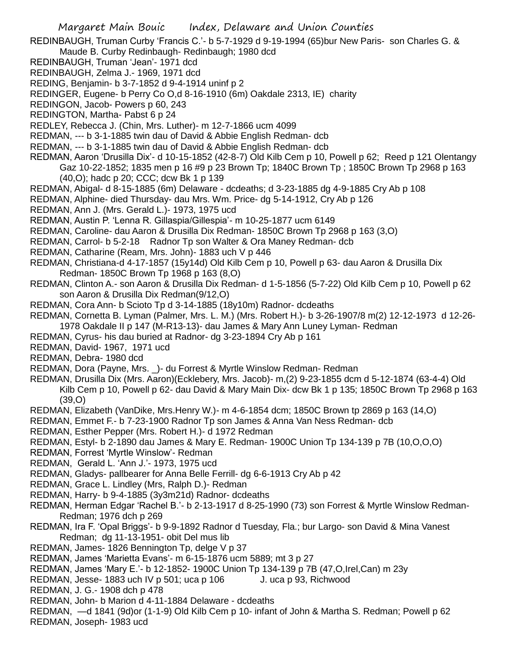REDINBAUGH, Truman Curby 'Francis C.'- b 5-7-1929 d 9-19-1994 (65)bur New Paris- son Charles G. & Maude B. Curby Redinbaugh- Redinbaugh; 1980 dcd

- REDINBAUGH, Truman 'Jean'- 1971 dcd
- REDINBAUGH, Zelma J.- 1969, 1971 dcd
- REDING, Benjamin- b 3-7-1852 d 9-4-1914 uninf p 2
- REDINGER, Eugene- b Perry Co O,d 8-16-1910 (6m) Oakdale 2313, IE) charity
- REDINGON, Jacob- Powers p 60, 243
- REDINGTON, Martha- Pabst 6 p 24
- REDLEY, Rebecca J. (Chin, Mrs. Luther)- m 12-7-1866 ucm 4099
- REDMAN, --- b 3-1-1885 twin dau of David & Abbie English Redman- dcb
- REDMAN, --- b 3-1-1885 twin dau of David & Abbie English Redman- dcb
- REDMAN, Aaron 'Drusilla Dix'- d 10-15-1852 (42-8-7) Old Kilb Cem p 10, Powell p 62; Reed p 121 Olentangy Gaz 10-22-1852; 1835 men p 16 #9 p 23 Brown Tp; 1840C Brown Tp ; 1850C Brown Tp 2968 p 163 (40,O); hadc p 20; CCC; dcw Bk 1 p 139
- REDMAN, Abigal- d 8-15-1885 (6m) Delaware dcdeaths; d 3-23-1885 dg 4-9-1885 Cry Ab p 108
- REDMAN, Alphine- died Thursday- dau Mrs. Wm. Price- dg 5-14-1912, Cry Ab p 126
- REDMAN, Ann J. (Mrs. Gerald L.)- 1973, 1975 ucd
- REDMAN, Austin P. 'Lenna R. Gillaspia/Gillespia'- m 10-25-1877 ucm 6149
- REDMAN, Caroline- dau Aaron & Drusilla Dix Redman- 1850C Brown Tp 2968 p 163 (3,O)
- REDMAN, Carrol- b 5-2-18 Radnor Tp son Walter & Ora Maney Redman- dcb
- REDMAN, Catharine (Ream, Mrs. John)- 1883 uch V p 446
- REDMAN, Christiana-d 4-17-1857 (15y14d) Old Kilb Cem p 10, Powell p 63- dau Aaron & Drusilla Dix Redman- 1850C Brown Tp 1968 p 163 (8,O)
- REDMAN, Clinton A.- son Aaron & Drusilla Dix Redman- d 1-5-1856 (5-7-22) Old Kilb Cem p 10, Powell p 62 son Aaron & Drusilla Dix Redman(9/12,O)
- REDMAN, Cora Ann- b Scioto Tp d 3-14-1885 (18y10m) Radnor- dcdeaths
- REDMAN, Cornetta B. Lyman (Palmer, Mrs. L. M.) (Mrs. Robert H.)- b 3-26-1907/8 m(2) 12-12-1973 d 12-26- 1978 Oakdale II p 147 (M-R13-13)- dau James & Mary Ann Luney Lyman- Redman
- REDMAN, Cyrus- his dau buried at Radnor- dg 3-23-1894 Cry Ab p 161
- REDMAN, David- 1967, 1971 ucd
- REDMAN, Debra- 1980 dcd
- REDMAN, Dora (Payne, Mrs. \_)- du Forrest & Myrtle Winslow Redman- Redman
- REDMAN, Drusilla Dix (Mrs. Aaron)(Ecklebery, Mrs. Jacob)- m,(2) 9-23-1855 dcm d 5-12-1874 (63-4-4) Old Kilb Cem p 10, Powell p 62- dau David & Mary Main Dix- dcw Bk 1 p 135; 1850C Brown Tp 2968 p 163 (39,O)
- REDMAN, Elizabeth (VanDike, Mrs.Henry W.)- m 4-6-1854 dcm; 1850C Brown tp 2869 p 163 (14,O)
- REDMAN, Emmet F.- b 7-23-1900 Radnor Tp son James & Anna Van Ness Redman- dcb
- REDMAN, Esther Pepper (Mrs. Robert H.)- d 1972 Redman
- REDMAN, Estyl- b 2-1890 dau James & Mary E. Redman- 1900C Union Tp 134-139 p 7B (10,O,O,O)
- REDMAN, Forrest 'Myrtle Winslow'- Redman
- REDMAN, Gerald L. 'Ann J.'- 1973, 1975 ucd
- REDMAN, Gladys- pallbearer for Anna Belle Ferrill- dg 6-6-1913 Cry Ab p 42
- REDMAN, Grace L. Lindley (Mrs, Ralph D.)- Redman
- REDMAN, Harry- b 9-4-1885 (3y3m21d) Radnor- dcdeaths
- REDMAN, Herman Edgar 'Rachel B.'- b 2-13-1917 d 8-25-1990 (73) son Forrest & Myrtle Winslow Redman-Redman; 1976 dch p 269
- REDMAN, Ira F. 'Opal Briggs'- b 9-9-1892 Radnor d Tuesday, Fla.; bur Largo- son David & Mina Vanest Redman; dg 11-13-1951- obit Del mus lib
- REDMAN, James- 1826 Bennington Tp, delge V p 37
- REDMAN, James 'Marietta Evans'- m 6-15-1876 ucm 5889; mt 3 p 27
- REDMAN, James 'Mary E.'- b 12-1852- 1900C Union Tp 134-139 p 7B (47,O,Irel,Can) m 23y
- REDMAN, Jesse- 1883 uch IV p 501; uca p 106 J. uca p 93, Richwood
- REDMAN, J. G.- 1908 dch p 478
- REDMAN, John- b Marion d 4-11-1884 Delaware dcdeaths
- REDMAN, —d 1841 (9d)or (1-1-9) Old Kilb Cem p 10- infant of John & Martha S. Redman; Powell p 62 REDMAN, Joseph- 1983 ucd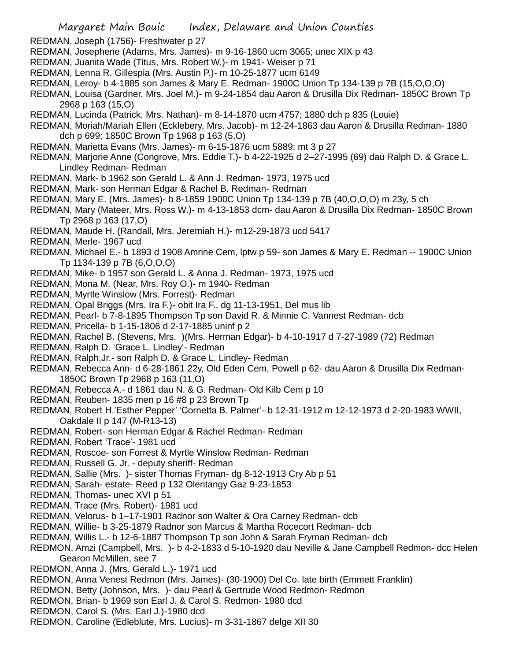- REDMAN, Joseph (1756)- Freshwater p 27
- REDMAN, Josephene (Adams, Mrs. James)- m 9-16-1860 ucm 3065; unec XIX p 43
- REDMAN, Juanita Wade (Titus, Mrs. Robert W.)- m 1941- Weiser p 71
- REDMAN, Lenna R. Gillespia (Mrs. Austin P.)- m 10-25-1877 ucm 6149
- REDMAN, Leroy- b 4-1885 son James & Mary E. Redman- 1900C Union Tp 134-139 p 7B (15,O,O,O)
- REDMAN, Louisa (Gardner, Mrs. Joel M.)- m 9-24-1854 dau Aaron & Drusilla Dix Redman- 1850C Brown Tp 2968 p 163 (15,O)
- REDMAN, Lucinda (Patrick, Mrs. Nathan)- m 8-14-1870 ucm 4757; 1880 dch p 835 (Louie)
- REDMAN, Moriah/Mariah Ellen (Ecklebery, Mrs. Jacob)- m 12-24-1863 dau Aaron & Drusilla Redman- 1880 dch p 699; 1850C Brown Tp 1968 p 163 (5,O)
- REDMAN, Marietta Evans (Mrs. James)- m 6-15-1876 ucm 5889; mt 3 p 27
- REDMAN, Marjorie Anne (Congrove, Mrs. Eddie T.)- b 4-22-1925 d 2–27-1995 (69) dau Ralph D. & Grace L. Lindley Redman- Redman
- REDMAN, Mark- b 1962 son Gerald L. & Ann J. Redman- 1973, 1975 ucd
- REDMAN, Mark- son Herman Edgar & Rachel B. Redman- Redman
- REDMAN, Mary E. (Mrs. James)- b 8-1859 1900C Union Tp 134-139 p 7B (40,O,O,O) m 23y, 5 ch
- REDMAN, Mary (Mateer, Mrs. Ross W.)- m 4-13-1853 dcm- dau Aaron & Drusilla Dix Redman- 1850C Brown Tp 2968 p 163 (17,O)
- REDMAN, Maude H. (Randall, Mrs. Jeremiah H.)- m12-29-1873 ucd 5417
- REDMAN, Merle- 1967 ucd
- REDMAN, Michael E.- b 1893 d 1908 Amrine Cem, lptw p 59- son James & Mary E. Redman -- 1900C Union Tp 1134-139 p 7B (6,O,O,O)
- REDMAN, Mike- b 1957 son Gerald L. & Anna J. Redman- 1973, 1975 ucd
- REDMAN, Mona M. (Near, Mrs. Roy O.)- m 1940- Redman
- REDMAN, Myrtle Winslow (Mrs. Forrest)- Redman
- REDMAN, Opal Briggs (Mrs. Ira F.)- obit Ira F., dg 11-13-1951, Del mus lib
- REDMAN, Pearl- b 7-8-1895 Thompson Tp son David R. & Minnie C. Vannest Redman- dcb
- REDMAN, Pricella- b 1-15-1806 d 2-17-1885 uninf p 2
- REDMAN, Rachel B. (Stevens, Mrs. )(Mrs. Herman Edgar)- b 4-10-1917 d 7-27-1989 (72) Redman
- REDMAN, Ralph D. 'Grace L. Lindley'- Redman
- REDMAN, Ralph,Jr.- son Ralph D. & Grace L. Lindley- Redman
- REDMAN, Rebecca Ann- d 6-28-1861 22y, Old Eden Cem, Powell p 62- dau Aaron & Drusilla Dix Redman-1850C Brown Tp 2968 p 163 (11,O)
- REDMAN, Rebecca A.- d 1861 dau N. & G. Redman- Old Kilb Cem p 10
- REDMAN, Reuben- 1835 men p 16 #8 p 23 Brown Tp
- REDMAN, Robert H.'Esther Pepper' 'Cornetta B. Palmer'- b 12-31-1912 m 12-12-1973 d 2-20-1983 WWII, Oakdale II p 147 (M-R13-13)
- REDMAN, Robert- son Herman Edgar & Rachel Redman- Redman
- REDMAN, Robert 'Trace'- 1981 ucd
- REDMAN, Roscoe- son Forrest & Myrtle Winslow Redman- Redman
- REDMAN, Russell G. Jr. deputy sheriff- Redman
- REDMAN, Sallie (Mrs. )- sister Thomas Fryman- dg 8-12-1913 Cry Ab p 51
- REDMAN, Sarah- estate- Reed p 132 Olentangy Gaz 9-23-1853
- REDMAN, Thomas- unec XVI p 51
- REDMAN, Trace (Mrs. Robert)- 1981 ucd
- REDMAN, Velorus- b 1–17-1901 Radnor son Walter & Ora Carney Redman- dcb
- REDMAN, Willie- b 3-25-1879 Radnor son Marcus & Martha Rocecort Redman- dcb
- REDMAN, Willis L.- b 12-6-1887 Thompson Tp son John & Sarah Fryman Redman- dcb
- REDMON, Amzi (Campbell, Mrs. )- b 4-2-1833 d 5-10-1920 dau Neville & Jane Campbell Redmon- dcc Helen Gearon McMillen, see 7
- REDMON, Anna J. (Mrs. Gerald L.)- 1971 ucd
- REDMON, Anna Venest Redmon (Mrs. James)- (30-1900) Del Co. late birth (Emmett Franklin)
- REDMON, Betty (Johnson, Mrs. )- dau Pearl & Gertrude Wood Redmon- Redmon
- REDMON, Brian- b 1969 son Earl J. & Carol S. Redmon- 1980 dcd
- REDMON, Carol S. (Mrs. Earl J.)-1980 dcd
- REDMON, Caroline (Edleblute, Mrs. Lucius)- m 3-31-1867 delge XII 30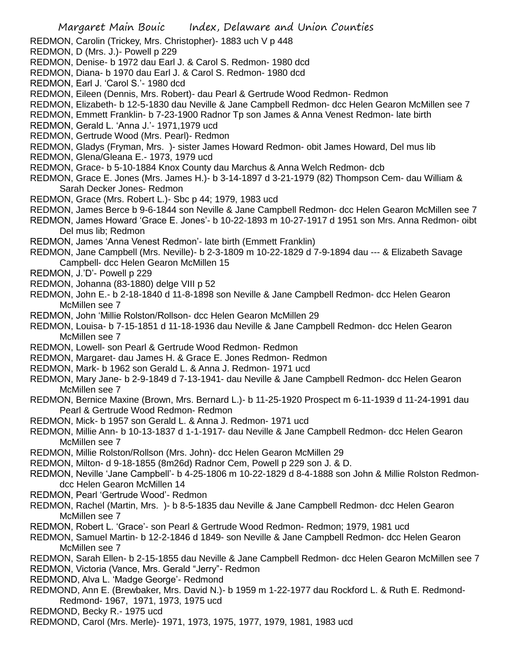- REDMON, Carolin (Trickey, Mrs. Christopher)- 1883 uch V p 448
- REDMON, D (Mrs. J.)- Powell p 229
- REDMON, Denise- b 1972 dau Earl J. & Carol S. Redmon- 1980 dcd
- REDMON, Diana- b 1970 dau Earl J. & Carol S. Redmon- 1980 dcd
- REDMON, Earl J. 'Carol S.'- 1980 dcd
- REDMON, Eileen (Dennis, Mrs. Robert)- dau Pearl & Gertrude Wood Redmon- Redmon
- REDMON, Elizabeth- b 12-5-1830 dau Neville & Jane Campbell Redmon- dcc Helen Gearon McMillen see 7
- REDMON, Emmett Franklin- b 7-23-1900 Radnor Tp son James & Anna Venest Redmon- late birth
- REDMON, Gerald L. 'Anna J.'- 1971,1979 ucd
- REDMON, Gertrude Wood (Mrs. Pearl)- Redmon
- REDMON, Gladys (Fryman, Mrs. )- sister James Howard Redmon- obit James Howard, Del mus lib
- REDMON, Glena/Gleana E.- 1973, 1979 ucd
- REDMON, Grace- b 5-10-1884 Knox County dau Marchus & Anna Welch Redmon- dcb
- REDMON, Grace E. Jones (Mrs. James H.)- b 3-14-1897 d 3-21-1979 (82) Thompson Cem- dau William & Sarah Decker Jones- Redmon
- REDMON, Grace (Mrs. Robert L.)- Sbc p 44; 1979, 1983 ucd
- REDMON, James Berce b 9-6-1844 son Neville & Jane Campbell Redmon- dcc Helen Gearon McMillen see 7
- REDMON, James Howard 'Grace E. Jones'- b 10-22-1893 m 10-27-1917 d 1951 son Mrs. Anna Redmon- oibt Del mus lib; Redmon
- REDMON, James 'Anna Venest Redmon'- late birth (Emmett Franklin)
- REDMON, Jane Campbell (Mrs. Neville)- b 2-3-1809 m 10-22-1829 d 7-9-1894 dau --- & Elizabeth Savage Campbell- dcc Helen Gearon McMillen 15
- REDMON, J.'D'- Powell p 229
- REDMON, Johanna (83-1880) delge VIII p 52
- REDMON, John E.- b 2-18-1840 d 11-8-1898 son Neville & Jane Campbell Redmon- dcc Helen Gearon McMillen see 7
- REDMON, John 'Millie Rolston/Rollson- dcc Helen Gearon McMillen 29
- REDMON, Louisa- b 7-15-1851 d 11-18-1936 dau Neville & Jane Campbell Redmon- dcc Helen Gearon McMillen see 7
- REDMON, Lowell- son Pearl & Gertrude Wood Redmon- Redmon
- REDMON, Margaret- dau James H. & Grace E. Jones Redmon- Redmon
- REDMON, Mark- b 1962 son Gerald L. & Anna J. Redmon- 1971 ucd
- REDMON, Mary Jane- b 2-9-1849 d 7-13-1941- dau Neville & Jane Campbell Redmon- dcc Helen Gearon McMillen see 7
- REDMON, Bernice Maxine (Brown, Mrs. Bernard L.)- b 11-25-1920 Prospect m 6-11-1939 d 11-24-1991 dau Pearl & Gertrude Wood Redmon- Redmon
- REDMON, Mick- b 1957 son Gerald L. & Anna J. Redmon- 1971 ucd
- REDMON, Millie Ann- b 10-13-1837 d 1-1-1917- dau Neville & Jane Campbell Redmon- dcc Helen Gearon McMillen see 7
- REDMON, Millie Rolston/Rollson (Mrs. John)- dcc Helen Gearon McMillen 29
- REDMON, Milton- d 9-18-1855 (8m26d) Radnor Cem, Powell p 229 son J. & D.
- REDMON, Neville 'Jane Campbell'- b 4-25-1806 m 10-22-1829 d 8-4-1888 son John & Millie Rolston Redmondcc Helen Gearon McMillen 14
- REDMON, Pearl 'Gertrude Wood'- Redmon
- REDMON, Rachel (Martin, Mrs. )- b 8-5-1835 dau Neville & Jane Campbell Redmon- dcc Helen Gearon McMillen see 7
- REDMON, Robert L. 'Grace'- son Pearl & Gertrude Wood Redmon- Redmon; 1979, 1981 ucd
- REDMON, Samuel Martin- b 12-2-1846 d 1849- son Neville & Jane Campbell Redmon- dcc Helen Gearon McMillen see 7
- REDMON, Sarah Ellen- b 2-15-1855 dau Neville & Jane Campbell Redmon- dcc Helen Gearon McMillen see 7
- REDMON, Victoria (Vance, Mrs. Gerald "Jerry"- Redmon
- REDMOND, Alva L. 'Madge George'- Redmond
- REDMOND, Ann E. (Brewbaker, Mrs. David N.)- b 1959 m 1-22-1977 dau Rockford L. & Ruth E. Redmond-Redmond- 1967, 1971, 1973, 1975 ucd
- REDMOND, Becky R.- 1975 ucd
- REDMOND, Carol (Mrs. Merle)- 1971, 1973, 1975, 1977, 1979, 1981, 1983 ucd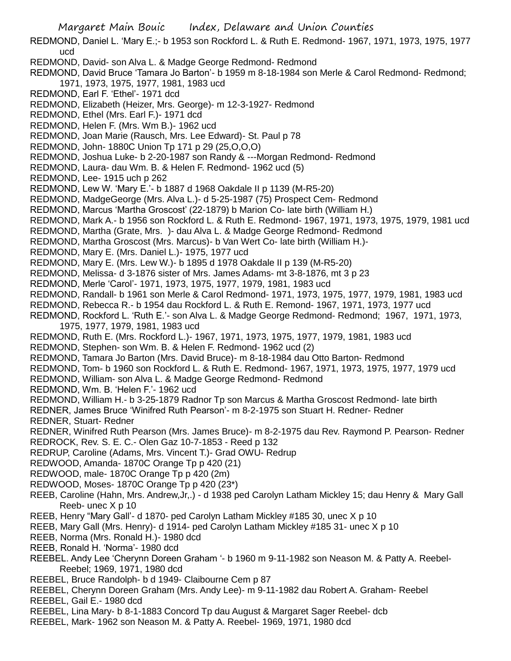Margaret Main Bouic Index, Delaware and Union Counties REDMOND, Daniel L. 'Mary E.;- b 1953 son Rockford L. & Ruth E. Redmond- 1967, 1971, 1973, 1975, 1977 ucd REDMOND, David- son Alva L. & Madge George Redmond- Redmond REDMOND, David Bruce 'Tamara Jo Barton'- b 1959 m 8-18-1984 son Merle & Carol Redmond- Redmond; 1971, 1973, 1975, 1977, 1981, 1983 ucd REDMOND, Earl F. 'Ethel'- 1971 dcd REDMOND, Elizabeth (Heizer, Mrs. George)- m 12-3-1927- Redmond REDMOND, Ethel (Mrs. Earl F.)- 1971 dcd REDMOND, Helen F. (Mrs. Wm B.)- 1962 ucd REDMOND, Joan Marie (Rausch, Mrs. Lee Edward)- St. Paul p 78 REDMOND, John- 1880C Union Tp 171 p 29 (25,O,O,O) REDMOND, Joshua Luke- b 2-20-1987 son Randy & ---Morgan Redmond- Redmond REDMOND, Laura- dau Wm. B. & Helen F. Redmond- 1962 ucd (5) REDMOND, Lee- 1915 uch p 262 REDMOND, Lew W. 'Mary E.'- b 1887 d 1968 Oakdale II p 1139 (M-R5-20) REDMOND, MadgeGeorge (Mrs. Alva L.)- d 5-25-1987 (75) Prospect Cem- Redmond REDMOND, Marcus 'Martha Groscost' (22-1879) b Marion Co- late birth (William H.) REDMOND, Mark A.- b 1956 son Rockford L. & Ruth E. Redmond- 1967, 1971, 1973, 1975, 1979, 1981 ucd REDMOND, Martha (Grate, Mrs. )- dau Alva L. & Madge George Redmond- Redmond REDMOND, Martha Groscost (Mrs. Marcus)- b Van Wert Co- late birth (William H.)- REDMOND, Mary E. (Mrs. Daniel L.)- 1975, 1977 ucd REDMOND, Mary E. (Mrs. Lew W.)- b 1895 d 1978 Oakdale II p 139 (M-R5-20) REDMOND, Melissa- d 3-1876 sister of Mrs. James Adams- mt 3-8-1876, mt 3 p 23 REDMOND, Merle 'Carol'- 1971, 1973, 1975, 1977, 1979, 1981, 1983 ucd REDMOND, Randall- b 1961 son Merle & Carol Redmond- 1971, 1973, 1975, 1977, 1979, 1981, 1983 ucd REDMOND, Rebecca R.- b 1954 dau Rockford L. & Ruth E. Remond- 1967, 1971, 1973, 1977 ucd REDMOND, Rockford L. 'Ruth E.'- son Alva L. & Madge George Redmond- Redmond; 1967, 1971, 1973, 1975, 1977, 1979, 1981, 1983 ucd REDMOND, Ruth E. (Mrs. Rockford L.)- 1967, 1971, 1973, 1975, 1977, 1979, 1981, 1983 ucd REDMOND, Stephen- son Wm. B. & Helen F. Redmond- 1962 ucd (2) REDMOND, Tamara Jo Barton (Mrs. David Bruce)- m 8-18-1984 dau Otto Barton- Redmond REDMOND, Tom- b 1960 son Rockford L. & Ruth E. Redmond- 1967, 1971, 1973, 1975, 1977, 1979 ucd REDMOND, William- son Alva L. & Madge George Redmond- Redmond REDMOND, Wm. B. 'Helen F.'- 1962 ucd REDMOND, William H.- b 3-25-1879 Radnor Tp son Marcus & Martha Groscost Redmond- late birth REDNER, James Bruce 'Winifred Ruth Pearson'- m 8-2-1975 son Stuart H. Redner- Redner REDNER, Stuart- Redner REDNER, Winifred Ruth Pearson (Mrs. James Bruce)- m 8-2-1975 dau Rev. Raymond P. Pearson- Redner REDROCK, Rev. S. E. C.- Olen Gaz 10-7-1853 - Reed p 132 REDRUP, Caroline (Adams, Mrs. Vincent T.)- Grad OWU- Redrup REDWOOD, Amanda- 1870C Orange Tp p 420 (21) REDWOOD, male- 1870C Orange Tp p 420 (2m) REDWOOD, Moses- 1870C Orange Tp p 420 (23\*) REEB, Caroline (Hahn, Mrs. Andrew,Jr,.) - d 1938 ped Carolyn Latham Mickley 15; dau Henry & Mary Gall Reeb- unec X p 10 REEB, Henry "Mary Gall'- d 1870- ped Carolyn Latham Mickley #185 30, unec X p 10 REEB, Mary Gall (Mrs. Henry)- d 1914- ped Carolyn Latham Mickley #185 31- unec X p 10 REEB, Norma (Mrs. Ronald H.)- 1980 dcd REEB, Ronald H. 'Norma'- 1980 dcd REEBEL. Andy Lee 'Cherynn Doreen Graham '- b 1960 m 9-11-1982 son Neason M. & Patty A. Reebel-Reebel; 1969, 1971, 1980 dcd REEBEL, Bruce Randolph- b d 1949- Claibourne Cem p 87 REEBEL, Cherynn Doreen Graham (Mrs. Andy Lee)- m 9-11-1982 dau Robert A. Graham- Reebel REEBEL, Gail E.- 1980 dcd REEBEL, Lina Mary- b 8-1-1883 Concord Tp dau August & Margaret Sager Reebel- dcb REEBEL, Mark- 1962 son Neason M. & Patty A. Reebel- 1969, 1971, 1980 dcd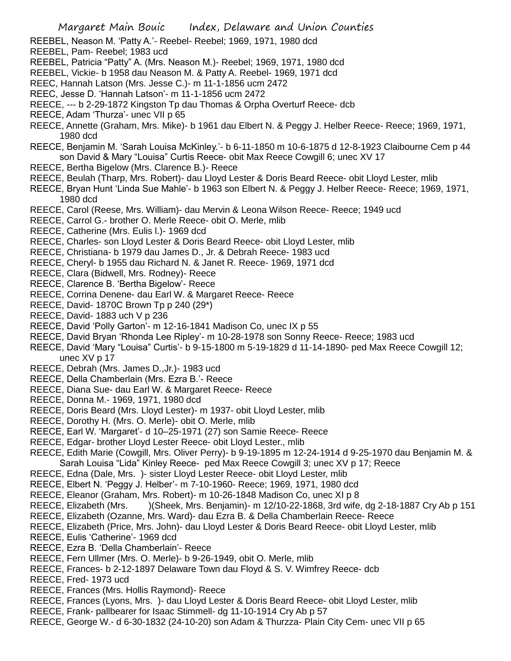- REEBEL, Neason M. 'Patty A.'- Reebel- Reebel; 1969, 1971, 1980 dcd
- REEBEL, Pam- Reebel; 1983 ucd
- REEBEL, Patricia "Patty" A. (Mrs. Neason M.)- Reebel; 1969, 1971, 1980 dcd
- REEBEL, Vickie- b 1958 dau Neason M. & Patty A. Reebel- 1969, 1971 dcd
- REEC, Hannah Latson (Mrs. Jesse C.)- m 11-1-1856 ucm 2472
- REEC, Jesse D. 'Hannah Latson'- m 11-1-1856 ucm 2472
- REECE, --- b 2-29-1872 Kingston Tp dau Thomas & Orpha Overturf Reece- dcb
- REECE, Adam 'Thurza'- unec VII p 65
- REECE, Annette (Graham, Mrs. Mike)- b 1961 dau Elbert N. & Peggy J. Helber Reece- Reece; 1969, 1971, 1980 dcd
- REECE, Benjamin M. 'Sarah Louisa McKinley.'- b 6-11-1850 m 10-6-1875 d 12-8-1923 Claibourne Cem p 44 son David & Mary "Louisa" Curtis Reece- obit Max Reece Cowgill 6; unec XV 17
- REECE, Bertha Bigelow (Mrs. Clarence B.)- Reece
- REECE, Beulah (Tharp, Mrs. Robert)- dau Lloyd Lester & Doris Beard Reece- obit Lloyd Lester, mlib
- REECE, Bryan Hunt 'Linda Sue Mahle'- b 1963 son Elbert N. & Peggy J. Helber Reece- Reece; 1969, 1971, 1980 dcd
- REECE, Carol (Reese, Mrs. William)- dau Mervin & Leona Wilson Reece- Reece; 1949 ucd
- REECE, Carrol G.- brother O. Merle Reece- obit O. Merle, mlib
- REECE, Catherine (Mrs. Eulis l.)- 1969 dcd
- REECE, Charles- son Lloyd Lester & Doris Beard Reece- obit Lloyd Lester, mlib
- REECE, Christiana- b 1979 dau James D., Jr. & Debrah Reece- 1983 ucd
- REECE, Cheryl- b 1955 dau Richard N. & Janet R. Reece- 1969, 1971 dcd
- REECE, Clara (Bidwell, Mrs. Rodney)- Reece
- REECE, Clarence B. 'Bertha Bigelow'- Reece
- REECE, Corrina Denene- dau Earl W. & Margaret Reece- Reece
- REECE, David- 1870C Brown Tp p 240 (29\*)
- REECE, David- 1883 uch V p 236
- REECE, David 'Polly Garton'- m 12-16-1841 Madison Co, unec IX p 55
- REECE, David Bryan 'Rhonda Lee Ripley'- m 10-28-1978 son Sonny Reece- Reece; 1983 ucd
- REECE, David 'Mary "Louisa" Curtis'- b 9-15-1800 m 5-19-1829 d 11-14-1890- ped Max Reece Cowgill 12; unec XV p 17
- REECE, Debrah (Mrs. James D.,Jr.)- 1983 ucd
- REECE, Della Chamberlain (Mrs. Ezra B.'- Reece
- REECE, Diana Sue- dau Earl W. & Margaret Reece- Reece
- REECE, Donna M.- 1969, 1971, 1980 dcd
- REECE, Doris Beard (Mrs. Lloyd Lester)- m 1937- obit Lloyd Lester, mlib
- REECE, Dorothy H. (Mrs. O. Merle)- obit O. Merle, mlib
- REECE, Earl W. 'Margaret'- d 10–25-1971 (27) son Samie Reece- Reece
- REECE, Edgar- brother Lloyd Lester Reece- obit Lloyd Lester., mlib
- REECE, Edith Marie (Cowgill, Mrs. Oliver Perry)- b 9-19-1895 m 12-24-1914 d 9-25-1970 dau Benjamin M. & Sarah Louisa "Lida" Kinley Reece- ped Max Reece Cowgill 3; unec XV p 17; Reece
- REECE, Edna (Dale, Mrs. )- sister Lloyd Lester Reece- obit Lloyd Lester, mlib
- REECE, Elbert N. 'Peggy J. Helber'- m 7-10-1960- Reece; 1969, 1971, 1980 dcd
- REECE, Eleanor (Graham, Mrs. Robert)- m 10-26-1848 Madison Co, unec XI p 8
- REECE, Elizabeth (Mrs. )(Sheek, Mrs. Benjamin)- m 12/10-22-1868, 3rd wife, dg 2-18-1887 Cry Ab p 151
- REECE, Elizabeth (Ozanne, Mrs. Ward)- dau Ezra B. & Della Chamberlain Reece- Reece
- REECE, Elizabeth (Price, Mrs. John)- dau Lloyd Lester & Doris Beard Reece- obit Lloyd Lester, mlib
- REECE, Eulis 'Catherine'- 1969 dcd
- REECE, Ezra B. 'Della Chamberlain'- Reece
- REECE, Fern Ullmer (Mrs. O. Merle)- b 9-26-1949, obit O. Merle, mlib
- REECE, Frances- b 2-12-1897 Delaware Town dau Floyd & S. V. Wimfrey Reece- dcb
- REECE, Fred- 1973 ucd
- REECE, Frances (Mrs. Hollis Raymond)- Reece
- REECE, Frances (Lyons, Mrs. )- dau Lloyd Lester & Doris Beard Reece- obit Lloyd Lester, mlib
- REECE, Frank- pallbearer for Isaac Stimmell- dg 11-10-1914 Cry Ab p 57
- REECE, George W.- d 6-30-1832 (24-10-20) son Adam & Thurzza- Plain City Cem- unec VII p 65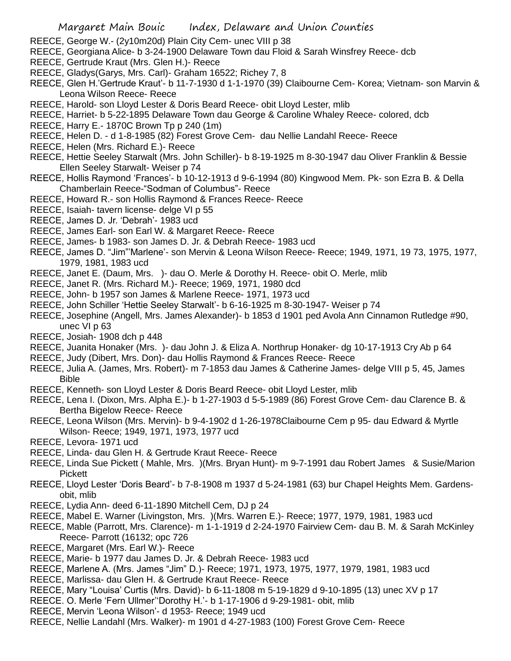- REECE, George W.- (2y10m20d) Plain City Cem- unec VIII p 38
- REECE, Georgiana Alice- b 3-24-1900 Delaware Town dau Floid & Sarah Winsfrey Reece- dcb
- REECE, Gertrude Kraut (Mrs. Glen H.)- Reece
- REECE, Gladys(Garys, Mrs. Carl)- Graham 16522; Richey 7, 8
- REECE, Glen H.'Gertrude Kraut'- b 11-7-1930 d 1-1-1970 (39) Claibourne Cem- Korea; Vietnam- son Marvin & Leona Wilson Reece- Reece
- REECE, Harold- son Lloyd Lester & Doris Beard Reece- obit Lloyd Lester, mlib
- REECE, Harriet- b 5-22-1895 Delaware Town dau George & Caroline Whaley Reece- colored, dcb
- REECE, Harry E.- 1870C Brown Tp p 240 (1m)
- REECE, Helen D. d 1-8-1985 (82) Forest Grove Cem- dau Nellie Landahl Reece- Reece
- REECE, Helen (Mrs. Richard E.)- Reece
- REECE, Hettie Seeley Starwalt (Mrs. John Schiller)- b 8-19-1925 m 8-30-1947 dau Oliver Franklin & Bessie Ellen Seeley Starwalt- Weiser p 74
- REECE, Hollis Raymond 'Frances'- b 10-12-1913 d 9-6-1994 (80) Kingwood Mem. Pk- son Ezra B. & Della Chamberlain Reece-"Sodman of Columbus"- Reece
- REECE, Howard R.- son Hollis Raymond & Frances Reece- Reece
- REECE, Isaiah- tavern license- delge VI p 55
- REECE, James D. Jr. 'Debrah'- 1983 ucd
- REECE, James Earl- son Earl W. & Margaret Reece- Reece
- REECE, James- b 1983- son James D. Jr. & Debrah Reece- 1983 ucd
- REECE, James D. "Jim"'Marlene'- son Mervin & Leona Wilson Reece- Reece; 1949, 1971, 19 73, 1975, 1977, 1979, 1981, 1983 ucd
- REECE, Janet E. (Daum, Mrs. )- dau O. Merle & Dorothy H. Reece- obit O. Merle, mlib
- REECE, Janet R. (Mrs. Richard M.)- Reece; 1969, 1971, 1980 dcd
- REECE, John- b 1957 son James & Marlene Reece- 1971, 1973 ucd
- REECE, John Schiller 'Hettie Seeley Starwalt'- b 6-16-1925 m 8-30-1947- Weiser p 74
- REECE, Josephine (Angell, Mrs. James Alexander)- b 1853 d 1901 ped Avola Ann Cinnamon Rutledge #90, unec VI p 63
- REECE, Josiah- 1908 dch p 448
- REECE, Juanita Honaker (Mrs. )- dau John J. & Eliza A. Northrup Honaker- dg 10-17-1913 Cry Ab p 64
- REECE, Judy (Dibert, Mrs. Don)- dau Hollis Raymond & Frances Reece- Reece
- REECE, Julia A. (James, Mrs. Robert)- m 7-1853 dau James & Catherine James- delge VIII p 5, 45, James Bible
- REECE, Kenneth- son Lloyd Lester & Doris Beard Reece- obit Lloyd Lester, mlib
- REECE, Lena I. (Dixon, Mrs. Alpha E.)- b 1-27-1903 d 5-5-1989 (86) Forest Grove Cem- dau Clarence B. & Bertha Bigelow Reece- Reece
- REECE, Leona Wilson (Mrs. Mervin)- b 9-4-1902 d 1-26-1978Claibourne Cem p 95- dau Edward & Myrtle Wilson- Reece; 1949, 1971, 1973, 1977 ucd
- REECE, Levora- 1971 ucd
- REECE, Linda- dau Glen H. & Gertrude Kraut Reece- Reece
- REECE, Linda Sue Pickett ( Mahle, Mrs. )(Mrs. Bryan Hunt)- m 9-7-1991 dau Robert James & Susie/Marion Pickett
- REECE, Lloyd Lester 'Doris Beard'- b 7-8-1908 m 1937 d 5-24-1981 (63) bur Chapel Heights Mem. Gardensobit, mlib
- REECE, Lydia Ann- deed 6-11-1890 Mitchell Cem, DJ p 24
- REECE, Mabel E. Warner (Livingston, Mrs. )(Mrs. Warren E.)- Reece; 1977, 1979, 1981, 1983 ucd
- REECE, Mable (Parrott, Mrs. Clarence)- m 1-1-1919 d 2-24-1970 Fairview Cem- dau B. M. & Sarah McKinley Reece- Parrott (16132; opc 726
- REECE, Margaret (Mrs. Earl W.)- Reece
- REECE, Marie- b 1977 dau James D. Jr. & Debrah Reece- 1983 ucd
- REECE, Marlene A. (Mrs. James "Jim" D.)- Reece; 1971, 1973, 1975, 1977, 1979, 1981, 1983 ucd
- REECE, Marlissa- dau Glen H. & Gertrude Kraut Reece- Reece
- REECE, Mary "Louisa' Curtis (Mrs. David)- b 6-11-1808 m 5-19-1829 d 9-10-1895 (13) unec XV p 17
- REECE. O. Merle 'Fern Ullmer''Dorothy H.'- b 1-17-1906 d 9-29-1981- obit, mlib
- REECE, Mervin 'Leona Wilson'- d 1953- Reece; 1949 ucd
- REECE, Nellie Landahl (Mrs. Walker)- m 1901 d 4-27-1983 (100) Forest Grove Cem- Reece